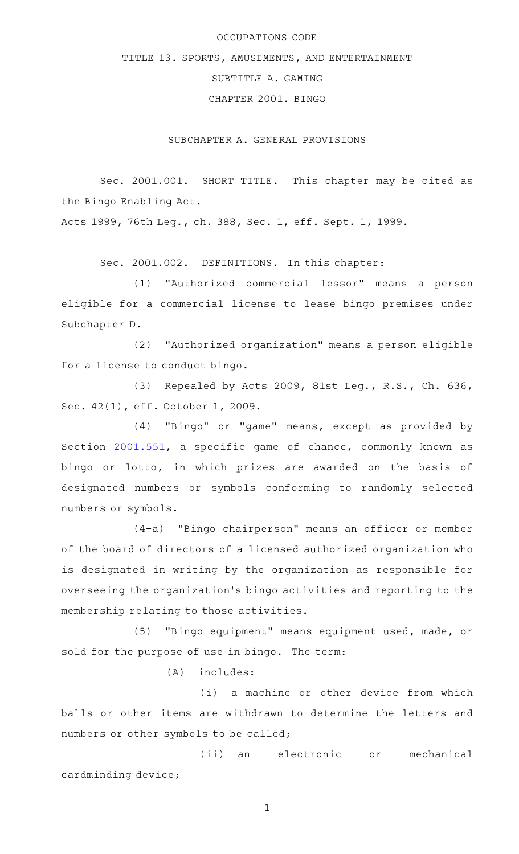# OCCUPATIONS CODE

TITLE 13. SPORTS, AMUSEMENTS, AND ENTERTAINMENT

SUBTITLE A. GAMING

CHAPTER 2001. BINGO

SUBCHAPTER A. GENERAL PROVISIONS

Sec. 2001.001. SHORT TITLE. This chapter may be cited as the Bingo Enabling Act.

Acts 1999, 76th Leg., ch. 388, Sec. 1, eff. Sept. 1, 1999.

Sec. 2001.002. DEFINITIONS. In this chapter:

(1) "Authorized commercial lessor" means a person eligible for a commercial license to lease bingo premises under Subchapter D.

(2) "Authorized organization" means a person eligible for a license to conduct bingo.

(3) Repealed by Acts 2009, 81st Leg., R.S., Ch. 636, Sec. 42(1), eff. October 1, 2009.

(4) "Bingo" or "game" means, except as provided by Section [2001.551,](https://statutes.capitol.texas.gov/GetStatute.aspx?Code=OC&Value=2001.551) a specific game of chance, commonly known as bingo or lotto, in which prizes are awarded on the basis of designated numbers or symbols conforming to randomly selected numbers or symbols.

(4-a) "Bingo chairperson" means an officer or member of the board of directors of a licensed authorized organization who is designated in writing by the organization as responsible for overseeing the organization 's bingo activities and reporting to the membership relating to those activities.

(5) "Bingo equipment" means equipment used, made, or sold for the purpose of use in bingo. The term:

 $(A)$  includes:

(i) a machine or other device from which balls or other items are withdrawn to determine the letters and numbers or other symbols to be called;

(ii) an electronic or mechanical cardminding device;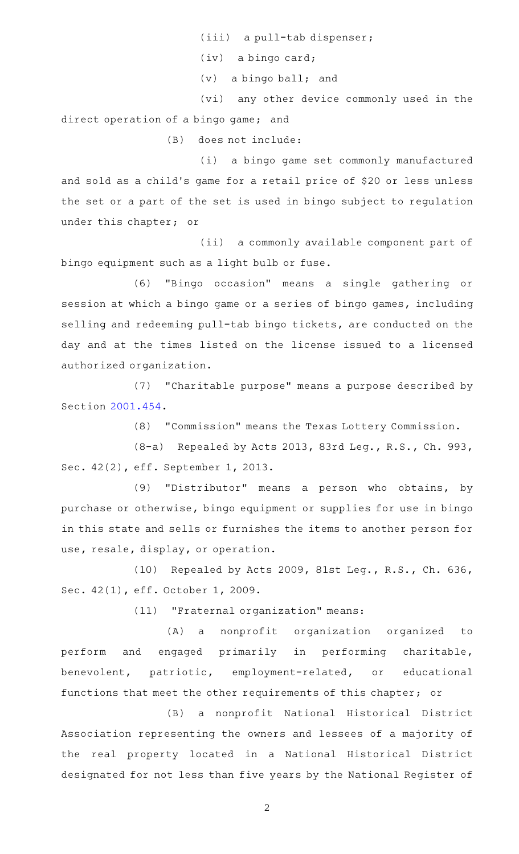(iii) a pull-tab dispenser;

(iv) a bingo card;

 $(v)$  a bingo ball; and

(vi) any other device commonly used in the direct operation of a bingo game; and

(B) does not include:

(i) a bingo game set commonly manufactured and sold as a child's game for a retail price of \$20 or less unless the set or a part of the set is used in bingo subject to regulation under this chapter; or

(ii) a commonly available component part of bingo equipment such as a light bulb or fuse.

(6) "Bingo occasion" means a single gathering or session at which a bingo game or a series of bingo games, including selling and redeeming pull-tab bingo tickets, are conducted on the day and at the times listed on the license issued to a licensed authorized organization.

(7) "Charitable purpose" means a purpose described by Section [2001.454](https://statutes.capitol.texas.gov/GetStatute.aspx?Code=OC&Value=2001.454).

(8) "Commission" means the Texas Lottery Commission.

(8-a) Repealed by Acts 2013, 83rd Leg., R.S., Ch. 993, Sec. 42(2), eff. September 1, 2013.

(9) "Distributor" means a person who obtains, by purchase or otherwise, bingo equipment or supplies for use in bingo in this state and sells or furnishes the items to another person for use, resale, display, or operation.

(10) Repealed by Acts 2009, 81st Leg., R.S., Ch. 636, Sec. 42(1), eff. October 1, 2009.

(11) "Fraternal organization" means:

(A) a nonprofit organization organized to perform and engaged primarily in performing charitable, benevolent, patriotic, employment-related, or educational functions that meet the other requirements of this chapter; or

(B) a nonprofit National Historical District Association representing the owners and lessees of a majority of the real property located in a National Historical District designated for not less than five years by the National Register of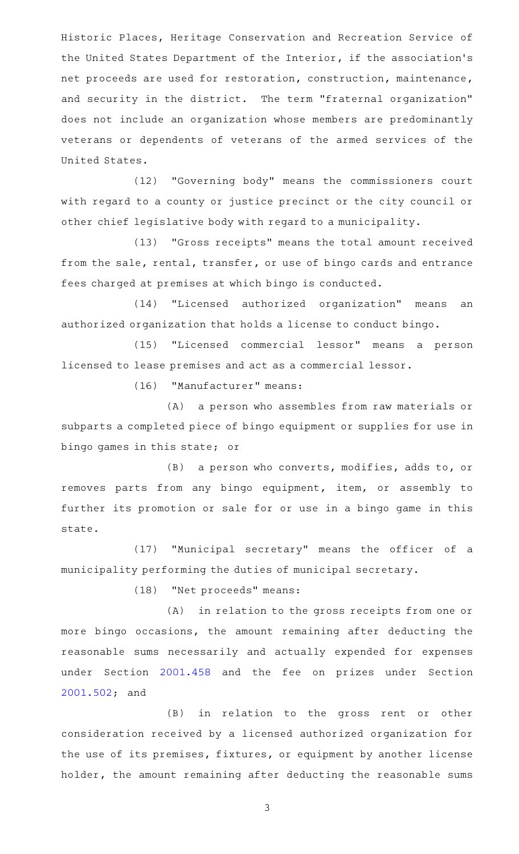Historic Places, Heritage Conservation and Recreation Service of the United States Department of the Interior, if the association 's net proceeds are used for restoration, construction, maintenance, and security in the district. The term "fraternal organization" does not include an organization whose members are predominantly veterans or dependents of veterans of the armed services of the United States.

(12) "Governing body" means the commissioners court with regard to a county or justice precinct or the city council or other chief legislative body with regard to a municipality.

(13) "Gross receipts" means the total amount received from the sale, rental, transfer, or use of bingo cards and entrance fees charged at premises at which bingo is conducted.

(14) "Licensed authorized organization" means an authorized organization that holds a license to conduct bingo.

(15) "Licensed commercial lessor" means a person licensed to lease premises and act as a commercial lessor.

(16) "Manufacturer" means:

(A) a person who assembles from raw materials or subparts a completed piece of bingo equipment or supplies for use in bingo games in this state; or

(B) a person who converts, modifies, adds to, or removes parts from any bingo equipment, item, or assembly to further its promotion or sale for or use in a bingo game in this state.

(17) "Municipal secretary" means the officer of a municipality performing the duties of municipal secretary.

(18) "Net proceeds" means:

(A) in relation to the gross receipts from one or more bingo occasions, the amount remaining after deducting the reasonable sums necessarily and actually expended for expenses under Section [2001.458](https://statutes.capitol.texas.gov/GetStatute.aspx?Code=OC&Value=2001.458) and the fee on prizes under Section [2001.502](https://statutes.capitol.texas.gov/GetStatute.aspx?Code=OC&Value=2001.502); and

(B) in relation to the gross rent or other consideration received by a licensed authorized organization for the use of its premises, fixtures, or equipment by another license holder, the amount remaining after deducting the reasonable sums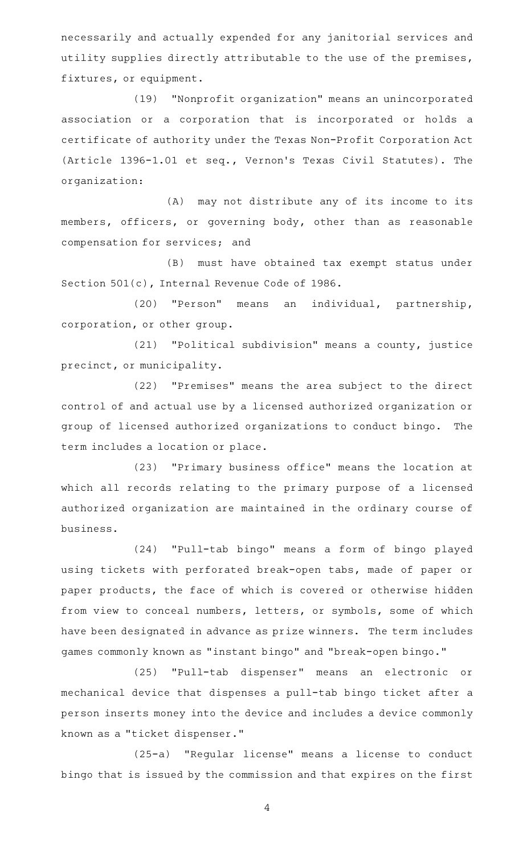necessarily and actually expended for any janitorial services and utility supplies directly attributable to the use of the premises, fixtures, or equipment.

(19) "Nonprofit organization" means an unincorporated association or a corporation that is incorporated or holds a certificate of authority under the Texas Non-Profit Corporation Act (Article 1396-1.01 et seq., Vernon 's Texas Civil Statutes). The organization:

(A) may not distribute any of its income to its members, officers, or governing body, other than as reasonable compensation for services; and

(B) must have obtained tax exempt status under Section 501(c), Internal Revenue Code of 1986.

(20) "Person" means an individual, partnership, corporation, or other group.

(21) "Political subdivision" means a county, justice precinct, or municipality.

(22) "Premises" means the area subject to the direct control of and actual use by a licensed authorized organization or group of licensed authorized organizations to conduct bingo. The term includes a location or place.

(23) "Primary business office" means the location at which all records relating to the primary purpose of a licensed authorized organization are maintained in the ordinary course of business.

(24) "Pull-tab bingo" means a form of bingo played using tickets with perforated break-open tabs, made of paper or paper products, the face of which is covered or otherwise hidden from view to conceal numbers, letters, or symbols, some of which have been designated in advance as prize winners. The term includes games commonly known as "instant bingo" and "break-open bingo."

(25) "Pull-tab dispenser" means an electronic or mechanical device that dispenses a pull-tab bingo ticket after a person inserts money into the device and includes a device commonly known as a "ticket dispenser."

(25-a) "Regular license" means a license to conduct bingo that is issued by the commission and that expires on the first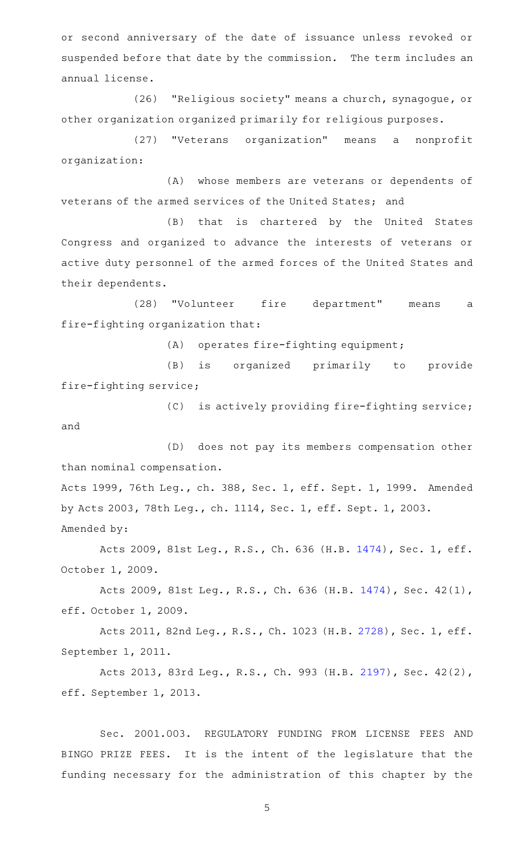or second anniversary of the date of issuance unless revoked or suspended before that date by the commission. The term includes an annual license.

(26) "Religious society" means a church, synagogue, or other organization organized primarily for religious purposes.

(27) "Veterans organization" means a nonprofit organization:

(A) whose members are veterans or dependents of veterans of the armed services of the United States; and

(B) that is chartered by the United States Congress and organized to advance the interests of veterans or active duty personnel of the armed forces of the United States and their dependents.

(28) "Volunteer fire department" means a fire-fighting organization that:

 $(A)$  operates fire-fighting equipment;

(B) is organized primarily to provide fire-fighting service;

(C) is actively providing fire-fighting service; and

(D) does not pay its members compensation other than nominal compensation.

Acts 1999, 76th Leg., ch. 388, Sec. 1, eff. Sept. 1, 1999. Amended by Acts 2003, 78th Leg., ch. 1114, Sec. 1, eff. Sept. 1, 2003. Amended by:

Acts 2009, 81st Leg., R.S., Ch. 636 (H.B. [1474](http://www.legis.state.tx.us/tlodocs/81R/billtext/html/HB01474F.HTM)), Sec. 1, eff. October 1, 2009.

Acts 2009, 81st Leg., R.S., Ch. 636 (H.B. [1474\)](http://www.legis.state.tx.us/tlodocs/81R/billtext/html/HB01474F.HTM), Sec. 42(1), eff. October 1, 2009.

Acts 2011, 82nd Leg., R.S., Ch. 1023 (H.B. [2728](http://www.legis.state.tx.us/tlodocs/82R/billtext/html/HB02728F.HTM)), Sec. 1, eff. September 1, 2011.

Acts 2013, 83rd Leg., R.S., Ch. 993 (H.B. [2197\)](http://www.legis.state.tx.us/tlodocs/83R/billtext/html/HB02197F.HTM), Sec. 42(2), eff. September 1, 2013.

Sec. 2001.003. REGULATORY FUNDING FROM LICENSE FEES AND BINGO PRIZE FEES. It is the intent of the legislature that the funding necessary for the administration of this chapter by the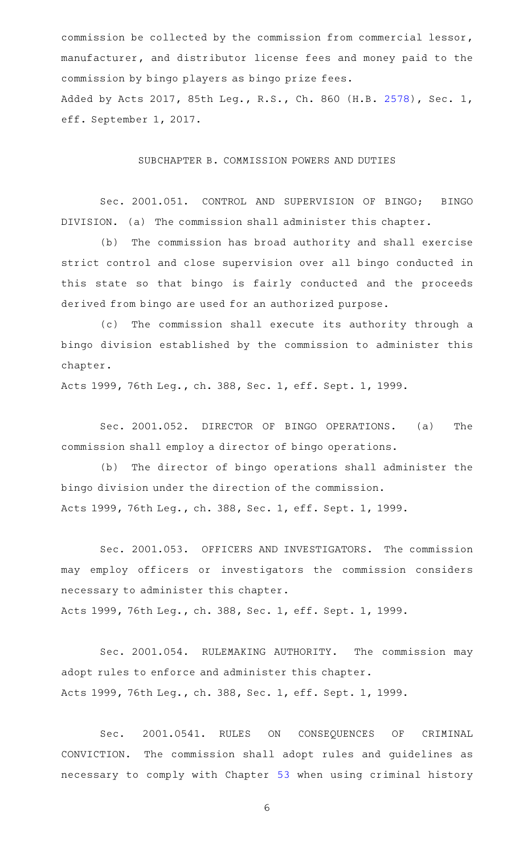commission be collected by the commission from commercial lessor, manufacturer, and distributor license fees and money paid to the commission by bingo players as bingo prize fees. Added by Acts 2017, 85th Leg., R.S., Ch. 860 (H.B. [2578](http://www.legis.state.tx.us/tlodocs/85R/billtext/html/HB02578F.HTM)), Sec. 1, eff. September 1, 2017.

#### SUBCHAPTER B. COMMISSION POWERS AND DUTIES

Sec. 2001.051. CONTROL AND SUPERVISION OF BINGO; BINGO DIVISION. (a) The commission shall administer this chapter.

(b) The commission has broad authority and shall exercise strict control and close supervision over all bingo conducted in this state so that bingo is fairly conducted and the proceeds derived from bingo are used for an authorized purpose.

(c) The commission shall execute its authority through a bingo division established by the commission to administer this chapter.

Acts 1999, 76th Leg., ch. 388, Sec. 1, eff. Sept. 1, 1999.

Sec. 2001.052. DIRECTOR OF BINGO OPERATIONS. (a) The commission shall employ a director of bingo operations.

(b) The director of bingo operations shall administer the bingo division under the direction of the commission. Acts 1999, 76th Leg., ch. 388, Sec. 1, eff. Sept. 1, 1999.

Sec. 2001.053. OFFICERS AND INVESTIGATORS. The commission may employ officers or investigators the commission considers necessary to administer this chapter. Acts 1999, 76th Leg., ch. 388, Sec. 1, eff. Sept. 1, 1999.

Sec. 2001.054. RULEMAKING AUTHORITY. The commission may

adopt rules to enforce and administer this chapter. Acts 1999, 76th Leg., ch. 388, Sec. 1, eff. Sept. 1, 1999.

Sec. 2001.0541. RULES ON CONSEQUENCES OF CRIMINAL CONVICTION. The commission shall adopt rules and guidelines as necessary to comply with Chapter [53](https://statutes.capitol.texas.gov/GetStatute.aspx?Code=OC&Value=53) when using criminal history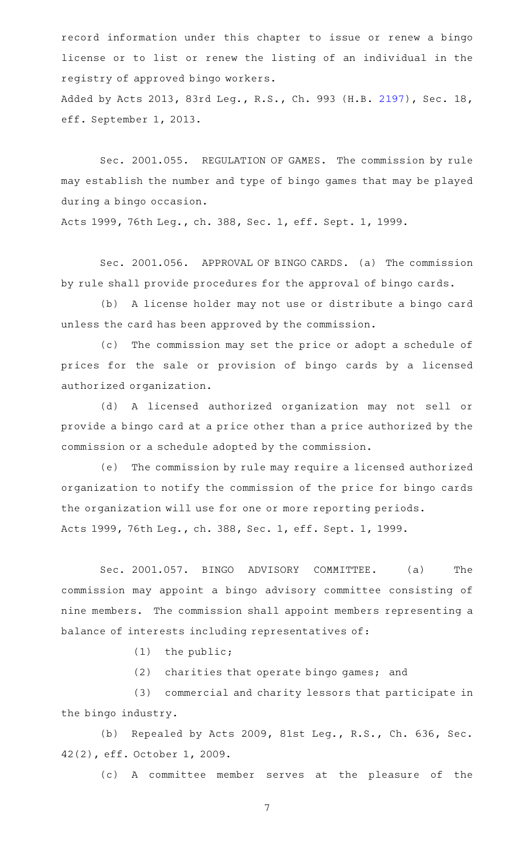record information under this chapter to issue or renew a bingo license or to list or renew the listing of an individual in the registry of approved bingo workers. Added by Acts 2013, 83rd Leg., R.S., Ch. 993 (H.B. [2197\)](http://www.legis.state.tx.us/tlodocs/83R/billtext/html/HB02197F.HTM), Sec. 18,

eff. September 1, 2013.

Sec. 2001.055. REGULATION OF GAMES. The commission by rule may establish the number and type of bingo games that may be played during a bingo occasion.

Acts 1999, 76th Leg., ch. 388, Sec. 1, eff. Sept. 1, 1999.

Sec. 2001.056. APPROVAL OF BINGO CARDS. (a) The commission by rule shall provide procedures for the approval of bingo cards.

(b) A license holder may not use or distribute a bingo card unless the card has been approved by the commission.

(c) The commission may set the price or adopt a schedule of prices for the sale or provision of bingo cards by a licensed authorized organization.

(d) A licensed authorized organization may not sell or provide a bingo card at a price other than a price authorized by the commission or a schedule adopted by the commission.

(e) The commission by rule may require a licensed authorized organization to notify the commission of the price for bingo cards the organization will use for one or more reporting periods.

Acts 1999, 76th Leg., ch. 388, Sec. 1, eff. Sept. 1, 1999.

Sec. 2001.057. BINGO ADVISORY COMMITTEE. (a) The commission may appoint a bingo advisory committee consisting of nine members. The commission shall appoint members representing a balance of interests including representatives of:

 $(1)$  the public;

(2) charities that operate bingo games; and

(3) commercial and charity lessors that participate in the bingo industry.

(b) Repealed by Acts 2009, 81st Leg., R.S., Ch. 636, Sec. 42(2), eff. October 1, 2009.

(c)AAA committee member serves at the pleasure of the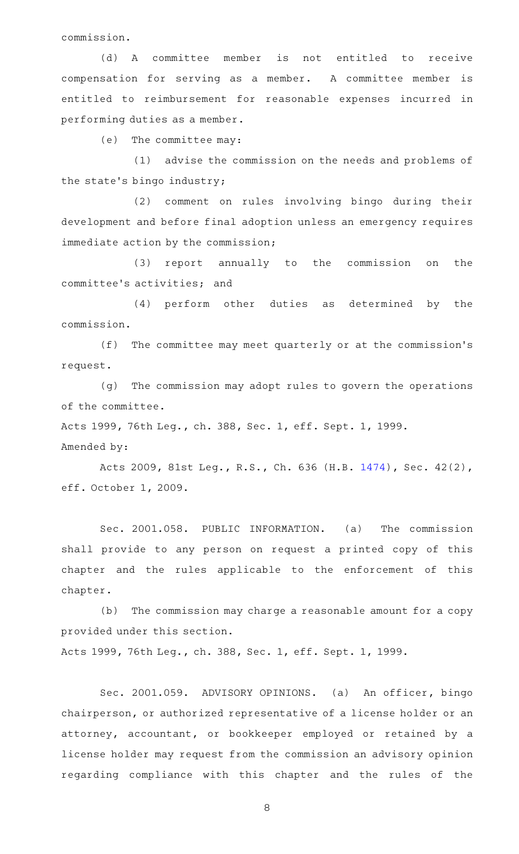commission.

(d) A committee member is not entitled to receive compensation for serving as a member. A committee member is entitled to reimbursement for reasonable expenses incurred in performing duties as a member.

(e) The committee may:

(1) advise the commission on the needs and problems of the state 's bingo industry;

(2) comment on rules involving bingo during their development and before final adoption unless an emergency requires immediate action by the commission;

(3) report annually to the commission on the committee 's activities; and

(4) perform other duties as determined by the commission.

(f) The committee may meet quarterly or at the commission's request.

(g) The commission may adopt rules to govern the operations of the committee.

Acts 1999, 76th Leg., ch. 388, Sec. 1, eff. Sept. 1, 1999.

Amended by:

Acts 2009, 81st Leg., R.S., Ch. 636 (H.B. [1474\)](http://www.legis.state.tx.us/tlodocs/81R/billtext/html/HB01474F.HTM), Sec. 42(2), eff. October 1, 2009.

Sec. 2001.058. PUBLIC INFORMATION. (a) The commission shall provide to any person on request a printed copy of this chapter and the rules applicable to the enforcement of this chapter.

(b) The commission may charge a reasonable amount for a copy provided under this section.

Acts 1999, 76th Leg., ch. 388, Sec. 1, eff. Sept. 1, 1999.

Sec. 2001.059. ADVISORY OPINIONS. (a) An officer, bingo chairperson, or authorized representative of a license holder or an attorney, accountant, or bookkeeper employed or retained by a license holder may request from the commission an advisory opinion regarding compliance with this chapter and the rules of the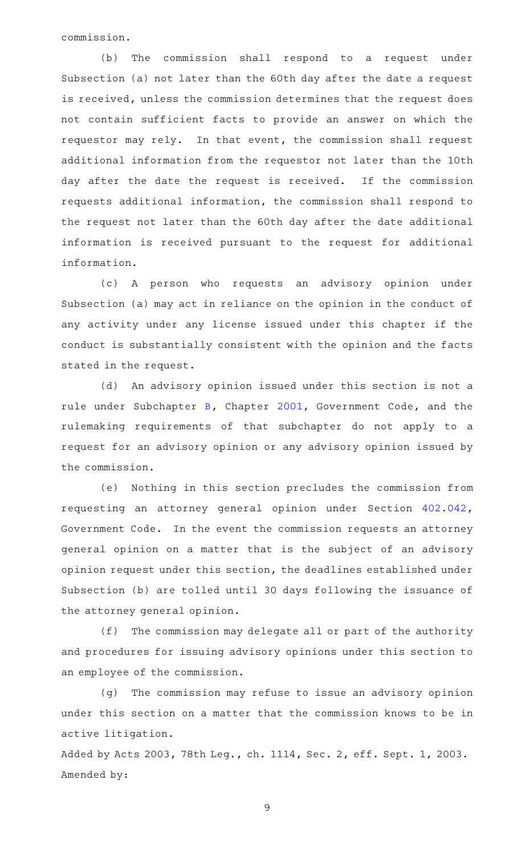commission.

(b) The commission shall respond to a request under Subsection (a) not later than the 60th day after the date a request is received, unless the commission determines that the request does not contain sufficient facts to provide an answer on which the requestor may rely. In that event, the commission shall request additional information from the requestor not later than the 10th day after the date the request is received. If the commission requests additional information, the commission shall respond to the request not later than the 60th day after the date additional information is received pursuant to the request for additional information.

(c)AAA person who requests an advisory opinion under Subsection (a) may act in reliance on the opinion in the conduct of any activity under any license issued under this chapter if the conduct is substantially consistent with the opinion and the facts stated in the request.

(d) An advisory opinion issued under this section is not a rule under Subchapter [B](https://statutes.capitol.texas.gov/GetStatute.aspx?Code=GV&Value=2001.021), Chapter [2001](https://statutes.capitol.texas.gov/GetStatute.aspx?Code=GV&Value=2001), Government Code, and the rulemaking requirements of that subchapter do not apply to a request for an advisory opinion or any advisory opinion issued by the commission.

(e) Nothing in this section precludes the commission from requesting an attorney general opinion under Section [402.042](https://statutes.capitol.texas.gov/GetStatute.aspx?Code=GV&Value=402.042), Government Code. In the event the commission requests an attorney general opinion on a matter that is the subject of an advisory opinion request under this section, the deadlines established under Subsection (b) are tolled until 30 days following the issuance of the attorney general opinion.

(f) The commission may delegate all or part of the authority and procedures for issuing advisory opinions under this section to an employee of the commission.

(g) The commission may refuse to issue an advisory opinion under this section on a matter that the commission knows to be in active litigation.

Added by Acts 2003, 78th Leg., ch. 1114, Sec. 2, eff. Sept. 1, 2003. Amended by: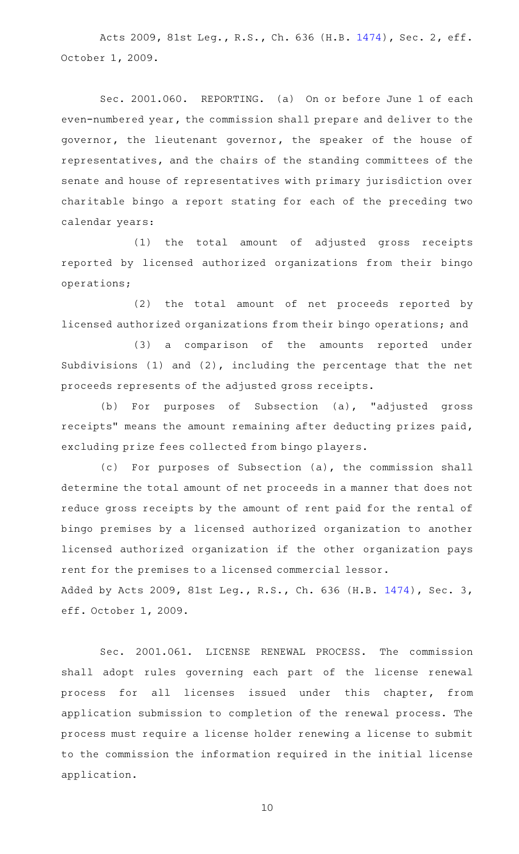Acts 2009, 81st Leg., R.S., Ch. 636 (H.B. [1474](http://www.legis.state.tx.us/tlodocs/81R/billtext/html/HB01474F.HTM)), Sec. 2, eff. October 1, 2009.

Sec. 2001.060. REPORTING. (a) On or before June 1 of each even-numbered year, the commission shall prepare and deliver to the governor, the lieutenant governor, the speaker of the house of representatives, and the chairs of the standing committees of the senate and house of representatives with primary jurisdiction over charitable bingo a report stating for each of the preceding two calendar years:

(1) the total amount of adjusted gross receipts reported by licensed authorized organizations from their bingo operations;

(2) the total amount of net proceeds reported by licensed authorized organizations from their bingo operations; and

(3) a comparison of the amounts reported under Subdivisions (1) and (2), including the percentage that the net proceeds represents of the adjusted gross receipts.

(b) For purposes of Subsection (a), "adjusted gross receipts" means the amount remaining after deducting prizes paid, excluding prize fees collected from bingo players.

(c) For purposes of Subsection (a), the commission shall determine the total amount of net proceeds in a manner that does not reduce gross receipts by the amount of rent paid for the rental of bingo premises by a licensed authorized organization to another licensed authorized organization if the other organization pays rent for the premises to a licensed commercial lessor. Added by Acts 2009, 81st Leg., R.S., Ch. 636 (H.B. [1474](http://www.legis.state.tx.us/tlodocs/81R/billtext/html/HB01474F.HTM)), Sec. 3, eff. October 1, 2009.

Sec. 2001.061. LICENSE RENEWAL PROCESS. The commission shall adopt rules governing each part of the license renewal process for all licenses issued under this chapter, from application submission to completion of the renewal process. The process must require a license holder renewing a license to submit to the commission the information required in the initial license application.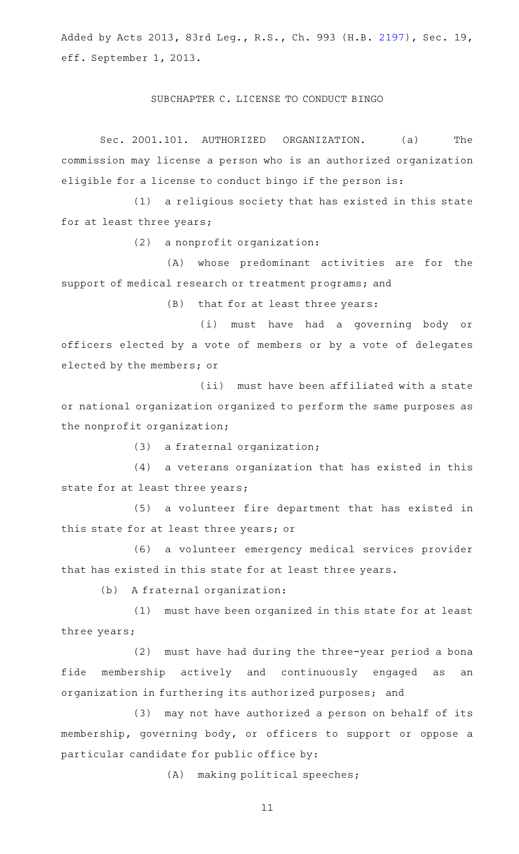Added by Acts 2013, 83rd Leg., R.S., Ch. 993 (H.B. [2197\)](http://www.legis.state.tx.us/tlodocs/83R/billtext/html/HB02197F.HTM), Sec. 19, eff. September 1, 2013.

## SUBCHAPTER C. LICENSE TO CONDUCT BINGO

Sec. 2001.101. AUTHORIZED ORGANIZATION. (a) The commission may license a person who is an authorized organization eligible for a license to conduct bingo if the person is:

 $(1)$  a religious society that has existed in this state for at least three years;

 $(2)$  a nonprofit organization:

(A) whose predominant activities are for the support of medical research or treatment programs; and

(B) that for at least three years:

(i) must have had a governing body or officers elected by a vote of members or by a vote of delegates elected by the members; or

(ii) must have been affiliated with a state or national organization organized to perform the same purposes as the nonprofit organization;

(3) a fraternal organization;

(4) a veterans organization that has existed in this state for at least three years;

(5) a volunteer fire department that has existed in this state for at least three years; or

(6) a volunteer emergency medical services provider that has existed in this state for at least three years.

(b) A fraternal organization:

 $(1)$  must have been organized in this state for at least three years;

(2) must have had during the three-year period a bona fide membership actively and continuously engaged as an organization in furthering its authorized purposes; and

(3) may not have authorized a person on behalf of its membership, governing body, or officers to support or oppose a particular candidate for public office by:

(A) making political speeches;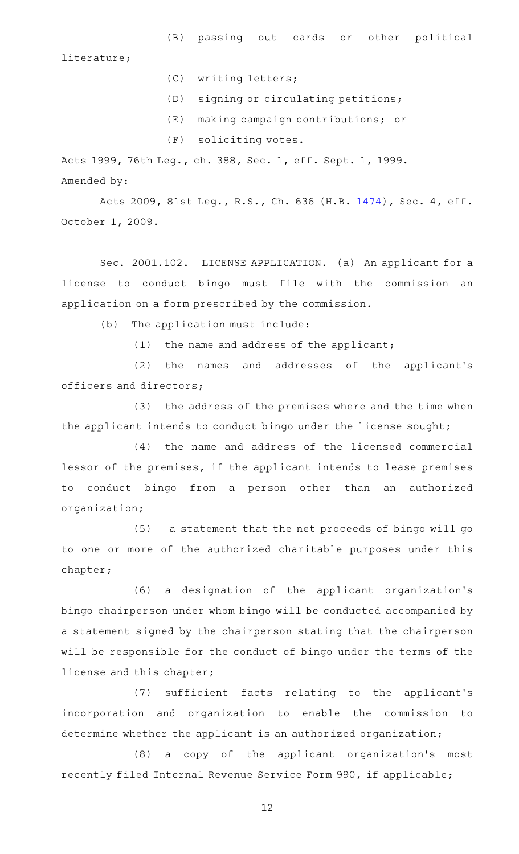literature;

(C) writing letters;

- (D) signing or circulating petitions;
- (E) making campaign contributions; or
- (F) soliciting votes.

Acts 1999, 76th Leg., ch. 388, Sec. 1, eff. Sept. 1, 1999. Amended by:

Acts 2009, 81st Leg., R.S., Ch. 636 (H.B. [1474](http://www.legis.state.tx.us/tlodocs/81R/billtext/html/HB01474F.HTM)), Sec. 4, eff. October 1, 2009.

Sec. 2001.102. LICENSE APPLICATION. (a) An applicant for a license to conduct bingo must file with the commission an application on a form prescribed by the commission.

(b) The application must include:

 $(1)$  the name and address of the applicant;

(2) the names and addresses of the applicant's officers and directors;

(3) the address of the premises where and the time when the applicant intends to conduct bingo under the license sought;

(4) the name and address of the licensed commercial lessor of the premises, if the applicant intends to lease premises to conduct bingo from a person other than an authorized organization;

(5) a statement that the net proceeds of bingo will go to one or more of the authorized charitable purposes under this chapter;

(6) a designation of the applicant organization's bingo chairperson under whom bingo will be conducted accompanied by a statement signed by the chairperson stating that the chairperson will be responsible for the conduct of bingo under the terms of the license and this chapter;

(7) sufficient facts relating to the applicant's incorporation and organization to enable the commission to determine whether the applicant is an authorized organization;

(8) a copy of the applicant organization's most recently filed Internal Revenue Service Form 990, if applicable;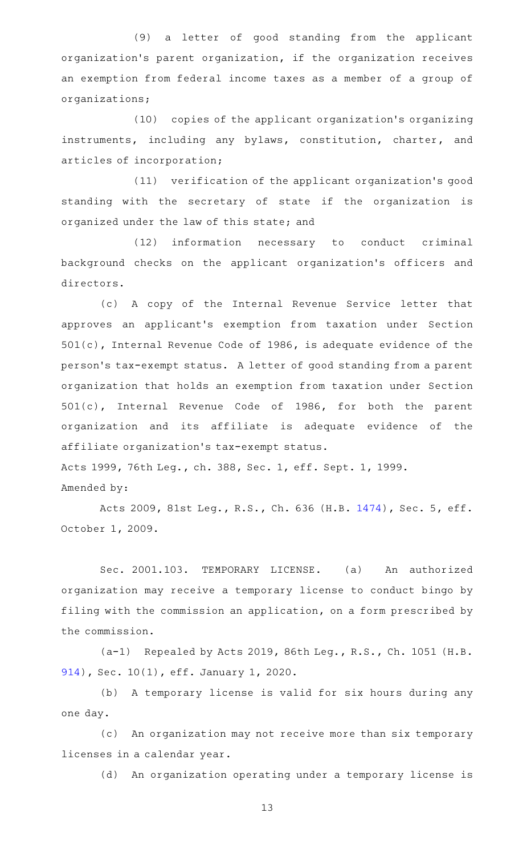(9) a letter of good standing from the applicant organization's parent organization, if the organization receives an exemption from federal income taxes as a member of a group of organizations;

(10) copies of the applicant organization's organizing instruments, including any bylaws, constitution, charter, and articles of incorporation;

(11) verification of the applicant organization's good standing with the secretary of state if the organization is organized under the law of this state; and

(12) information necessary to conduct criminal background checks on the applicant organization 's officers and directors.

(c)AAA copy of the Internal Revenue Service letter that approves an applicant 's exemption from taxation under Section 501(c), Internal Revenue Code of 1986, is adequate evidence of the person 's tax-exempt status. A letter of good standing from a parent organization that holds an exemption from taxation under Section 501(c), Internal Revenue Code of 1986, for both the parent organization and its affiliate is adequate evidence of the affiliate organization 's tax-exempt status.

Acts 1999, 76th Leg., ch. 388, Sec. 1, eff. Sept. 1, 1999. Amended by:

Acts 2009, 81st Leg., R.S., Ch. 636 (H.B. [1474](http://www.legis.state.tx.us/tlodocs/81R/billtext/html/HB01474F.HTM)), Sec. 5, eff. October 1, 2009.

Sec. 2001.103. TEMPORARY LICENSE. (a) An authorized organization may receive a temporary license to conduct bingo by filing with the commission an application, on a form prescribed by the commission.

(a-1) Repealed by Acts 2019, 86th Leg., R.S., Ch. 1051 (H.B. [914\)](http://www.legis.state.tx.us/tlodocs/86R/billtext/html/HB00914F.HTM), Sec. 10(1), eff. January 1, 2020.

(b) A temporary license is valid for six hours during any one day.

(c) An organization may not receive more than six temporary licenses in a calendar year.

(d) An organization operating under a temporary license is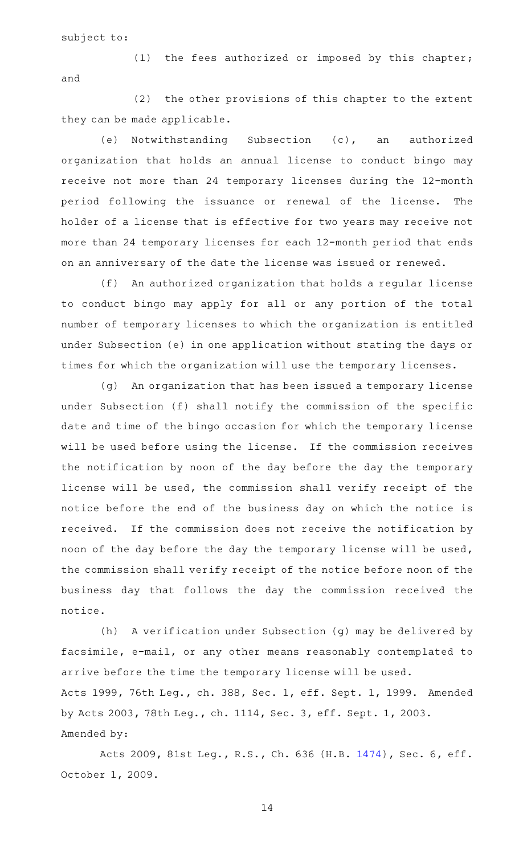subject to:

(1) the fees authorized or imposed by this chapter; and

 $(2)$  the other provisions of this chapter to the extent they can be made applicable.

(e) Notwithstanding Subsection (c), an authorized organization that holds an annual license to conduct bingo may receive not more than 24 temporary licenses during the 12-month period following the issuance or renewal of the license. The holder of a license that is effective for two years may receive not more than 24 temporary licenses for each 12-month period that ends on an anniversary of the date the license was issued or renewed.

(f) An authorized organization that holds a regular license to conduct bingo may apply for all or any portion of the total number of temporary licenses to which the organization is entitled under Subsection (e) in one application without stating the days or times for which the organization will use the temporary licenses.

(g) An organization that has been issued a temporary license under Subsection (f) shall notify the commission of the specific date and time of the bingo occasion for which the temporary license will be used before using the license. If the commission receives the notification by noon of the day before the day the temporary license will be used, the commission shall verify receipt of the notice before the end of the business day on which the notice is received. If the commission does not receive the notification by noon of the day before the day the temporary license will be used, the commission shall verify receipt of the notice before noon of the business day that follows the day the commission received the notice.

(h) A verification under Subsection (g) may be delivered by facsimile, e-mail, or any other means reasonably contemplated to arrive before the time the temporary license will be used. Acts 1999, 76th Leg., ch. 388, Sec. 1, eff. Sept. 1, 1999. Amended by Acts 2003, 78th Leg., ch. 1114, Sec. 3, eff. Sept. 1, 2003. Amended by:

Acts 2009, 81st Leg., R.S., Ch. 636 (H.B. [1474](http://www.legis.state.tx.us/tlodocs/81R/billtext/html/HB01474F.HTM)), Sec. 6, eff. October 1, 2009.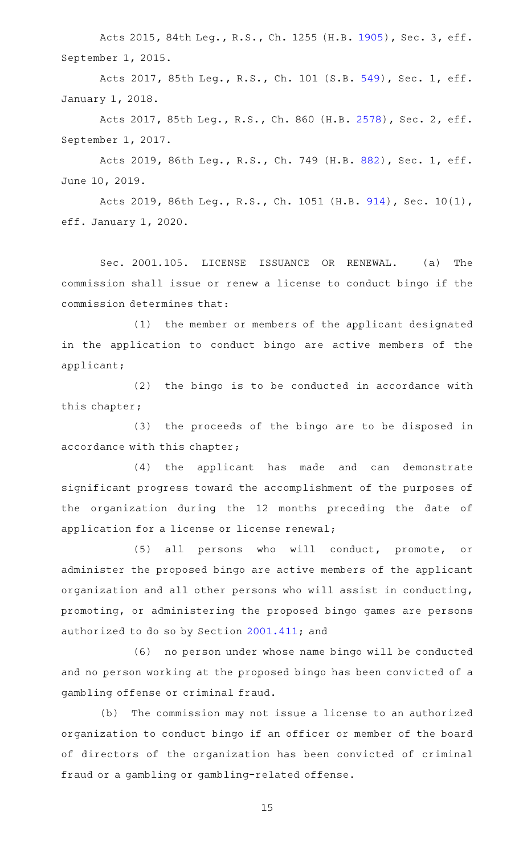Acts 2015, 84th Leg., R.S., Ch. 1255 (H.B. [1905](http://www.legis.state.tx.us/tlodocs/84R/billtext/html/HB01905F.HTM)), Sec. 3, eff. September 1, 2015.

Acts 2017, 85th Leg., R.S., Ch. 101 (S.B. [549](http://www.legis.state.tx.us/tlodocs/85R/billtext/html/SB00549F.HTM)), Sec. 1, eff. January 1, 2018.

Acts 2017, 85th Leg., R.S., Ch. 860 (H.B. [2578](http://www.legis.state.tx.us/tlodocs/85R/billtext/html/HB02578F.HTM)), Sec. 2, eff. September 1, 2017.

Acts 2019, 86th Leg., R.S., Ch. 749 (H.B. [882](http://www.legis.state.tx.us/tlodocs/86R/billtext/html/HB00882F.HTM)), Sec. 1, eff. June 10, 2019.

Acts 2019, 86th Leg., R.S., Ch. 1051 (H.B. [914\)](http://www.legis.state.tx.us/tlodocs/86R/billtext/html/HB00914F.HTM), Sec. 10(1), eff. January 1, 2020.

Sec. 2001.105. LICENSE ISSUANCE OR RENEWAL. (a) The commission shall issue or renew a license to conduct bingo if the commission determines that:

(1) the member or members of the applicant designated in the application to conduct bingo are active members of the applicant;

 $(2)$  the bingo is to be conducted in accordance with this chapter;

(3) the proceeds of the bingo are to be disposed in accordance with this chapter;

(4) the applicant has made and can demonstrate significant progress toward the accomplishment of the purposes of the organization during the 12 months preceding the date of application for a license or license renewal;

(5) all persons who will conduct, promote, or administer the proposed bingo are active members of the applicant organization and all other persons who will assist in conducting, promoting, or administering the proposed bingo games are persons authorized to do so by Section [2001.411](https://statutes.capitol.texas.gov/GetStatute.aspx?Code=OC&Value=2001.411); and

(6) no person under whose name bingo will be conducted and no person working at the proposed bingo has been convicted of a gambling offense or criminal fraud.

(b) The commission may not issue a license to an authorized organization to conduct bingo if an officer or member of the board of directors of the organization has been convicted of criminal fraud or a gambling or gambling-related offense.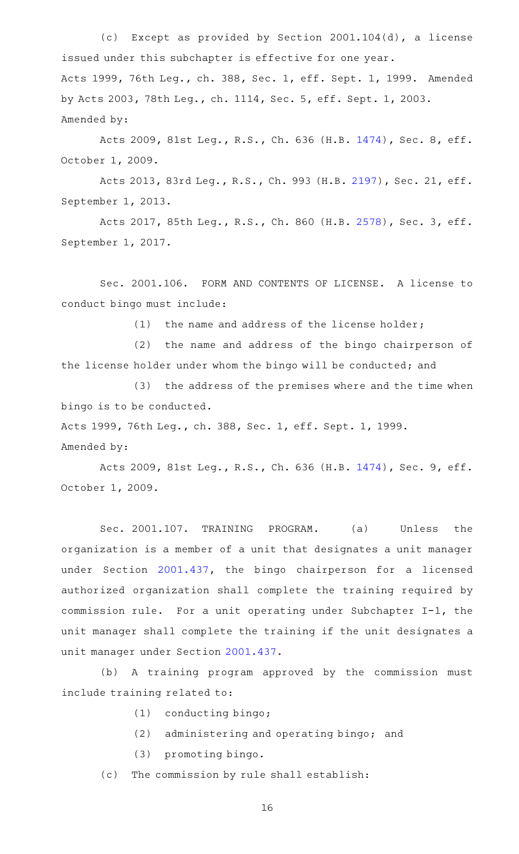(c) Except as provided by Section 2001.104(d), a license issued under this subchapter is effective for one year. Acts 1999, 76th Leg., ch. 388, Sec. 1, eff. Sept. 1, 1999. Amended by Acts 2003, 78th Leg., ch. 1114, Sec. 5, eff. Sept. 1, 2003. Amended by:

Acts 2009, 81st Leg., R.S., Ch. 636 (H.B. [1474](http://www.legis.state.tx.us/tlodocs/81R/billtext/html/HB01474F.HTM)), Sec. 8, eff. October 1, 2009.

Acts 2013, 83rd Leg., R.S., Ch. 993 (H.B. [2197\)](http://www.legis.state.tx.us/tlodocs/83R/billtext/html/HB02197F.HTM), Sec. 21, eff. September 1, 2013.

Acts 2017, 85th Leg., R.S., Ch. 860 (H.B. [2578](http://www.legis.state.tx.us/tlodocs/85R/billtext/html/HB02578F.HTM)), Sec. 3, eff. September 1, 2017.

Sec. 2001.106. FORM AND CONTENTS OF LICENSE. A license to conduct bingo must include:

(1) the name and address of the license holder;

(2) the name and address of the bingo chairperson of the license holder under whom the bingo will be conducted; and

(3) the address of the premises where and the time when bingo is to be conducted.

Acts 1999, 76th Leg., ch. 388, Sec. 1, eff. Sept. 1, 1999.

Amended by:

Acts 2009, 81st Leg., R.S., Ch. 636 (H.B. [1474](http://www.legis.state.tx.us/tlodocs/81R/billtext/html/HB01474F.HTM)), Sec. 9, eff. October 1, 2009.

Sec. 2001.107. TRAINING PROGRAM. (a) Unless the organization is a member of a unit that designates a unit manager under Section [2001.437](https://statutes.capitol.texas.gov/GetStatute.aspx?Code=OC&Value=2001.437), the bingo chairperson for a licensed authorized organization shall complete the training required by commission rule. For a unit operating under Subchapter I-1, the unit manager shall complete the training if the unit designates a unit manager under Section [2001.437](https://statutes.capitol.texas.gov/GetStatute.aspx?Code=OC&Value=2001.437).

(b) A training program approved by the commission must include training related to:

- (1) conducting bingo;
- $(2)$  administering and operating bingo; and
- (3) promoting bingo.
- (c) The commission by rule shall establish: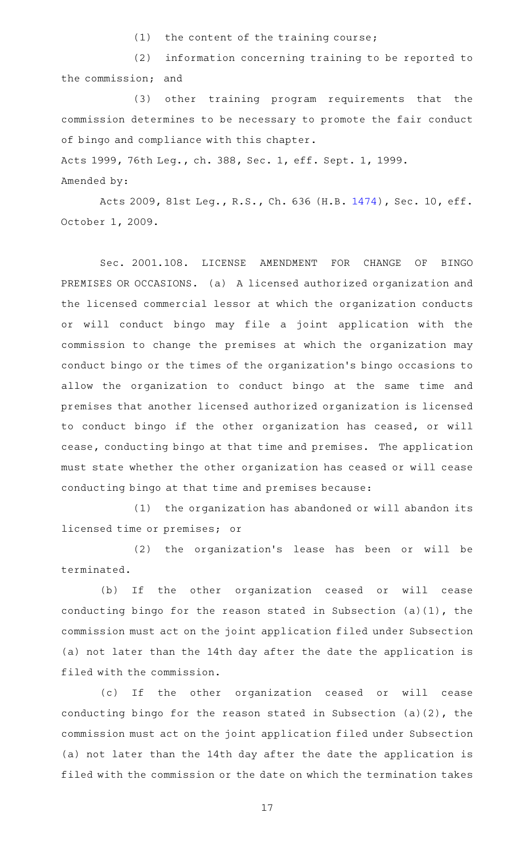$(1)$  the content of the training course;

(2) information concerning training to be reported to the commission; and

(3) other training program requirements that the commission determines to be necessary to promote the fair conduct of bingo and compliance with this chapter.

Acts 1999, 76th Leg., ch. 388, Sec. 1, eff. Sept. 1, 1999.

Amended by:

Acts 2009, 81st Leg., R.S., Ch. 636 (H.B. [1474\)](http://www.legis.state.tx.us/tlodocs/81R/billtext/html/HB01474F.HTM), Sec. 10, eff. October 1, 2009.

Sec. 2001.108. LICENSE AMENDMENT FOR CHANGE OF BINGO PREMISES OR OCCASIONS. (a) A licensed authorized organization and the licensed commercial lessor at which the organization conducts or will conduct bingo may file a joint application with the commission to change the premises at which the organization may conduct bingo or the times of the organization 's bingo occasions to allow the organization to conduct bingo at the same time and premises that another licensed authorized organization is licensed to conduct bingo if the other organization has ceased, or will cease, conducting bingo at that time and premises. The application must state whether the other organization has ceased or will cease conducting bingo at that time and premises because:

(1) the organization has abandoned or will abandon its licensed time or premises; or

(2) the organization's lease has been or will be terminated.

(b) If the other organization ceased or will cease conducting bingo for the reason stated in Subsection (a)(1), the commission must act on the joint application filed under Subsection (a) not later than the 14th day after the date the application is filed with the commission.

(c) If the other organization ceased or will cease conducting bingo for the reason stated in Subsection (a)(2), the commission must act on the joint application filed under Subsection (a) not later than the 14th day after the date the application is filed with the commission or the date on which the termination takes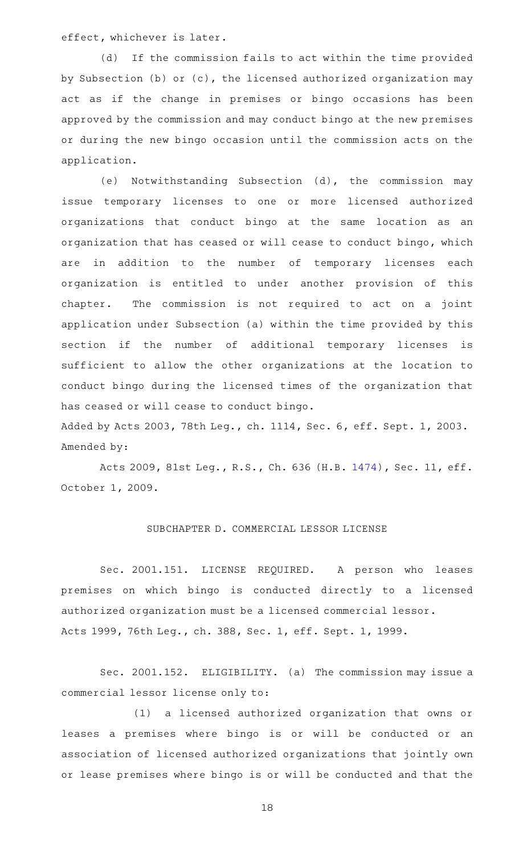effect, whichever is later.

(d) If the commission fails to act within the time provided by Subsection (b) or (c), the licensed authorized organization may act as if the change in premises or bingo occasions has been approved by the commission and may conduct bingo at the new premises or during the new bingo occasion until the commission acts on the application.

(e) Notwithstanding Subsection (d), the commission may issue temporary licenses to one or more licensed authorized organizations that conduct bingo at the same location as an organization that has ceased or will cease to conduct bingo, which are in addition to the number of temporary licenses each organization is entitled to under another provision of this chapter. The commission is not required to act on a joint application under Subsection (a) within the time provided by this section if the number of additional temporary licenses is sufficient to allow the other organizations at the location to conduct bingo during the licensed times of the organization that has ceased or will cease to conduct bingo.

Added by Acts 2003, 78th Leg., ch. 1114, Sec. 6, eff. Sept. 1, 2003. Amended by:

Acts 2009, 81st Leg., R.S., Ch. 636 (H.B. [1474\)](http://www.legis.state.tx.us/tlodocs/81R/billtext/html/HB01474F.HTM), Sec. 11, eff. October 1, 2009.

## SUBCHAPTER D. COMMERCIAL LESSOR LICENSE

Sec. 2001.151. LICENSE REQUIRED. A person who leases premises on which bingo is conducted directly to a licensed authorized organization must be a licensed commercial lessor. Acts 1999, 76th Leg., ch. 388, Sec. 1, eff. Sept. 1, 1999.

Sec. 2001.152. ELIGIBILITY. (a) The commission may issue a commercial lessor license only to:

(1) a licensed authorized organization that owns or leases a premises where bingo is or will be conducted or an association of licensed authorized organizations that jointly own or lease premises where bingo is or will be conducted and that the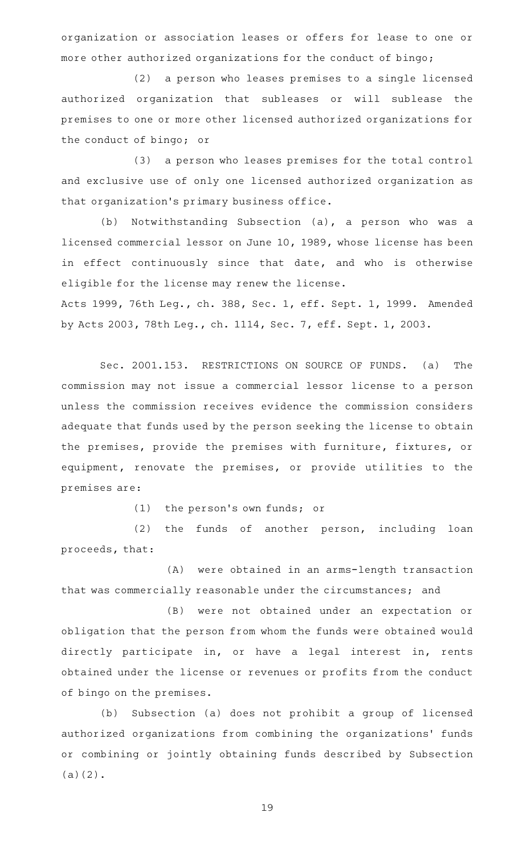organization or association leases or offers for lease to one or more other authorized organizations for the conduct of bingo;

(2) a person who leases premises to a single licensed authorized organization that subleases or will sublease the premises to one or more other licensed authorized organizations for the conduct of bingo; or

(3) a person who leases premises for the total control and exclusive use of only one licensed authorized organization as that organization 's primary business office.

(b) Notwithstanding Subsection (a), a person who was a licensed commercial lessor on June 10, 1989, whose license has been in effect continuously since that date, and who is otherwise eligible for the license may renew the license.

Acts 1999, 76th Leg., ch. 388, Sec. 1, eff. Sept. 1, 1999. Amended by Acts 2003, 78th Leg., ch. 1114, Sec. 7, eff. Sept. 1, 2003.

Sec. 2001.153. RESTRICTIONS ON SOURCE OF FUNDS. (a) The commission may not issue a commercial lessor license to a person unless the commission receives evidence the commission considers adequate that funds used by the person seeking the license to obtain the premises, provide the premises with furniture, fixtures, or equipment, renovate the premises, or provide utilities to the premises are:

(1) the person's own funds; or

(2) the funds of another person, including loan proceeds, that:

(A) were obtained in an arms-length transaction that was commercially reasonable under the circumstances; and

(B) were not obtained under an expectation or obligation that the person from whom the funds were obtained would directly participate in, or have a legal interest in, rents obtained under the license or revenues or profits from the conduct of bingo on the premises.

(b) Subsection (a) does not prohibit a group of licensed authorized organizations from combining the organizations' funds or combining or jointly obtaining funds described by Subsection (a)(2).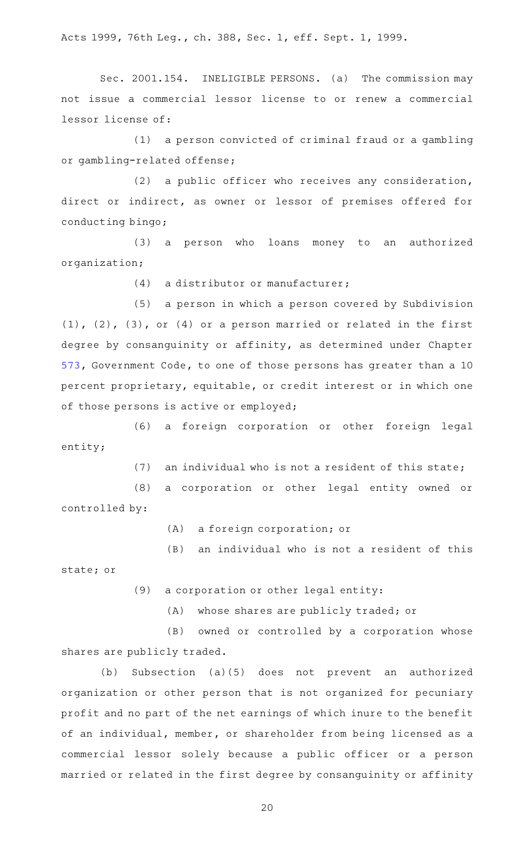Acts 1999, 76th Leg., ch. 388, Sec. 1, eff. Sept. 1, 1999.

Sec. 2001.154. INELIGIBLE PERSONS. (a) The commission may not issue a commercial lessor license to or renew a commercial lessor license of:

 $(1)$  a person convicted of criminal fraud or a gambling or gambling-related offense;

(2) a public officer who receives any consideration, direct or indirect, as owner or lessor of premises offered for conducting bingo;

(3) a person who loans money to an authorized organization;

 $(4)$  a distributor or manufacturer;

(5) a person in which a person covered by Subdivision (1), (2), (3), or (4) or a person married or related in the first degree by consanguinity or affinity, as determined under Chapter [573,](https://statutes.capitol.texas.gov/GetStatute.aspx?Code=GV&Value=573) Government Code, to one of those persons has greater than a 10 percent proprietary, equitable, or credit interest or in which one of those persons is active or employed;

(6) a foreign corporation or other foreign legal entity;

 $(7)$  an individual who is not a resident of this state;

(8) a corporation or other legal entity owned or controlled by:

(A) a foreign corporation; or

 $(B)$  an individual who is not a resident of this state; or

(9) a corporation or other legal entity:

(A) whose shares are publicly traded; or

(B) owned or controlled by a corporation whose shares are publicly traded.

(b) Subsection (a)(5) does not prevent an authorized organization or other person that is not organized for pecuniary profit and no part of the net earnings of which inure to the benefit of an individual, member, or shareholder from being licensed as a commercial lessor solely because a public officer or a person married or related in the first degree by consanguinity or affinity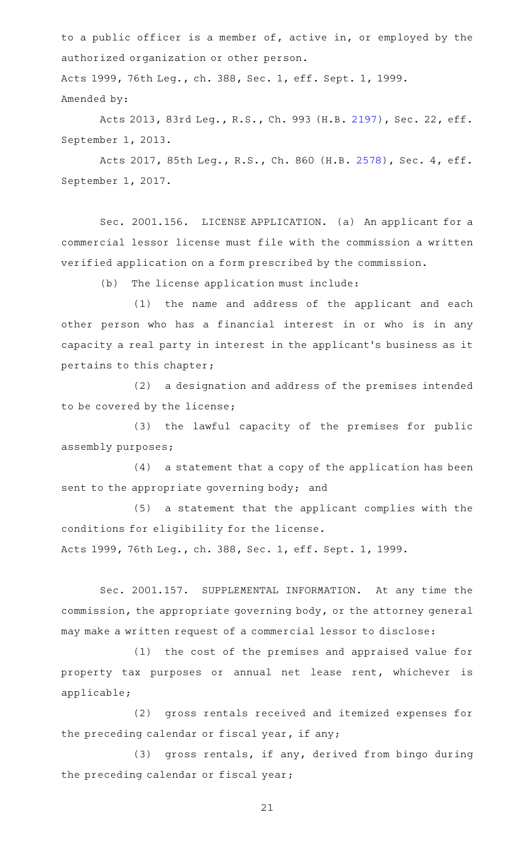to a public officer is a member of, active in, or employed by the authorized organization or other person.

Acts 1999, 76th Leg., ch. 388, Sec. 1, eff. Sept. 1, 1999. Amended by:

Acts 2013, 83rd Leg., R.S., Ch. 993 (H.B. [2197\)](http://www.legis.state.tx.us/tlodocs/83R/billtext/html/HB02197F.HTM), Sec. 22, eff. September 1, 2013.

Acts 2017, 85th Leg., R.S., Ch. 860 (H.B. [2578](http://www.legis.state.tx.us/tlodocs/85R/billtext/html/HB02578F.HTM)), Sec. 4, eff. September 1, 2017.

Sec. 2001.156. LICENSE APPLICATION. (a) An applicant for a commercial lessor license must file with the commission a written verified application on a form prescribed by the commission.

(b) The license application must include:

(1) the name and address of the applicant and each other person who has a financial interest in or who is in any capacity a real party in interest in the applicant 's business as it pertains to this chapter;

(2) a designation and address of the premises intended to be covered by the license;

(3) the lawful capacity of the premises for public assembly purposes;

 $(4)$  a statement that a copy of the application has been sent to the appropriate governing body; and

(5) a statement that the applicant complies with the conditions for eligibility for the license.

Acts 1999, 76th Leg., ch. 388, Sec. 1, eff. Sept. 1, 1999.

Sec. 2001.157. SUPPLEMENTAL INFORMATION. At any time the commission, the appropriate governing body, or the attorney general may make a written request of a commercial lessor to disclose:

(1) the cost of the premises and appraised value for property tax purposes or annual net lease rent, whichever is applicable;

(2) gross rentals received and itemized expenses for the preceding calendar or fiscal year, if any;

(3) gross rentals, if any, derived from bingo during the preceding calendar or fiscal year;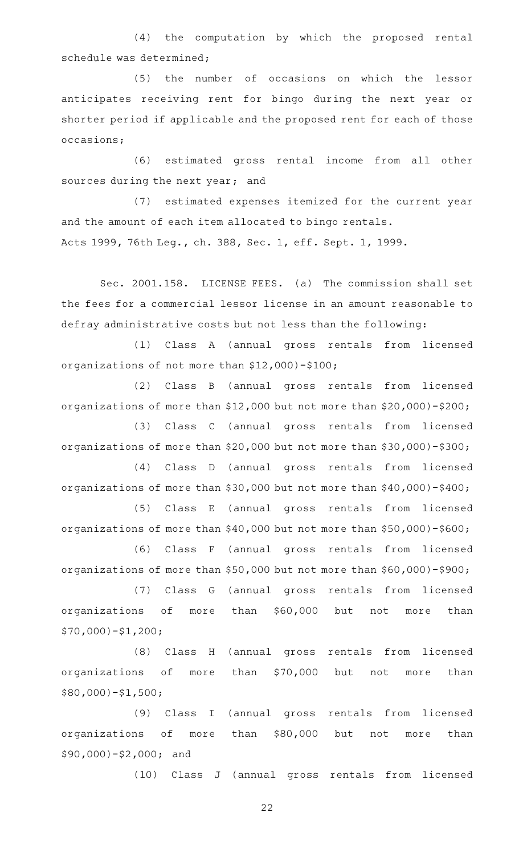(4) the computation by which the proposed rental schedule was determined;

(5) the number of occasions on which the lessor anticipates receiving rent for bingo during the next year or shorter period if applicable and the proposed rent for each of those occasions;

(6) estimated gross rental income from all other sources during the next year; and

(7) estimated expenses itemized for the current year and the amount of each item allocated to bingo rentals. Acts 1999, 76th Leg., ch. 388, Sec. 1, eff. Sept. 1, 1999.

Sec. 2001.158. LICENSE FEES. (a) The commission shall set the fees for a commercial lessor license in an amount reasonable to defray administrative costs but not less than the following:

(1) Class A (annual gross rentals from licensed organizations of not more than \$12,000)-\$100;

(2) Class B (annual gross rentals from licensed organizations of more than \$12,000 but not more than \$20,000)-\$200;

(3) Class C (annual gross rentals from licensed organizations of more than \$20,000 but not more than \$30,000)-\$300;

(4) Class D (annual gross rentals from licensed organizations of more than \$30,000 but not more than \$40,000)-\$400;

(5) Class E (annual gross rentals from licensed organizations of more than \$40,000 but not more than \$50,000)-\$600;

(6) Class F (annual gross rentals from licensed organizations of more than \$50,000 but not more than \$60,000)-\$900;

(7) Class G (annual gross rentals from licensed organizations of more than \$60,000 but not more than \$70,000)-\$1,200;

(8) Class H (annual gross rentals from licensed organizations of more than \$70,000 but not more than \$80,000)-\$1,500;

(9) Class I (annual gross rentals from licensed organizations of more than \$80,000 but not more than \$90,000)-\$2,000; and

(10) Class J (annual gross rentals from licensed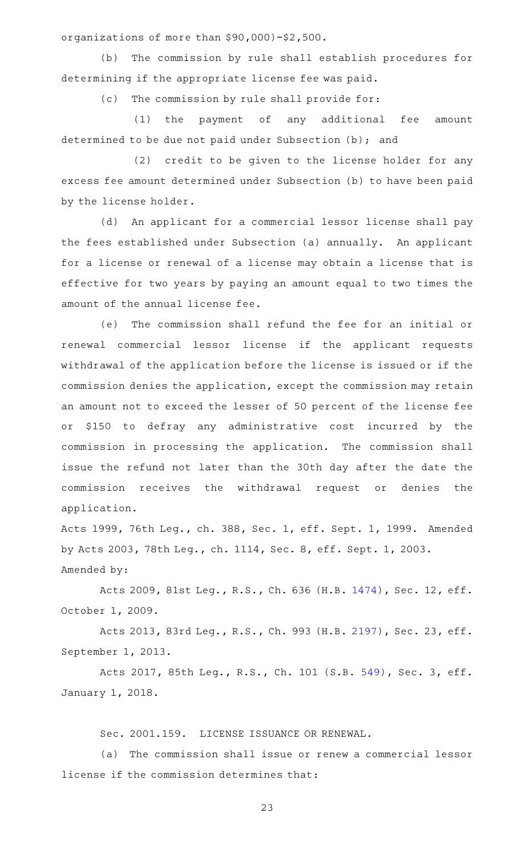organizations of more than \$90,000)-\$2,500.

(b) The commission by rule shall establish procedures for determining if the appropriate license fee was paid.

(c) The commission by rule shall provide for:

(1) the payment of any additional fee amount determined to be due not paid under Subsection (b); and

(2) credit to be given to the license holder for any excess fee amount determined under Subsection (b) to have been paid by the license holder.

(d) An applicant for a commercial lessor license shall pay the fees established under Subsection (a) annually. An applicant for a license or renewal of a license may obtain a license that is effective for two years by paying an amount equal to two times the amount of the annual license fee.

(e) The commission shall refund the fee for an initial or renewal commercial lessor license if the applicant requests withdrawal of the application before the license is issued or if the commission denies the application, except the commission may retain an amount not to exceed the lesser of 50 percent of the license fee or \$150 to defray any administrative cost incurred by the commission in processing the application. The commission shall issue the refund not later than the 30th day after the date the commission receives the withdrawal request or denies the application.

Acts 1999, 76th Leg., ch. 388, Sec. 1, eff. Sept. 1, 1999. Amended by Acts 2003, 78th Leg., ch. 1114, Sec. 8, eff. Sept. 1, 2003. Amended by:

Acts 2009, 81st Leg., R.S., Ch. 636 (H.B. [1474\)](http://www.legis.state.tx.us/tlodocs/81R/billtext/html/HB01474F.HTM), Sec. 12, eff. October 1, 2009.

Acts 2013, 83rd Leg., R.S., Ch. 993 (H.B. [2197\)](http://www.legis.state.tx.us/tlodocs/83R/billtext/html/HB02197F.HTM), Sec. 23, eff. September 1, 2013.

Acts 2017, 85th Leg., R.S., Ch. 101 (S.B. [549](http://www.legis.state.tx.us/tlodocs/85R/billtext/html/SB00549F.HTM)), Sec. 3, eff. January 1, 2018.

Sec. 2001.159. LICENSE ISSUANCE OR RENEWAL.

(a) The commission shall issue or renew a commercial lessor license if the commission determines that: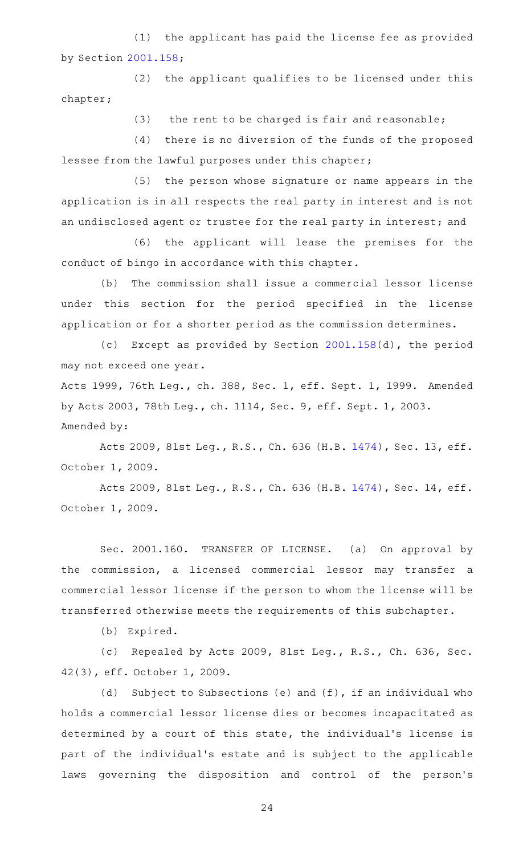(1) the applicant has paid the license fee as provided by Section [2001.158](https://statutes.capitol.texas.gov/GetStatute.aspx?Code=OC&Value=2001.158);

(2) the applicant qualifies to be licensed under this chapter;

(3) the rent to be charged is fair and reasonable;

(4) there is no diversion of the funds of the proposed lessee from the lawful purposes under this chapter;

(5) the person whose signature or name appears in the application is in all respects the real party in interest and is not an undisclosed agent or trustee for the real party in interest; and

(6) the applicant will lease the premises for the conduct of bingo in accordance with this chapter.

(b) The commission shall issue a commercial lessor license under this section for the period specified in the license application or for a shorter period as the commission determines.

(c) Except as provided by Section [2001.158\(](https://statutes.capitol.texas.gov/GetStatute.aspx?Code=OC&Value=2001.158)d), the period may not exceed one year.

Acts 1999, 76th Leg., ch. 388, Sec. 1, eff. Sept. 1, 1999. Amended by Acts 2003, 78th Leg., ch. 1114, Sec. 9, eff. Sept. 1, 2003. Amended by:

Acts 2009, 81st Leg., R.S., Ch. 636 (H.B. [1474\)](http://www.legis.state.tx.us/tlodocs/81R/billtext/html/HB01474F.HTM), Sec. 13, eff. October 1, 2009.

Acts 2009, 81st Leg., R.S., Ch. 636 (H.B. [1474\)](http://www.legis.state.tx.us/tlodocs/81R/billtext/html/HB01474F.HTM), Sec. 14, eff. October 1, 2009.

Sec. 2001.160. TRANSFER OF LICENSE. (a) On approval by the commission, a licensed commercial lessor may transfer a commercial lessor license if the person to whom the license will be transferred otherwise meets the requirements of this subchapter.

(b) Expired.

(c) Repealed by Acts 2009, 81st Leg., R.S., Ch. 636, Sec. 42(3), eff. October 1, 2009.

(d) Subject to Subsections (e) and  $(f)$ , if an individual who holds a commercial lessor license dies or becomes incapacitated as determined by a court of this state, the individual 's license is part of the individual 's estate and is subject to the applicable laws governing the disposition and control of the person's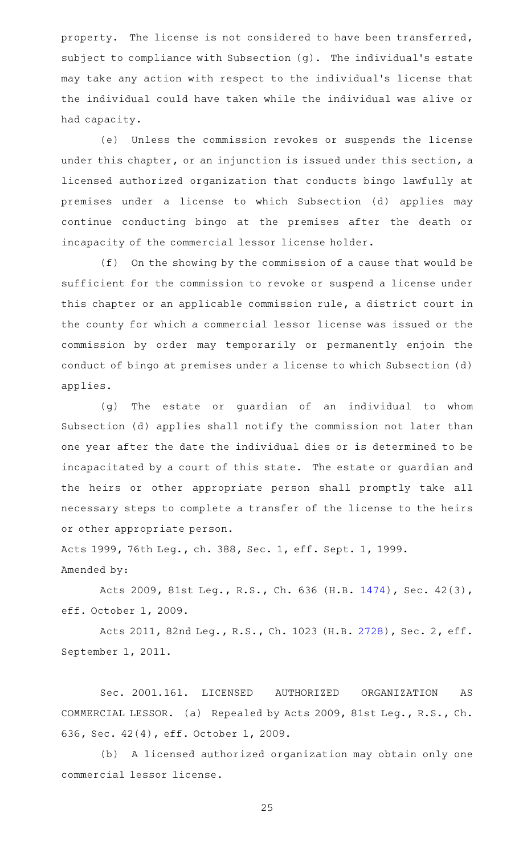property. The license is not considered to have been transferred, subject to compliance with Subsection (g). The individual 's estate may take any action with respect to the individual 's license that the individual could have taken while the individual was alive or had capacity.

(e) Unless the commission revokes or suspends the license under this chapter, or an injunction is issued under this section, a licensed authorized organization that conducts bingo lawfully at premises under a license to which Subsection (d) applies may continue conducting bingo at the premises after the death or incapacity of the commercial lessor license holder.

 $(f)$  On the showing by the commission of a cause that would be sufficient for the commission to revoke or suspend a license under this chapter or an applicable commission rule, a district court in the county for which a commercial lessor license was issued or the commission by order may temporarily or permanently enjoin the conduct of bingo at premises under a license to which Subsection (d) applies.

(g) The estate or guardian of an individual to whom Subsection (d) applies shall notify the commission not later than one year after the date the individual dies or is determined to be incapacitated by a court of this state. The estate or guardian and the heirs or other appropriate person shall promptly take all necessary steps to complete a transfer of the license to the heirs or other appropriate person.

Acts 1999, 76th Leg., ch. 388, Sec. 1, eff. Sept. 1, 1999. Amended by:

Acts 2009, 81st Leg., R.S., Ch. 636 (H.B. [1474\)](http://www.legis.state.tx.us/tlodocs/81R/billtext/html/HB01474F.HTM), Sec. 42(3), eff. October 1, 2009.

Acts 2011, 82nd Leg., R.S., Ch. 1023 (H.B. [2728](http://www.legis.state.tx.us/tlodocs/82R/billtext/html/HB02728F.HTM)), Sec. 2, eff. September 1, 2011.

Sec. 2001.161. LICENSED AUTHORIZED ORGANIZATION AS COMMERCIAL LESSOR. (a) Repealed by Acts 2009, 81st Leg., R.S., Ch. 636, Sec. 42(4), eff. October 1, 2009.

(b) A licensed authorized organization may obtain only one commercial lessor license.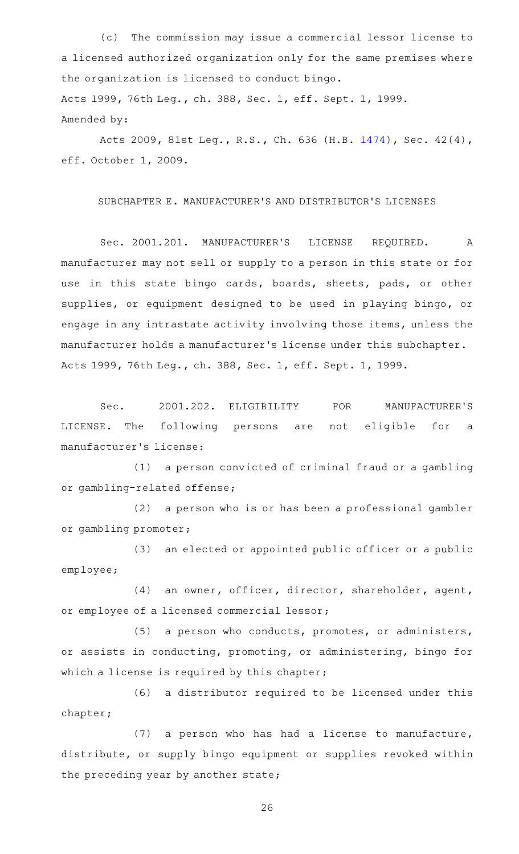(c) The commission may issue a commercial lessor license to a licensed authorized organization only for the same premises where the organization is licensed to conduct bingo. Acts 1999, 76th Leg., ch. 388, Sec. 1, eff. Sept. 1, 1999. Amended by:

Acts 2009, 81st Leg., R.S., Ch. 636 (H.B. [1474\)](http://www.legis.state.tx.us/tlodocs/81R/billtext/html/HB01474F.HTM), Sec. 42(4), eff. October 1, 2009.

SUBCHAPTER E. MANUFACTURER 'S AND DISTRIBUTOR 'S LICENSES

Sec. 2001.201. MANUFACTURER'S LICENSE REQUIRED. A manufacturer may not sell or supply to a person in this state or for use in this state bingo cards, boards, sheets, pads, or other supplies, or equipment designed to be used in playing bingo, or engage in any intrastate activity involving those items, unless the manufacturer holds a manufacturer 's license under this subchapter. Acts 1999, 76th Leg., ch. 388, Sec. 1, eff. Sept. 1, 1999.

Sec. 2001.202. ELIGIBILITY FOR MANUFACTURER'S LICENSE. The following persons are not eligible for a manufacturer 's license:

(1) a person convicted of criminal fraud or a gambling or gambling-related offense;

(2) a person who is or has been a professional gambler or gambling promoter;

(3) an elected or appointed public officer or a public employee;

(4) an owner, officer, director, shareholder, agent, or employee of a licensed commercial lessor;

(5) a person who conducts, promotes, or administers, or assists in conducting, promoting, or administering, bingo for which a license is required by this chapter;

(6) a distributor required to be licensed under this chapter;

 $(7)$  a person who has had a license to manufacture, distribute, or supply bingo equipment or supplies revoked within the preceding year by another state;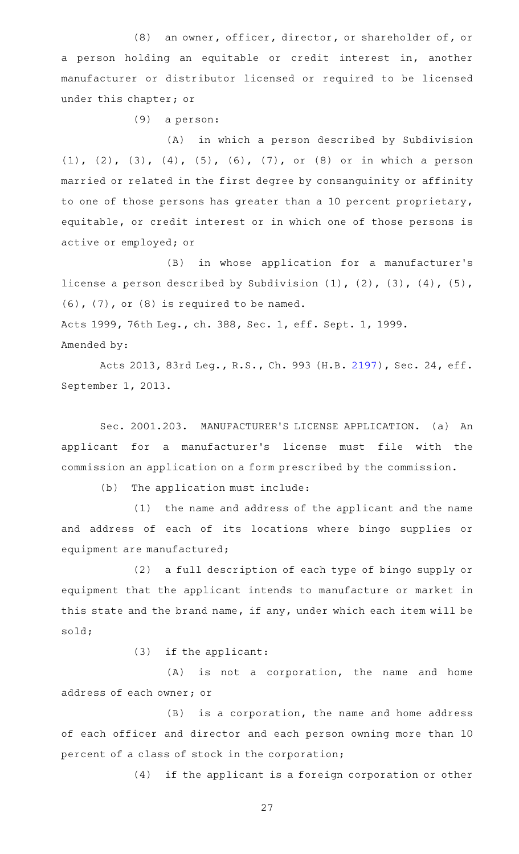(8) an owner, officer, director, or shareholder of, or a person holding an equitable or credit interest in, another manufacturer or distributor licensed or required to be licensed under this chapter; or

 $(9)$  a person:

(A) in which a person described by Subdivision (1), (2), (3), (4), (5), (6), (7), or (8) or in which a person married or related in the first degree by consanguinity or affinity to one of those persons has greater than a 10 percent proprietary, equitable, or credit interest or in which one of those persons is active or employed; or

(B) in whose application for a manufacturer's license a person described by Subdivision (1), (2), (3), (4), (5), (6), (7), or (8) is required to be named. Acts 1999, 76th Leg., ch. 388, Sec. 1, eff. Sept. 1, 1999. Amended by:

Acts 2013, 83rd Leg., R.S., Ch. 993 (H.B. [2197\)](http://www.legis.state.tx.us/tlodocs/83R/billtext/html/HB02197F.HTM), Sec. 24, eff. September 1, 2013.

Sec. 2001.203. MANUFACTURER'S LICENSE APPLICATION. (a) An applicant for a manufacturer 's license must file with the commission an application on a form prescribed by the commission.

(b) The application must include:

(1) the name and address of the applicant and the name and address of each of its locations where bingo supplies or equipment are manufactured;

(2) a full description of each type of bingo supply or equipment that the applicant intends to manufacture or market in this state and the brand name, if any, under which each item will be sold;

 $(3)$  if the applicant:

 $(A)$  is not a corporation, the name and home address of each owner; or

 $(B)$  is a corporation, the name and home address of each officer and director and each person owning more than 10 percent of a class of stock in the corporation;

(4) if the applicant is a foreign corporation or other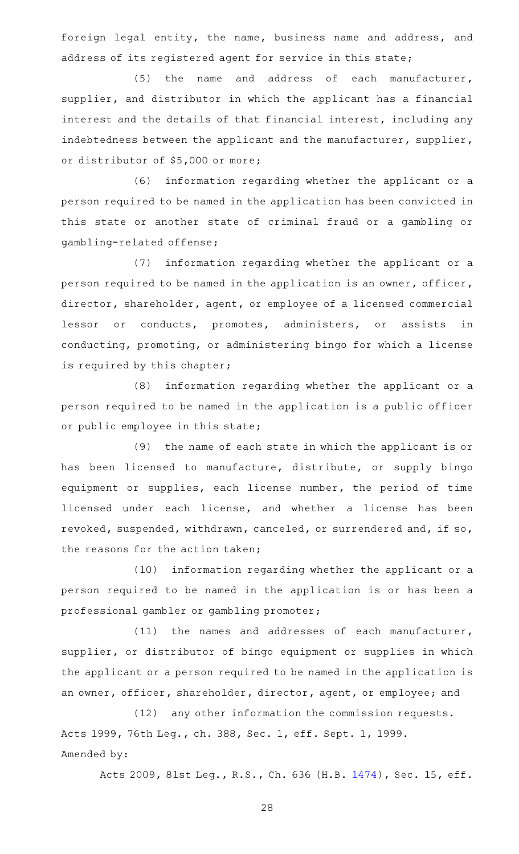foreign legal entity, the name, business name and address, and address of its registered agent for service in this state;

(5) the name and address of each manufacturer, supplier, and distributor in which the applicant has a financial interest and the details of that financial interest, including any indebtedness between the applicant and the manufacturer, supplier, or distributor of \$5,000 or more;

(6) information regarding whether the applicant or a person required to be named in the application has been convicted in this state or another state of criminal fraud or a gambling or gambling-related offense;

(7) information regarding whether the applicant or a person required to be named in the application is an owner, officer, director, shareholder, agent, or employee of a licensed commercial lessor or conducts, promotes, administers, or assists in conducting, promoting, or administering bingo for which a license is required by this chapter;

(8) information regarding whether the applicant or a person required to be named in the application is a public officer or public employee in this state;

(9) the name of each state in which the applicant is or has been licensed to manufacture, distribute, or supply bingo equipment or supplies, each license number, the period of time licensed under each license, and whether a license has been revoked, suspended, withdrawn, canceled, or surrendered and, if so, the reasons for the action taken;

(10) information regarding whether the applicant or a person required to be named in the application is or has been a professional gambler or gambling promoter;

 $(11)$  the names and addresses of each manufacturer, supplier, or distributor of bingo equipment or supplies in which the applicant or a person required to be named in the application is an owner, officer, shareholder, director, agent, or employee; and

(12) any other information the commission requests. Acts 1999, 76th Leg., ch. 388, Sec. 1, eff. Sept. 1, 1999. Amended by:

Acts 2009, 81st Leg., R.S., Ch. 636 (H.B. [1474\)](http://www.legis.state.tx.us/tlodocs/81R/billtext/html/HB01474F.HTM), Sec. 15, eff.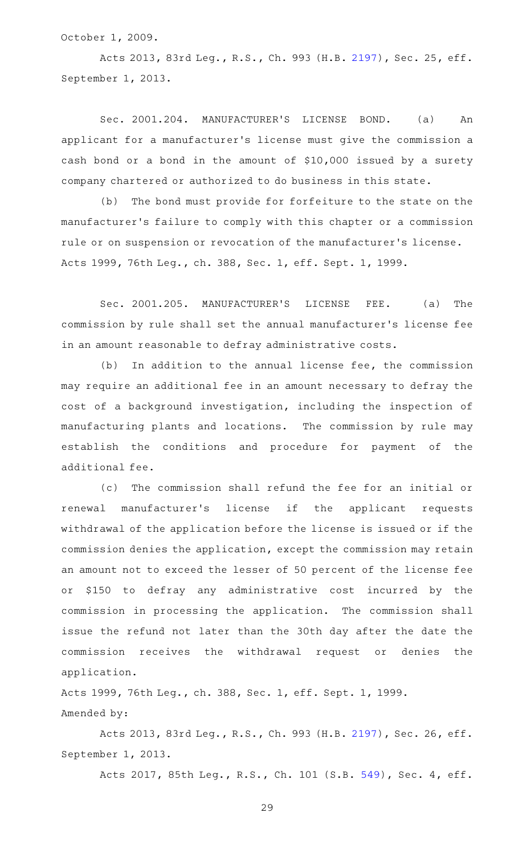October 1, 2009.

Acts 2013, 83rd Leg., R.S., Ch. 993 (H.B. [2197\)](http://www.legis.state.tx.us/tlodocs/83R/billtext/html/HB02197F.HTM), Sec. 25, eff. September 1, 2013.

Sec. 2001.204. MANUFACTURER'S LICENSE BOND. (a) An applicant for a manufacturer 's license must give the commission a cash bond or a bond in the amount of \$10,000 issued by a surety company chartered or authorized to do business in this state.

(b) The bond must provide for forfeiture to the state on the manufacturer 's failure to comply with this chapter or a commission rule or on suspension or revocation of the manufacturer 's license. Acts 1999, 76th Leg., ch. 388, Sec. 1, eff. Sept. 1, 1999.

Sec. 2001.205. MANUFACTURER'S LICENSE FEE. (a) The commission by rule shall set the annual manufacturer 's license fee in an amount reasonable to defray administrative costs.

 $(b)$  In addition to the annual license fee, the commission may require an additional fee in an amount necessary to defray the cost of a background investigation, including the inspection of manufacturing plants and locations. The commission by rule may establish the conditions and procedure for payment of the additional fee.

(c) The commission shall refund the fee for an initial or renewal manufacturer 's license if the applicant requests withdrawal of the application before the license is issued or if the commission denies the application, except the commission may retain an amount not to exceed the lesser of 50 percent of the license fee or \$150 to defray any administrative cost incurred by the commission in processing the application. The commission shall issue the refund not later than the 30th day after the date the commission receives the withdrawal request or denies the application.

Acts 1999, 76th Leg., ch. 388, Sec. 1, eff. Sept. 1, 1999. Amended by:

Acts 2013, 83rd Leg., R.S., Ch. 993 (H.B. [2197\)](http://www.legis.state.tx.us/tlodocs/83R/billtext/html/HB02197F.HTM), Sec. 26, eff. September 1, 2013.

Acts 2017, 85th Leg., R.S., Ch. 101 (S.B. [549](http://www.legis.state.tx.us/tlodocs/85R/billtext/html/SB00549F.HTM)), Sec. 4, eff.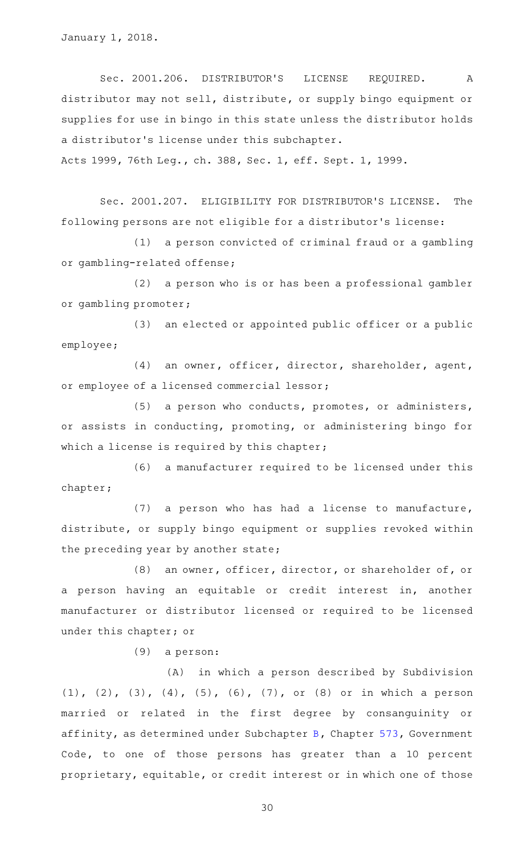January 1, 2018.

Sec. 2001.206. DISTRIBUTOR'S LICENSE REQUIRED. A distributor may not sell, distribute, or supply bingo equipment or supplies for use in bingo in this state unless the distributor holds a distributor 's license under this subchapter.

Acts 1999, 76th Leg., ch. 388, Sec. 1, eff. Sept. 1, 1999.

Sec. 2001.207. ELIGIBILITY FOR DISTRIBUTOR'S LICENSE. The following persons are not eligible for a distributor 's license:

(1) a person convicted of criminal fraud or a gambling or gambling-related offense;

(2) a person who is or has been a professional gambler or gambling promoter;

 $(3)$  an elected or appointed public officer or a public employee;

(4) an owner, officer, director, shareholder, agent, or employee of a licensed commercial lessor;

(5) a person who conducts, promotes, or administers, or assists in conducting, promoting, or administering bingo for which a license is required by this chapter;

(6) a manufacturer required to be licensed under this chapter;

 $(7)$  a person who has had a license to manufacture, distribute, or supply bingo equipment or supplies revoked within the preceding year by another state;

(8) an owner, officer, director, or shareholder of, or a person having an equitable or credit interest in, another manufacturer or distributor licensed or required to be licensed under this chapter; or

 $(9)$  a person:

(A) in which a person described by Subdivision (1), (2), (3), (4), (5), (6), (7), or (8) or in which a person married or related in the first degree by consanguinity or affinity, as determined under Subchapter [B,](https://statutes.capitol.texas.gov/GetStatute.aspx?Code=GV&Value=573.021) Chapter [573,](https://statutes.capitol.texas.gov/GetStatute.aspx?Code=GV&Value=573) Government Code, to one of those persons has greater than a 10 percent proprietary, equitable, or credit interest or in which one of those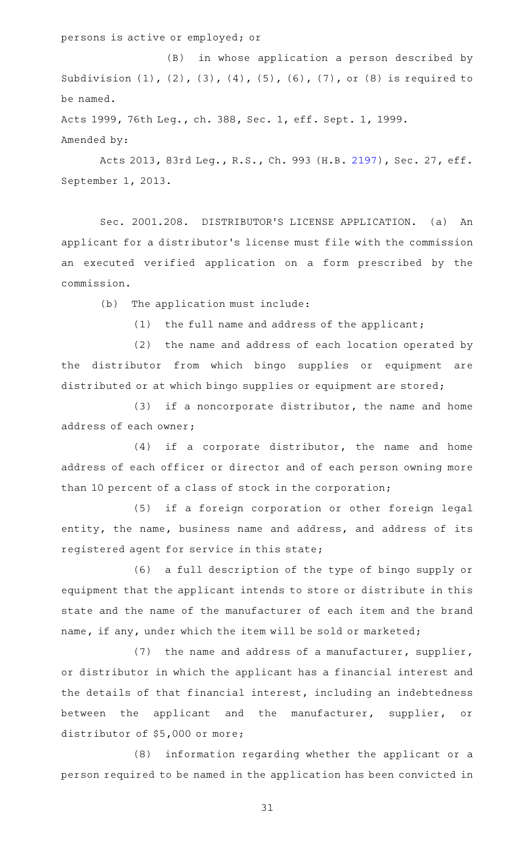persons is active or employed; or

(B) in whose application a person described by Subdivision (1), (2), (3), (4), (5), (6), (7), or (8) is required to be named.

Acts 1999, 76th Leg., ch. 388, Sec. 1, eff. Sept. 1, 1999. Amended by:

Acts 2013, 83rd Leg., R.S., Ch. 993 (H.B. [2197\)](http://www.legis.state.tx.us/tlodocs/83R/billtext/html/HB02197F.HTM), Sec. 27, eff. September 1, 2013.

Sec. 2001.208. DISTRIBUTOR'S LICENSE APPLICATION. (a) An applicant for a distributor 's license must file with the commission an executed verified application on a form prescribed by the commission.

(b) The application must include:

 $(1)$  the full name and address of the applicant;

(2) the name and address of each location operated by the distributor from which bingo supplies or equipment are distributed or at which bingo supplies or equipment are stored;

 $(3)$  if a noncorporate distributor, the name and home address of each owner;

 $(4)$  if a corporate distributor, the name and home address of each officer or director and of each person owning more than 10 percent of a class of stock in the corporation;

(5) if a foreign corporation or other foreign legal entity, the name, business name and address, and address of its registered agent for service in this state;

(6) a full description of the type of bingo supply or equipment that the applicant intends to store or distribute in this state and the name of the manufacturer of each item and the brand name, if any, under which the item will be sold or marketed;

(7) the name and address of a manufacturer, supplier, or distributor in which the applicant has a financial interest and the details of that financial interest, including an indebtedness between the applicant and the manufacturer, supplier, or distributor of \$5,000 or more;

(8) information regarding whether the applicant or a person required to be named in the application has been convicted in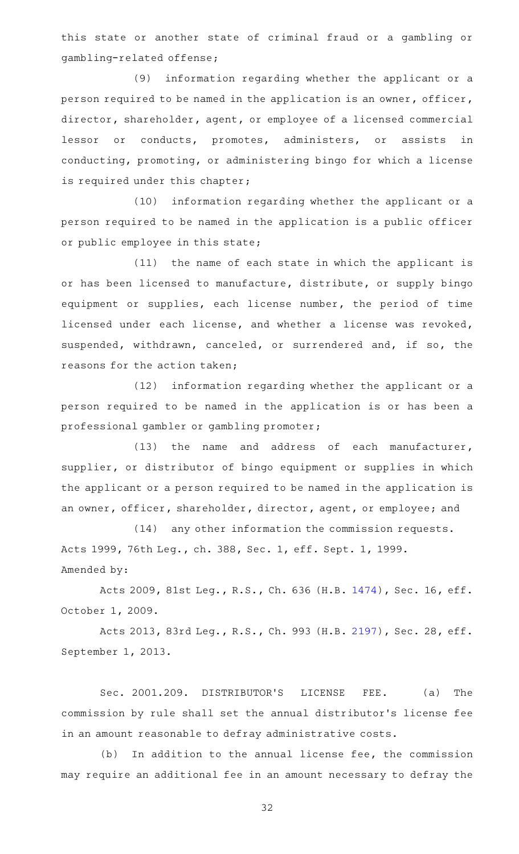this state or another state of criminal fraud or a gambling or gambling-related offense;

(9) information regarding whether the applicant or a person required to be named in the application is an owner, officer, director, shareholder, agent, or employee of a licensed commercial lessor or conducts, promotes, administers, or assists in conducting, promoting, or administering bingo for which a license is required under this chapter;

 $(10)$  information regarding whether the applicant or a person required to be named in the application is a public officer or public employee in this state;

(11) the name of each state in which the applicant is or has been licensed to manufacture, distribute, or supply bingo equipment or supplies, each license number, the period of time licensed under each license, and whether a license was revoked, suspended, withdrawn, canceled, or surrendered and, if so, the reasons for the action taken;

(12) information regarding whether the applicant or a person required to be named in the application is or has been a professional gambler or gambling promoter;

 $(13)$  the name and address of each manufacturer, supplier, or distributor of bingo equipment or supplies in which the applicant or a person required to be named in the application is an owner, officer, shareholder, director, agent, or employee; and

(14) any other information the commission requests. Acts 1999, 76th Leg., ch. 388, Sec. 1, eff. Sept. 1, 1999. Amended by:

Acts 2009, 81st Leg., R.S., Ch. 636 (H.B. [1474\)](http://www.legis.state.tx.us/tlodocs/81R/billtext/html/HB01474F.HTM), Sec. 16, eff. October 1, 2009.

Acts 2013, 83rd Leg., R.S., Ch. 993 (H.B. [2197\)](http://www.legis.state.tx.us/tlodocs/83R/billtext/html/HB02197F.HTM), Sec. 28, eff. September 1, 2013.

Sec. 2001.209. DISTRIBUTOR'S LICENSE FEE. (a) The commission by rule shall set the annual distributor 's license fee in an amount reasonable to defray administrative costs.

 $(b)$  In addition to the annual license fee, the commission may require an additional fee in an amount necessary to defray the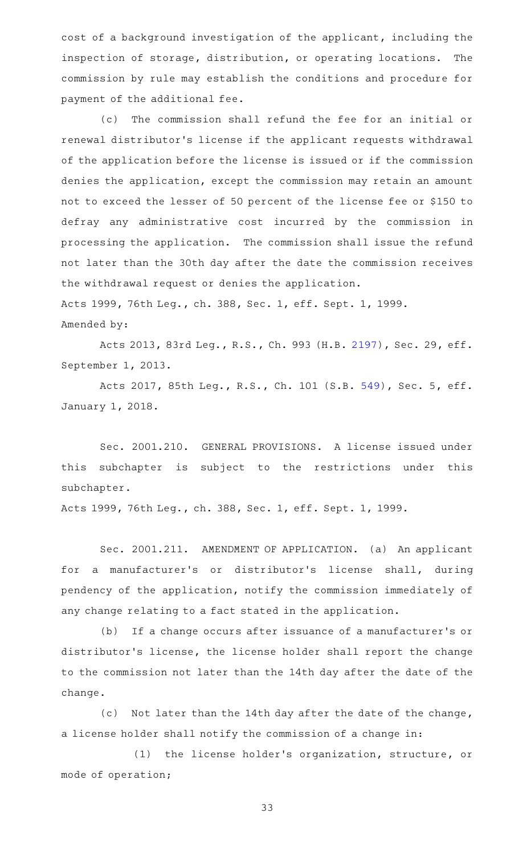cost of a background investigation of the applicant, including the inspection of storage, distribution, or operating locations. The commission by rule may establish the conditions and procedure for payment of the additional fee.

(c) The commission shall refund the fee for an initial or renewal distributor 's license if the applicant requests withdrawal of the application before the license is issued or if the commission denies the application, except the commission may retain an amount not to exceed the lesser of 50 percent of the license fee or \$150 to defray any administrative cost incurred by the commission in processing the application. The commission shall issue the refund not later than the 30th day after the date the commission receives the withdrawal request or denies the application. Acts 1999, 76th Leg., ch. 388, Sec. 1, eff. Sept. 1, 1999.

Amended by:

Acts 2013, 83rd Leg., R.S., Ch. 993 (H.B. [2197\)](http://www.legis.state.tx.us/tlodocs/83R/billtext/html/HB02197F.HTM), Sec. 29, eff. September 1, 2013.

Acts 2017, 85th Leg., R.S., Ch. 101 (S.B. [549](http://www.legis.state.tx.us/tlodocs/85R/billtext/html/SB00549F.HTM)), Sec. 5, eff. January 1, 2018.

Sec. 2001.210. GENERAL PROVISIONS. A license issued under this subchapter is subject to the restrictions under this subchapter.

Acts 1999, 76th Leg., ch. 388, Sec. 1, eff. Sept. 1, 1999.

Sec. 2001.211. AMENDMENT OF APPLICATION. (a) An applicant for a manufacturer's or distributor's license shall, during pendency of the application, notify the commission immediately of any change relating to a fact stated in the application.

(b) If a change occurs after issuance of a manufacturer's or distributor 's license, the license holder shall report the change to the commission not later than the 14th day after the date of the change.

(c) Not later than the 14th day after the date of the change, a license holder shall notify the commission of a change in:

(1) the license holder's organization, structure, or mode of operation;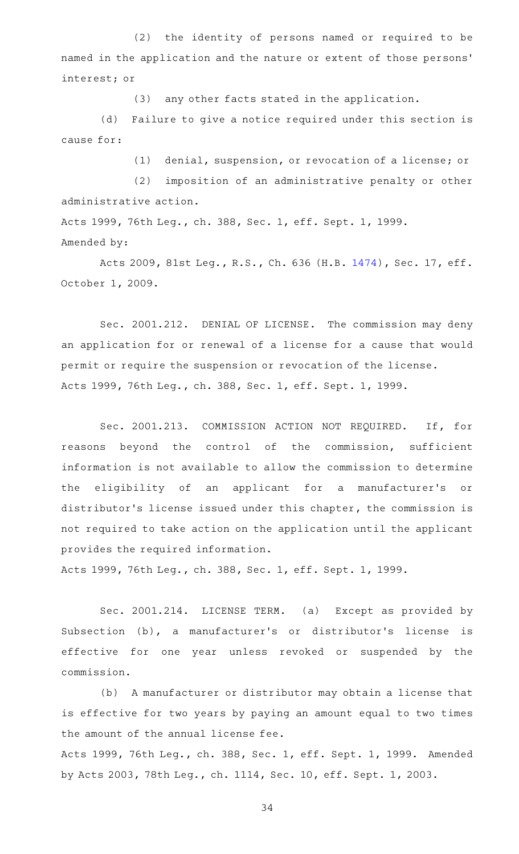(2) the identity of persons named or required to be named in the application and the nature or extent of those persons ' interest; or

(3) any other facts stated in the application.

(d) Failure to give a notice required under this section is cause for:

(1) denial, suspension, or revocation of a license; or

(2) imposition of an administrative penalty or other administrative action.

Acts 1999, 76th Leg., ch. 388, Sec. 1, eff. Sept. 1, 1999. Amended by:

Acts 2009, 81st Leg., R.S., Ch. 636 (H.B. [1474\)](http://www.legis.state.tx.us/tlodocs/81R/billtext/html/HB01474F.HTM), Sec. 17, eff. October 1, 2009.

Sec. 2001.212. DENIAL OF LICENSE. The commission may deny an application for or renewal of a license for a cause that would permit or require the suspension or revocation of the license. Acts 1999, 76th Leg., ch. 388, Sec. 1, eff. Sept. 1, 1999.

Sec. 2001.213. COMMISSION ACTION NOT REQUIRED. If, for reasons beyond the control of the commission, sufficient information is not available to allow the commission to determine the eligibility of an applicant for a manufacturer's or distributor 's license issued under this chapter, the commission is not required to take action on the application until the applicant provides the required information.

Acts 1999, 76th Leg., ch. 388, Sec. 1, eff. Sept. 1, 1999.

Sec. 2001.214. LICENSE TERM. (a) Except as provided by Subsection (b), a manufacturer 's or distributor 's license is effective for one year unless revoked or suspended by the commission.

(b) A manufacturer or distributor may obtain a license that is effective for two years by paying an amount equal to two times the amount of the annual license fee.

Acts 1999, 76th Leg., ch. 388, Sec. 1, eff. Sept. 1, 1999. Amended by Acts 2003, 78th Leg., ch. 1114, Sec. 10, eff. Sept. 1, 2003.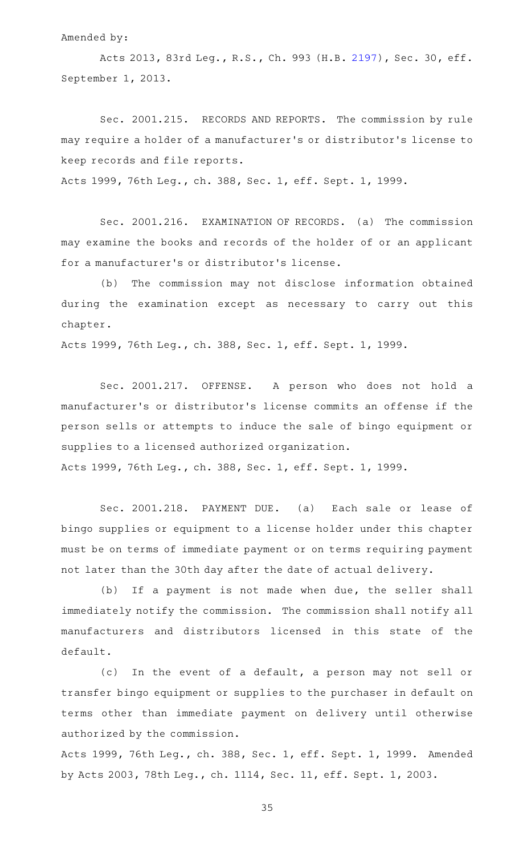Amended by:

Acts 2013, 83rd Leg., R.S., Ch. 993 (H.B. [2197\)](http://www.legis.state.tx.us/tlodocs/83R/billtext/html/HB02197F.HTM), Sec. 30, eff. September 1, 2013.

Sec. 2001.215. RECORDS AND REPORTS. The commission by rule may require a holder of a manufacturer 's or distributor 's license to keep records and file reports.

Acts 1999, 76th Leg., ch. 388, Sec. 1, eff. Sept. 1, 1999.

Sec. 2001.216. EXAMINATION OF RECORDS. (a) The commission may examine the books and records of the holder of or an applicant for a manufacturer 's or distributor 's license.

(b) The commission may not disclose information obtained during the examination except as necessary to carry out this chapter.

Acts 1999, 76th Leg., ch. 388, Sec. 1, eff. Sept. 1, 1999.

Sec. 2001.217. OFFENSE. A person who does not hold a manufacturer 's or distributor 's license commits an offense if the person sells or attempts to induce the sale of bingo equipment or supplies to a licensed authorized organization. Acts 1999, 76th Leg., ch. 388, Sec. 1, eff. Sept. 1, 1999.

Sec. 2001.218. PAYMENT DUE. (a) Each sale or lease of bingo supplies or equipment to a license holder under this chapter must be on terms of immediate payment or on terms requiring payment not later than the 30th day after the date of actual delivery.

(b) If a payment is not made when due, the seller shall immediately notify the commission. The commission shall notify all manufacturers and distributors licensed in this state of the default.

(c) In the event of a default, a person may not sell or transfer bingo equipment or supplies to the purchaser in default on terms other than immediate payment on delivery until otherwise authorized by the commission.

Acts 1999, 76th Leg., ch. 388, Sec. 1, eff. Sept. 1, 1999. Amended by Acts 2003, 78th Leg., ch. 1114, Sec. 11, eff. Sept. 1, 2003.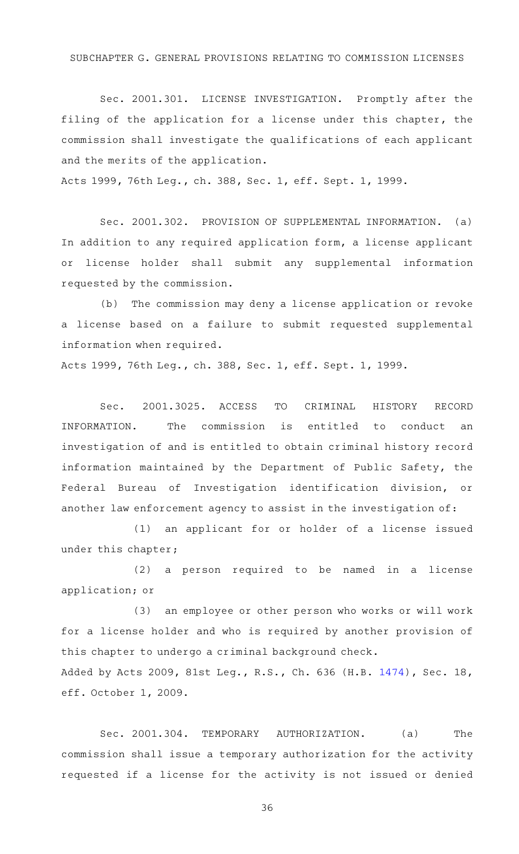#### SUBCHAPTER G. GENERAL PROVISIONS RELATING TO COMMISSION LICENSES

Sec. 2001.301. LICENSE INVESTIGATION. Promptly after the filing of the application for a license under this chapter, the commission shall investigate the qualifications of each applicant and the merits of the application.

Acts 1999, 76th Leg., ch. 388, Sec. 1, eff. Sept. 1, 1999.

Sec. 2001.302. PROVISION OF SUPPLEMENTAL INFORMATION. (a) In addition to any required application form, a license applicant or license holder shall submit any supplemental information requested by the commission.

(b) The commission may deny a license application or revoke a license based on a failure to submit requested supplemental information when required.

Acts 1999, 76th Leg., ch. 388, Sec. 1, eff. Sept. 1, 1999.

Sec. 2001.3025. ACCESS TO CRIMINAL HISTORY RECORD INFORMATION. The commission is entitled to conduct an investigation of and is entitled to obtain criminal history record information maintained by the Department of Public Safety, the Federal Bureau of Investigation identification division, or another law enforcement agency to assist in the investigation of:

(1) an applicant for or holder of a license issued under this chapter;

(2) a person required to be named in a license application; or

(3) an employee or other person who works or will work for a license holder and who is required by another provision of this chapter to undergo a criminal background check. Added by Acts 2009, 81st Leg., R.S., Ch. 636 (H.B. [1474\)](http://www.legis.state.tx.us/tlodocs/81R/billtext/html/HB01474F.HTM), Sec. 18, eff. October 1, 2009.

Sec. 2001.304. TEMPORARY AUTHORIZATION. (a) The commission shall issue a temporary authorization for the activity requested if a license for the activity is not issued or denied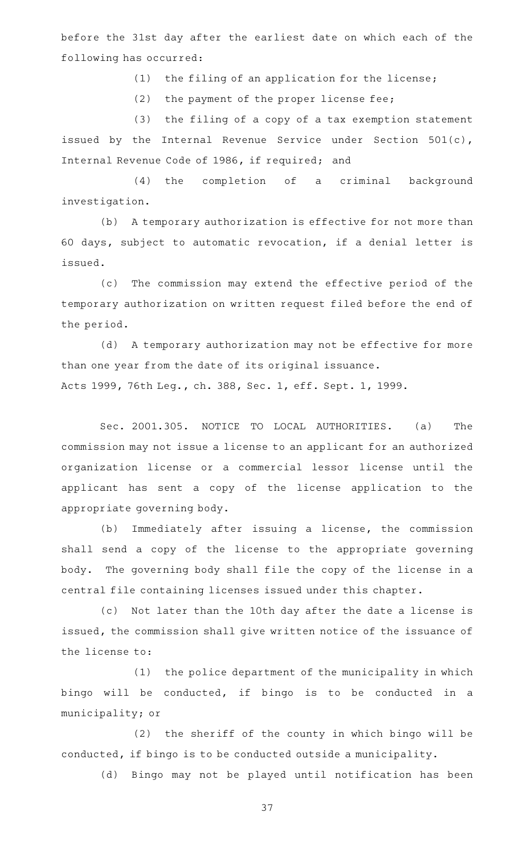before the 31st day after the earliest date on which each of the following has occurred:

 $(1)$  the filing of an application for the license;

 $(2)$  the payment of the proper license fee;

(3) the filing of a copy of a tax exemption statement issued by the Internal Revenue Service under Section 501(c), Internal Revenue Code of 1986, if required; and

(4) the completion of a criminal background investigation.

(b) A temporary authorization is effective for not more than 60 days, subject to automatic revocation, if a denial letter is issued.

(c) The commission may extend the effective period of the temporary authorization on written request filed before the end of the period.

(d) A temporary authorization may not be effective for more than one year from the date of its original issuance. Acts 1999, 76th Leg., ch. 388, Sec. 1, eff. Sept. 1, 1999.

Sec. 2001.305. NOTICE TO LOCAL AUTHORITIES. (a) The commission may not issue a license to an applicant for an authorized organization license or a commercial lessor license until the applicant has sent a copy of the license application to the appropriate governing body.

(b) Immediately after issuing a license, the commission shall send a copy of the license to the appropriate governing body. The governing body shall file the copy of the license in a central file containing licenses issued under this chapter.

(c) Not later than the 10th day after the date a license is issued, the commission shall give written notice of the issuance of the license to:

(1) the police department of the municipality in which bingo will be conducted, if bingo is to be conducted in a municipality; or

(2) the sheriff of the county in which bingo will be conducted, if bingo is to be conducted outside a municipality.

(d) Bingo may not be played until notification has been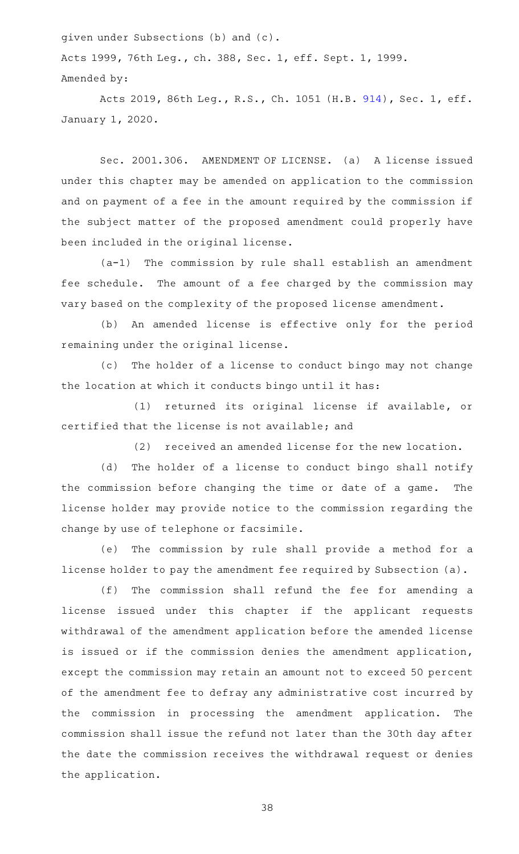given under Subsections (b) and (c).

Acts 1999, 76th Leg., ch. 388, Sec. 1, eff. Sept. 1, 1999. Amended by:

Acts 2019, 86th Leg., R.S., Ch. 1051 (H.B. [914](http://www.legis.state.tx.us/tlodocs/86R/billtext/html/HB00914F.HTM)), Sec. 1, eff. January 1, 2020.

Sec. 2001.306. AMENDMENT OF LICENSE. (a) A license issued under this chapter may be amended on application to the commission and on payment of a fee in the amount required by the commission if the subject matter of the proposed amendment could properly have been included in the original license.

 $(a-1)$  The commission by rule shall establish an amendment fee schedule. The amount of a fee charged by the commission may vary based on the complexity of the proposed license amendment.

(b) An amended license is effective only for the period remaining under the original license.

(c) The holder of a license to conduct bingo may not change the location at which it conducts bingo until it has:

(1) returned its original license if available, or certified that the license is not available; and

(2) received an amended license for the new location.

(d) The holder of a license to conduct bingo shall notify the commission before changing the time or date of a game. The license holder may provide notice to the commission regarding the change by use of telephone or facsimile.

(e) The commission by rule shall provide a method for a license holder to pay the amendment fee required by Subsection (a).

(f) The commission shall refund the fee for amending a license issued under this chapter if the applicant requests withdrawal of the amendment application before the amended license is issued or if the commission denies the amendment application, except the commission may retain an amount not to exceed 50 percent of the amendment fee to defray any administrative cost incurred by the commission in processing the amendment application. The commission shall issue the refund not later than the 30th day after the date the commission receives the withdrawal request or denies the application.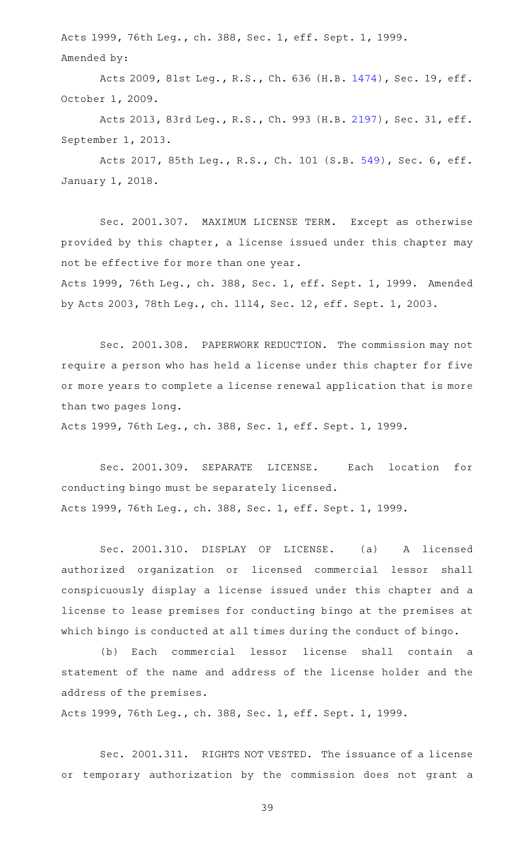Acts 1999, 76th Leg., ch. 388, Sec. 1, eff. Sept. 1, 1999. Amended by:

Acts 2009, 81st Leg., R.S., Ch. 636 (H.B. [1474\)](http://www.legis.state.tx.us/tlodocs/81R/billtext/html/HB01474F.HTM), Sec. 19, eff. October 1, 2009.

Acts 2013, 83rd Leg., R.S., Ch. 993 (H.B. [2197\)](http://www.legis.state.tx.us/tlodocs/83R/billtext/html/HB02197F.HTM), Sec. 31, eff. September 1, 2013.

Acts 2017, 85th Leg., R.S., Ch. 101 (S.B. [549](http://www.legis.state.tx.us/tlodocs/85R/billtext/html/SB00549F.HTM)), Sec. 6, eff. January 1, 2018.

Sec. 2001.307. MAXIMUM LICENSE TERM. Except as otherwise provided by this chapter, a license issued under this chapter may not be effective for more than one year.

Acts 1999, 76th Leg., ch. 388, Sec. 1, eff. Sept. 1, 1999. Amended by Acts 2003, 78th Leg., ch. 1114, Sec. 12, eff. Sept. 1, 2003.

Sec. 2001.308. PAPERWORK REDUCTION. The commission may not require a person who has held a license under this chapter for five or more years to complete a license renewal application that is more than two pages long.

Acts 1999, 76th Leg., ch. 388, Sec. 1, eff. Sept. 1, 1999.

Sec. 2001.309. SEPARATE LICENSE. Each location for conducting bingo must be separately licensed. Acts 1999, 76th Leg., ch. 388, Sec. 1, eff. Sept. 1, 1999.

Sec. 2001.310. DISPLAY OF LICENSE. (a) A licensed authorized organization or licensed commercial lessor shall conspicuously display a license issued under this chapter and a license to lease premises for conducting bingo at the premises at which bingo is conducted at all times during the conduct of bingo.

(b) Each commercial lessor license shall contain a statement of the name and address of the license holder and the address of the premises.

Acts 1999, 76th Leg., ch. 388, Sec. 1, eff. Sept. 1, 1999.

Sec. 2001.311. RIGHTS NOT VESTED. The issuance of a license or temporary authorization by the commission does not grant a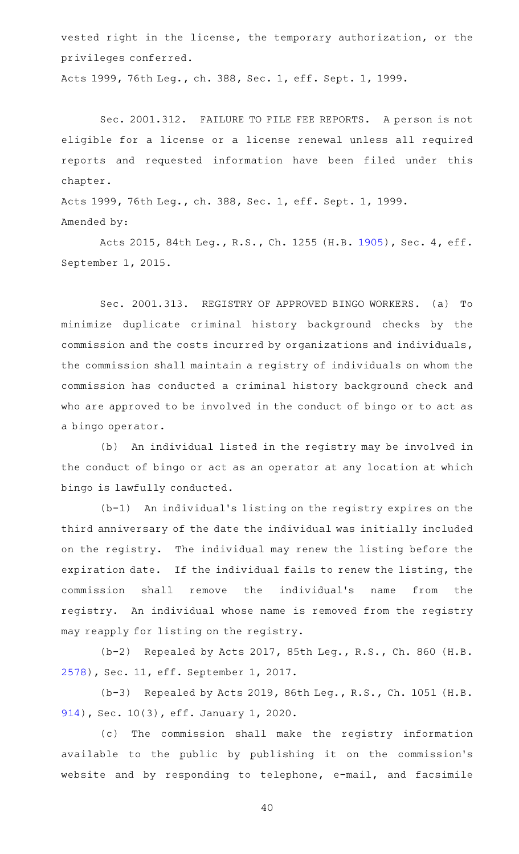vested right in the license, the temporary authorization, or the privileges conferred.

Acts 1999, 76th Leg., ch. 388, Sec. 1, eff. Sept. 1, 1999.

Sec. 2001.312. FAILURE TO FILE FEE REPORTS. A person is not eligible for a license or a license renewal unless all required reports and requested information have been filed under this chapter.

Acts 1999, 76th Leg., ch. 388, Sec. 1, eff. Sept. 1, 1999. Amended by:

Acts 2015, 84th Leg., R.S., Ch. 1255 (H.B. [1905](http://www.legis.state.tx.us/tlodocs/84R/billtext/html/HB01905F.HTM)), Sec. 4, eff. September 1, 2015.

Sec. 2001.313. REGISTRY OF APPROVED BINGO WORKERS. (a) To minimize duplicate criminal history background checks by the commission and the costs incurred by organizations and individuals, the commission shall maintain a registry of individuals on whom the commission has conducted a criminal history background check and who are approved to be involved in the conduct of bingo or to act as a bingo operator.

(b) An individual listed in the registry may be involved in the conduct of bingo or act as an operator at any location at which bingo is lawfully conducted.

 $(b-1)$  An individual's listing on the registry expires on the third anniversary of the date the individual was initially included on the registry. The individual may renew the listing before the expiration date. If the individual fails to renew the listing, the commission shall remove the individual's name from the registry. An individual whose name is removed from the registry may reapply for listing on the registry.

(b-2) Repealed by Acts 2017, 85th Leg., R.S., Ch. 860 (H.B. [2578](http://www.legis.state.tx.us/tlodocs/85R/billtext/html/HB02578F.HTM)), Sec. 11, eff. September 1, 2017.

(b-3) Repealed by Acts 2019, 86th Leg., R.S., Ch. 1051 (H.B. [914\)](http://www.legis.state.tx.us/tlodocs/86R/billtext/html/HB00914F.HTM), Sec. 10(3), eff. January 1, 2020.

(c) The commission shall make the registry information available to the public by publishing it on the commission's website and by responding to telephone, e-mail, and facsimile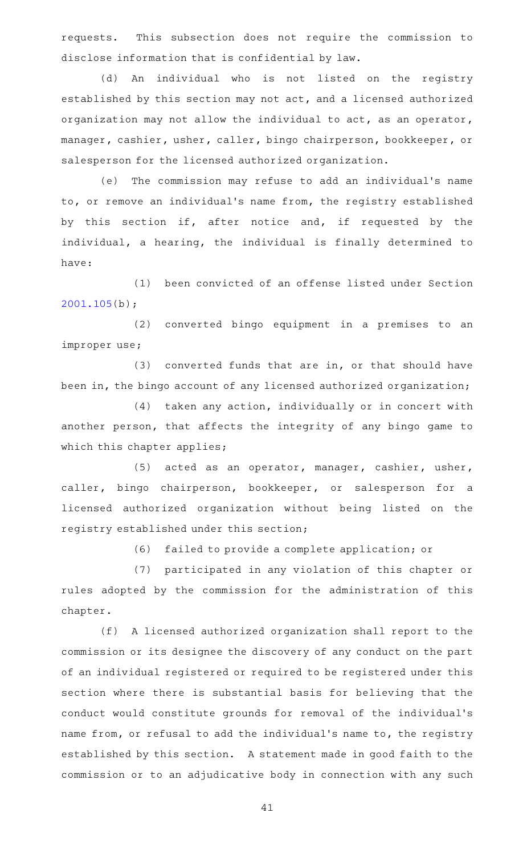requests. This subsection does not require the commission to disclose information that is confidential by law.

(d) An individual who is not listed on the registry established by this section may not act, and a licensed authorized organization may not allow the individual to act, as an operator, manager, cashier, usher, caller, bingo chairperson, bookkeeper, or salesperson for the licensed authorized organization.

(e) The commission may refuse to add an individual's name to, or remove an individual 's name from, the registry established by this section if, after notice and, if requested by the individual, a hearing, the individual is finally determined to have:

(1) been convicted of an offense listed under Section [2001.105](https://statutes.capitol.texas.gov/GetStatute.aspx?Code=OC&Value=2001.105)(b);

(2) converted bingo equipment in a premises to an improper use;

 $(3)$  converted funds that are in, or that should have been in, the bingo account of any licensed authorized organization;

(4) taken any action, individually or in concert with another person, that affects the integrity of any bingo game to which this chapter applies;

(5) acted as an operator, manager, cashier, usher, caller, bingo chairperson, bookkeeper, or salesperson for a licensed authorized organization without being listed on the registry established under this section;

(6) failed to provide a complete application; or

(7) participated in any violation of this chapter or rules adopted by the commission for the administration of this chapter.

(f) A licensed authorized organization shall report to the commission or its designee the discovery of any conduct on the part of an individual registered or required to be registered under this section where there is substantial basis for believing that the conduct would constitute grounds for removal of the individual 's name from, or refusal to add the individual's name to, the registry established by this section. A statement made in good faith to the commission or to an adjudicative body in connection with any such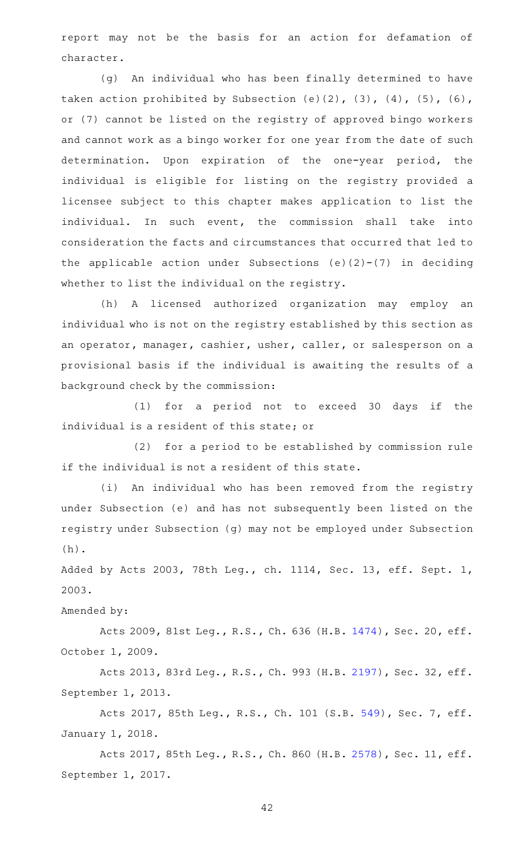report may not be the basis for an action for defamation of character.

(g) An individual who has been finally determined to have taken action prohibited by Subsection  $(e)(2)$ ,  $(3)$ ,  $(4)$ ,  $(5)$ ,  $(6)$ , or (7) cannot be listed on the registry of approved bingo workers and cannot work as a bingo worker for one year from the date of such determination. Upon expiration of the one-year period, the individual is eligible for listing on the registry provided a licensee subject to this chapter makes application to list the individual. In such event, the commission shall take into consideration the facts and circumstances that occurred that led to the applicable action under Subsections (e)(2)-(7) in deciding whether to list the individual on the registry.

(h) A licensed authorized organization may employ an individual who is not on the registry established by this section as an operator, manager, cashier, usher, caller, or salesperson on a provisional basis if the individual is awaiting the results of a background check by the commission:

(1) for a period not to exceed 30 days if the individual is a resident of this state; or

(2) for a period to be established by commission rule if the individual is not a resident of this state.

(i) An individual who has been removed from the registry under Subsection (e) and has not subsequently been listed on the registry under Subsection (g) may not be employed under Subsection (h).

Added by Acts 2003, 78th Leg., ch. 1114, Sec. 13, eff. Sept. 1, 2003.

Amended by:

Acts 2009, 81st Leg., R.S., Ch. 636 (H.B. [1474\)](http://www.legis.state.tx.us/tlodocs/81R/billtext/html/HB01474F.HTM), Sec. 20, eff. October 1, 2009.

Acts 2013, 83rd Leg., R.S., Ch. 993 (H.B. [2197\)](http://www.legis.state.tx.us/tlodocs/83R/billtext/html/HB02197F.HTM), Sec. 32, eff. September 1, 2013.

Acts 2017, 85th Leg., R.S., Ch. 101 (S.B. [549](http://www.legis.state.tx.us/tlodocs/85R/billtext/html/SB00549F.HTM)), Sec. 7, eff. January 1, 2018.

Acts 2017, 85th Leg., R.S., Ch. 860 (H.B. [2578\)](http://www.legis.state.tx.us/tlodocs/85R/billtext/html/HB02578F.HTM), Sec. 11, eff. September 1, 2017.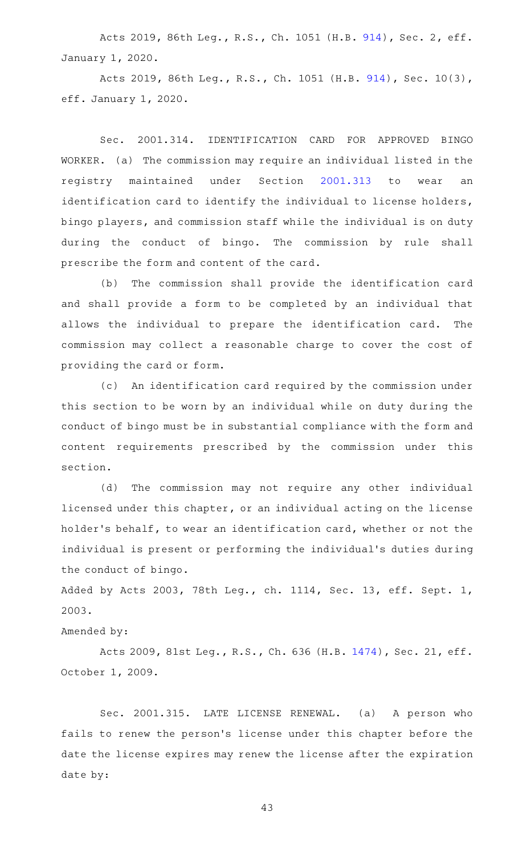Acts 2019, 86th Leg., R.S., Ch. 1051 (H.B. [914](http://www.legis.state.tx.us/tlodocs/86R/billtext/html/HB00914F.HTM)), Sec. 2, eff. January 1, 2020.

Acts 2019, 86th Leg., R.S., Ch. 1051 (H.B. [914\)](http://www.legis.state.tx.us/tlodocs/86R/billtext/html/HB00914F.HTM), Sec. 10(3), eff. January 1, 2020.

Sec. 2001.314. IDENTIFICATION CARD FOR APPROVED BINGO WORKER. (a) The commission may require an individual listed in the registry maintained under Section [2001.313](https://statutes.capitol.texas.gov/GetStatute.aspx?Code=OC&Value=2001.313) to wear an identification card to identify the individual to license holders, bingo players, and commission staff while the individual is on duty during the conduct of bingo. The commission by rule shall prescribe the form and content of the card.

(b) The commission shall provide the identification card and shall provide a form to be completed by an individual that allows the individual to prepare the identification card. The commission may collect a reasonable charge to cover the cost of providing the card or form.

(c) An identification card required by the commission under this section to be worn by an individual while on duty during the conduct of bingo must be in substantial compliance with the form and content requirements prescribed by the commission under this section.

(d) The commission may not require any other individual licensed under this chapter, or an individual acting on the license holder 's behalf, to wear an identification card, whether or not the individual is present or performing the individual 's duties during the conduct of bingo.

Added by Acts 2003, 78th Leg., ch. 1114, Sec. 13, eff. Sept. 1, 2003.

# Amended by:

Acts 2009, 81st Leg., R.S., Ch. 636 (H.B. [1474\)](http://www.legis.state.tx.us/tlodocs/81R/billtext/html/HB01474F.HTM), Sec. 21, eff. October 1, 2009.

Sec. 2001.315. LATE LICENSE RENEWAL. (a) A person who fails to renew the person 's license under this chapter before the date the license expires may renew the license after the expiration date by: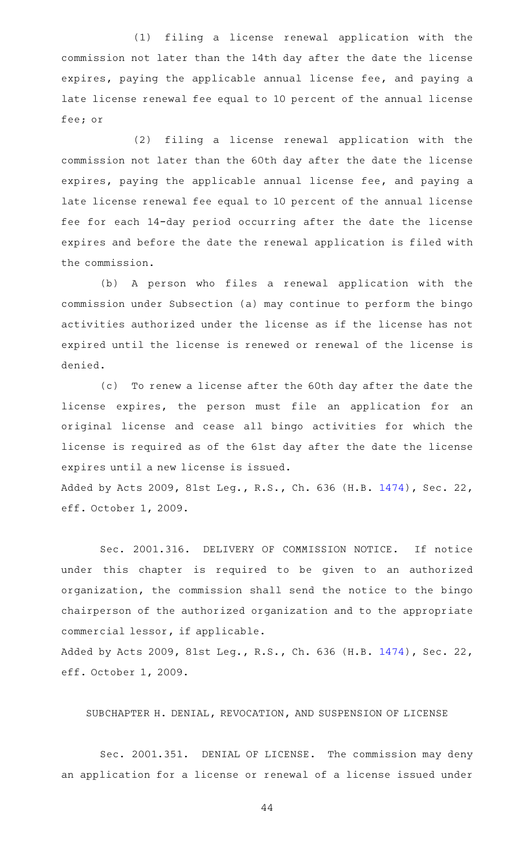(1) filing a license renewal application with the commission not later than the 14th day after the date the license expires, paying the applicable annual license fee, and paying a late license renewal fee equal to 10 percent of the annual license fee; or

(2) filing a license renewal application with the commission not later than the 60th day after the date the license expires, paying the applicable annual license fee, and paying a late license renewal fee equal to 10 percent of the annual license fee for each 14-day period occurring after the date the license expires and before the date the renewal application is filed with the commission.

(b) A person who files a renewal application with the commission under Subsection (a) may continue to perform the bingo activities authorized under the license as if the license has not expired until the license is renewed or renewal of the license is denied.

(c) To renew a license after the 60th day after the date the license expires, the person must file an application for an original license and cease all bingo activities for which the license is required as of the 61st day after the date the license expires until a new license is issued.

Added by Acts 2009, 81st Leg., R.S., Ch. 636 (H.B. [1474\)](http://www.legis.state.tx.us/tlodocs/81R/billtext/html/HB01474F.HTM), Sec. 22, eff. October 1, 2009.

Sec. 2001.316. DELIVERY OF COMMISSION NOTICE. If notice under this chapter is required to be given to an authorized organization, the commission shall send the notice to the bingo chairperson of the authorized organization and to the appropriate commercial lessor, if applicable.

Added by Acts 2009, 81st Leg., R.S., Ch. 636 (H.B. [1474\)](http://www.legis.state.tx.us/tlodocs/81R/billtext/html/HB01474F.HTM), Sec. 22, eff. October 1, 2009.

#### SUBCHAPTER H. DENIAL, REVOCATION, AND SUSPENSION OF LICENSE

Sec. 2001.351. DENIAL OF LICENSE. The commission may deny an application for a license or renewal of a license issued under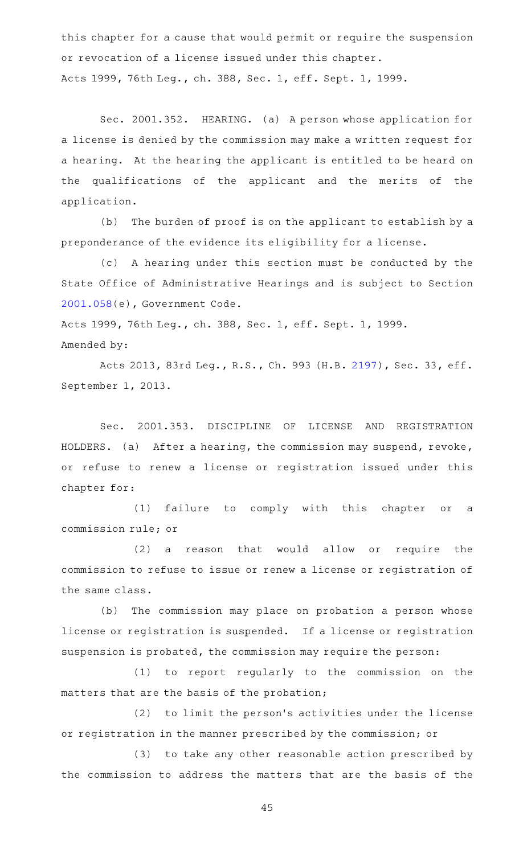this chapter for a cause that would permit or require the suspension or revocation of a license issued under this chapter. Acts 1999, 76th Leg., ch. 388, Sec. 1, eff. Sept. 1, 1999.

Sec. 2001.352. HEARING. (a) A person whose application for a license is denied by the commission may make a written request for a hearing. At the hearing the applicant is entitled to be heard on the qualifications of the applicant and the merits of the application.

(b) The burden of proof is on the applicant to establish by a preponderance of the evidence its eligibility for a license.

(c)AAA hearing under this section must be conducted by the State Office of Administrative Hearings and is subject to Section [2001.058](https://statutes.capitol.texas.gov/GetStatute.aspx?Code=GV&Value=2001.058)(e), Government Code.

Acts 1999, 76th Leg., ch. 388, Sec. 1, eff. Sept. 1, 1999. Amended by:

Acts 2013, 83rd Leg., R.S., Ch. 993 (H.B. [2197\)](http://www.legis.state.tx.us/tlodocs/83R/billtext/html/HB02197F.HTM), Sec. 33, eff. September 1, 2013.

Sec. 2001.353. DISCIPLINE OF LICENSE AND REGISTRATION HOLDERS. (a) After a hearing, the commission may suspend, revoke, or refuse to renew a license or registration issued under this chapter for:

(1) failure to comply with this chapter or a commission rule; or

(2) a reason that would allow or require the commission to refuse to issue or renew a license or registration of the same class.

(b) The commission may place on probation a person whose license or registration is suspended. If a license or registration suspension is probated, the commission may require the person:

(1) to report regularly to the commission on the matters that are the basis of the probation;

(2) to limit the person's activities under the license or registration in the manner prescribed by the commission; or

(3) to take any other reasonable action prescribed by the commission to address the matters that are the basis of the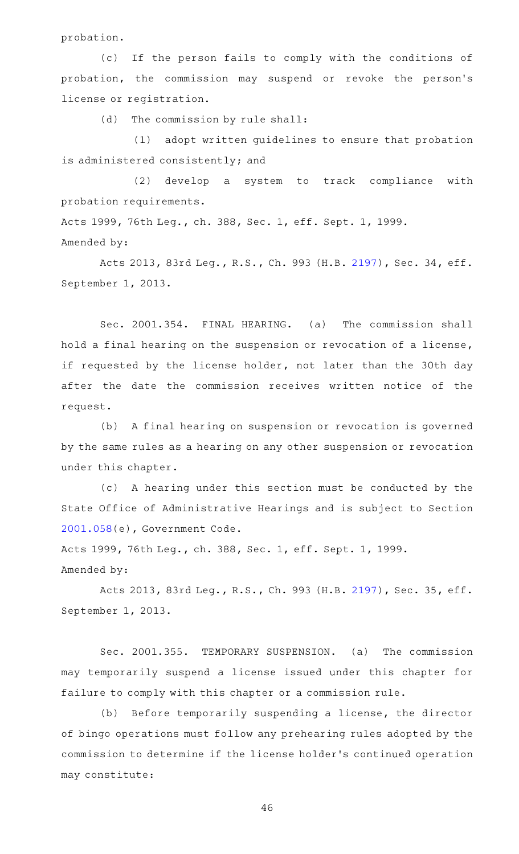probation.

(c) If the person fails to comply with the conditions of probation, the commission may suspend or revoke the person's license or registration.

(d) The commission by rule shall:

(1) adopt written guidelines to ensure that probation is administered consistently; and

(2) develop a system to track compliance with probation requirements.

Acts 1999, 76th Leg., ch. 388, Sec. 1, eff. Sept. 1, 1999.

### Amended by:

Acts 2013, 83rd Leg., R.S., Ch. 993 (H.B. [2197\)](http://www.legis.state.tx.us/tlodocs/83R/billtext/html/HB02197F.HTM), Sec. 34, eff. September 1, 2013.

Sec. 2001.354. FINAL HEARING. (a) The commission shall hold a final hearing on the suspension or revocation of a license, if requested by the license holder, not later than the 30th day after the date the commission receives written notice of the request.

(b) A final hearing on suspension or revocation is governed by the same rules as a hearing on any other suspension or revocation under this chapter.

(c)AAA hearing under this section must be conducted by the State Office of Administrative Hearings and is subject to Section [2001.058](https://statutes.capitol.texas.gov/GetStatute.aspx?Code=GV&Value=2001.058)(e), Government Code.

Acts 1999, 76th Leg., ch. 388, Sec. 1, eff. Sept. 1, 1999. Amended by:

Acts 2013, 83rd Leg., R.S., Ch. 993 (H.B. [2197\)](http://www.legis.state.tx.us/tlodocs/83R/billtext/html/HB02197F.HTM), Sec. 35, eff. September 1, 2013.

Sec. 2001.355. TEMPORARY SUSPENSION. (a) The commission may temporarily suspend a license issued under this chapter for failure to comply with this chapter or a commission rule.

(b) Before temporarily suspending a license, the director of bingo operations must follow any prehearing rules adopted by the commission to determine if the license holder 's continued operation may constitute: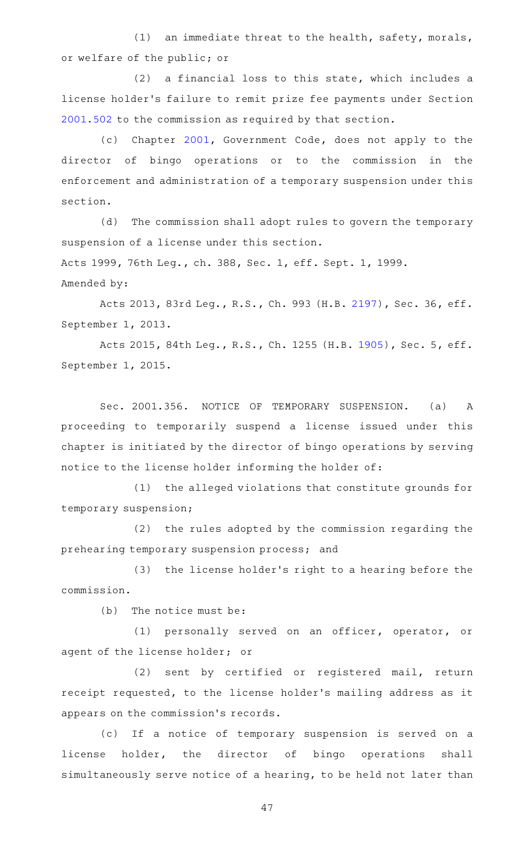(1) an immediate threat to the health, safety, morals, or welfare of the public; or

 $(2)$  a financial loss to this state, which includes a license holder 's failure to remit prize fee payments under Section [2001.502](https://statutes.capitol.texas.gov/GetStatute.aspx?Code=OC&Value=2001.502) to the commission as required by that section.

(c) Chapter [2001](https://statutes.capitol.texas.gov/GetStatute.aspx?Code=GV&Value=2001), Government Code, does not apply to the director of bingo operations or to the commission in the enforcement and administration of a temporary suspension under this section.

(d) The commission shall adopt rules to govern the temporary suspension of a license under this section. Acts 1999, 76th Leg., ch. 388, Sec. 1, eff. Sept. 1, 1999. Amended by:

Acts 2013, 83rd Leg., R.S., Ch. 993 (H.B. [2197\)](http://www.legis.state.tx.us/tlodocs/83R/billtext/html/HB02197F.HTM), Sec. 36, eff. September 1, 2013.

Acts 2015, 84th Leg., R.S., Ch. 1255 (H.B. [1905](http://www.legis.state.tx.us/tlodocs/84R/billtext/html/HB01905F.HTM)), Sec. 5, eff. September 1, 2015.

Sec. 2001.356. NOTICE OF TEMPORARY SUSPENSION. (a) A proceeding to temporarily suspend a license issued under this chapter is initiated by the director of bingo operations by serving notice to the license holder informing the holder of:

(1) the alleged violations that constitute grounds for temporary suspension;

(2) the rules adopted by the commission regarding the prehearing temporary suspension process; and

(3) the license holder's right to a hearing before the commission.

 $(b)$  The notice must be:

(1) personally served on an officer, operator, or agent of the license holder; or

(2) sent by certified or registered mail, return receipt requested, to the license holder 's mailing address as it appears on the commission 's records.

(c) If a notice of temporary suspension is served on a license holder, the director of bingo operations shall simultaneously serve notice of a hearing, to be held not later than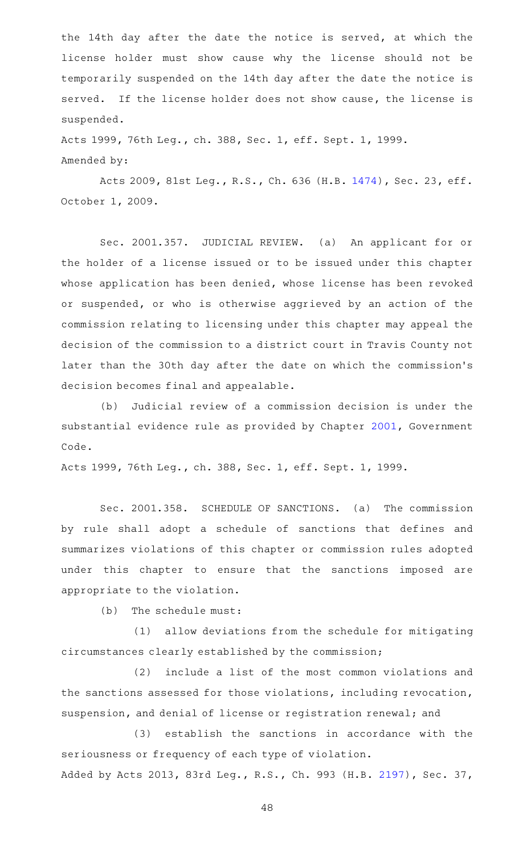the 14th day after the date the notice is served, at which the license holder must show cause why the license should not be temporarily suspended on the 14th day after the date the notice is served. If the license holder does not show cause, the license is suspended.

Acts 1999, 76th Leg., ch. 388, Sec. 1, eff. Sept. 1, 1999. Amended by:

Acts 2009, 81st Leg., R.S., Ch. 636 (H.B. [1474\)](http://www.legis.state.tx.us/tlodocs/81R/billtext/html/HB01474F.HTM), Sec. 23, eff. October 1, 2009.

Sec. 2001.357. JUDICIAL REVIEW. (a) An applicant for or the holder of a license issued or to be issued under this chapter whose application has been denied, whose license has been revoked or suspended, or who is otherwise aggrieved by an action of the commission relating to licensing under this chapter may appeal the decision of the commission to a district court in Travis County not later than the 30th day after the date on which the commission 's decision becomes final and appealable.

(b) Judicial review of a commission decision is under the substantial evidence rule as provided by Chapter [2001,](https://statutes.capitol.texas.gov/GetStatute.aspx?Code=GV&Value=2001) Government Code.

Acts 1999, 76th Leg., ch. 388, Sec. 1, eff. Sept. 1, 1999.

Sec. 2001.358. SCHEDULE OF SANCTIONS. (a) The commission by rule shall adopt a schedule of sanctions that defines and summarizes violations of this chapter or commission rules adopted under this chapter to ensure that the sanctions imposed are appropriate to the violation.

 $(b)$  The schedule must:

(1) allow deviations from the schedule for mitigating circumstances clearly established by the commission;

(2) include a list of the most common violations and the sanctions assessed for those violations, including revocation, suspension, and denial of license or registration renewal; and

(3) establish the sanctions in accordance with the seriousness or frequency of each type of violation. Added by Acts 2013, 83rd Leg., R.S., Ch. 993 (H.B. [2197\)](http://www.legis.state.tx.us/tlodocs/83R/billtext/html/HB02197F.HTM), Sec. 37,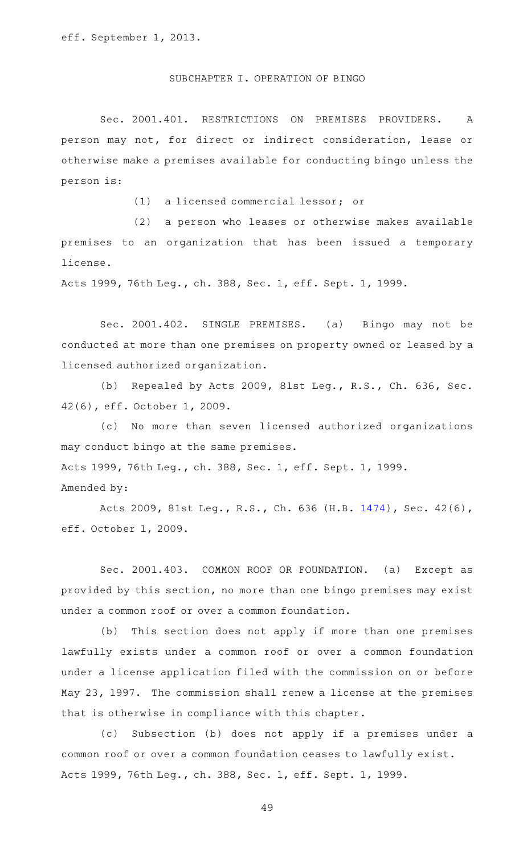#### SUBCHAPTER I. OPERATION OF BINGO

Sec. 2001.401. RESTRICTIONS ON PREMISES PROVIDERS. A person may not, for direct or indirect consideration, lease or otherwise make a premises available for conducting bingo unless the person is:

(1) a licensed commercial lessor; or

(2) a person who leases or otherwise makes available premises to an organization that has been issued a temporary license.

Acts 1999, 76th Leg., ch. 388, Sec. 1, eff. Sept. 1, 1999.

Sec. 2001.402. SINGLE PREMISES. (a) Bingo may not be conducted at more than one premises on property owned or leased by a licensed authorized organization.

(b) Repealed by Acts 2009, 81st Leg., R.S., Ch. 636, Sec. 42(6), eff. October 1, 2009.

(c) No more than seven licensed authorized organizations may conduct bingo at the same premises. Acts 1999, 76th Leg., ch. 388, Sec. 1, eff. Sept. 1, 1999. Amended by:

Acts 2009, 81st Leg., R.S., Ch. 636 (H.B. [1474\)](http://www.legis.state.tx.us/tlodocs/81R/billtext/html/HB01474F.HTM), Sec. 42(6), eff. October 1, 2009.

Sec. 2001.403. COMMON ROOF OR FOUNDATION. (a) Except as provided by this section, no more than one bingo premises may exist under a common roof or over a common foundation.

(b) This section does not apply if more than one premises lawfully exists under a common roof or over a common foundation under a license application filed with the commission on or before May 23, 1997. The commission shall renew a license at the premises that is otherwise in compliance with this chapter.

(c) Subsection (b) does not apply if a premises under a common roof or over a common foundation ceases to lawfully exist. Acts 1999, 76th Leg., ch. 388, Sec. 1, eff. Sept. 1, 1999.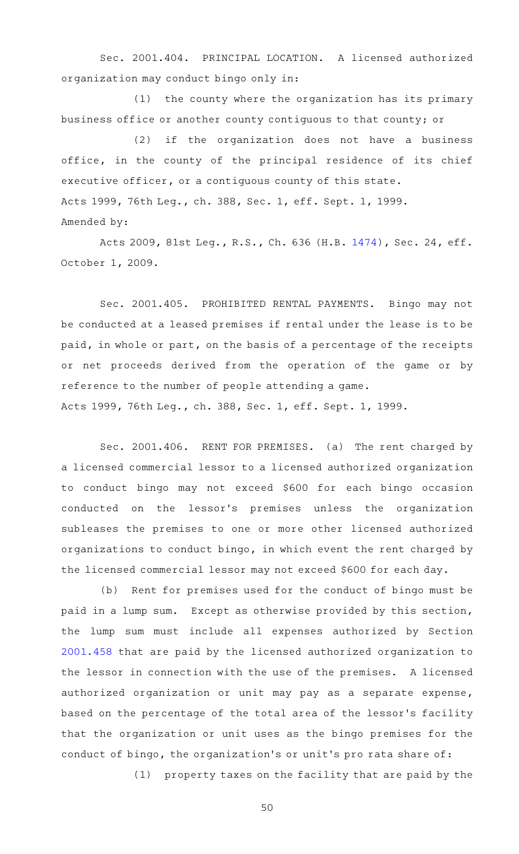Sec. 2001.404. PRINCIPAL LOCATION. A licensed authorized organization may conduct bingo only in:

 $(1)$  the county where the organization has its primary business office or another county contiguous to that county; or

(2) if the organization does not have a business office, in the county of the principal residence of its chief executive officer, or a contiguous county of this state. Acts 1999, 76th Leg., ch. 388, Sec. 1, eff. Sept. 1, 1999. Amended by:

Acts 2009, 81st Leg., R.S., Ch. 636 (H.B. [1474\)](http://www.legis.state.tx.us/tlodocs/81R/billtext/html/HB01474F.HTM), Sec. 24, eff. October 1, 2009.

Sec. 2001.405. PROHIBITED RENTAL PAYMENTS. Bingo may not be conducted at a leased premises if rental under the lease is to be paid, in whole or part, on the basis of a percentage of the receipts or net proceeds derived from the operation of the game or by reference to the number of people attending a game. Acts 1999, 76th Leg., ch. 388, Sec. 1, eff. Sept. 1, 1999.

Sec. 2001.406. RENT FOR PREMISES. (a) The rent charged by a licensed commercial lessor to a licensed authorized organization to conduct bingo may not exceed \$600 for each bingo occasion conducted on the lessor 's premises unless the organization subleases the premises to one or more other licensed authorized organizations to conduct bingo, in which event the rent charged by the licensed commercial lessor may not exceed \$600 for each day.

(b) Rent for premises used for the conduct of bingo must be paid in a lump sum. Except as otherwise provided by this section, the lump sum must include all expenses authorized by Section [2001.458](https://statutes.capitol.texas.gov/GetStatute.aspx?Code=OC&Value=2001.458) that are paid by the licensed authorized organization to the lessor in connection with the use of the premises. A licensed authorized organization or unit may pay as a separate expense, based on the percentage of the total area of the lessor 's facility that the organization or unit uses as the bingo premises for the conduct of bingo, the organization 's or unit 's pro rata share of:

(1) property taxes on the facility that are paid by the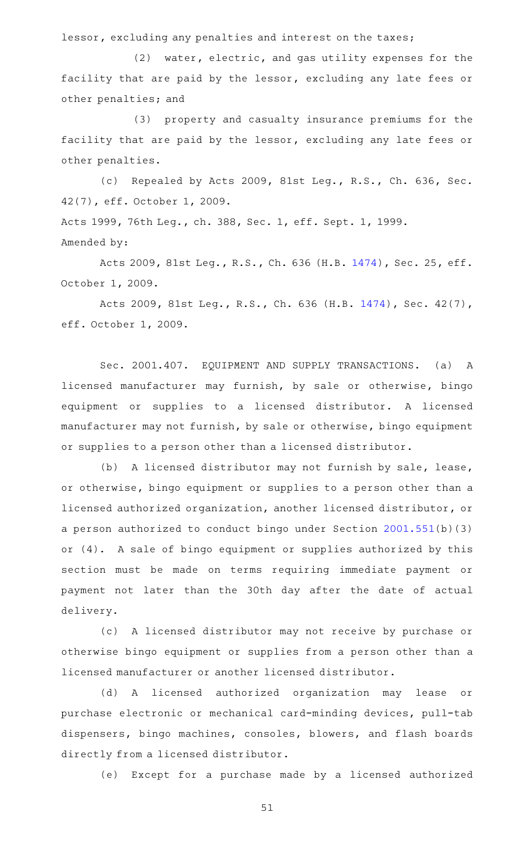lessor, excluding any penalties and interest on the taxes;

 $(2)$  water, electric, and gas utility expenses for the facility that are paid by the lessor, excluding any late fees or other penalties; and

(3) property and casualty insurance premiums for the facility that are paid by the lessor, excluding any late fees or other penalties.

(c) Repealed by Acts 2009, 81st Leg., R.S., Ch. 636, Sec. 42(7), eff. October 1, 2009. Acts 1999, 76th Leg., ch. 388, Sec. 1, eff. Sept. 1, 1999.

Amended by:

Acts 2009, 81st Leg., R.S., Ch. 636 (H.B. [1474\)](http://www.legis.state.tx.us/tlodocs/81R/billtext/html/HB01474F.HTM), Sec. 25, eff. October 1, 2009.

Acts 2009, 81st Leg., R.S., Ch. 636 (H.B. [1474\)](http://www.legis.state.tx.us/tlodocs/81R/billtext/html/HB01474F.HTM), Sec. 42(7), eff. October 1, 2009.

Sec. 2001.407. EQUIPMENT AND SUPPLY TRANSACTIONS. (a) A licensed manufacturer may furnish, by sale or otherwise, bingo equipment or supplies to a licensed distributor. A licensed manufacturer may not furnish, by sale or otherwise, bingo equipment or supplies to a person other than a licensed distributor.

(b) A licensed distributor may not furnish by sale, lease, or otherwise, bingo equipment or supplies to a person other than a licensed authorized organization, another licensed distributor, or a person authorized to conduct bingo under Section [2001.551\(](https://statutes.capitol.texas.gov/GetStatute.aspx?Code=OC&Value=2001.551)b)(3) or (4). A sale of bingo equipment or supplies authorized by this section must be made on terms requiring immediate payment or payment not later than the 30th day after the date of actual delivery.

(c)AAA licensed distributor may not receive by purchase or otherwise bingo equipment or supplies from a person other than a licensed manufacturer or another licensed distributor.

(d) A licensed authorized organization may lease or purchase electronic or mechanical card-minding devices, pull-tab dispensers, bingo machines, consoles, blowers, and flash boards directly from a licensed distributor.

(e) Except for a purchase made by a licensed authorized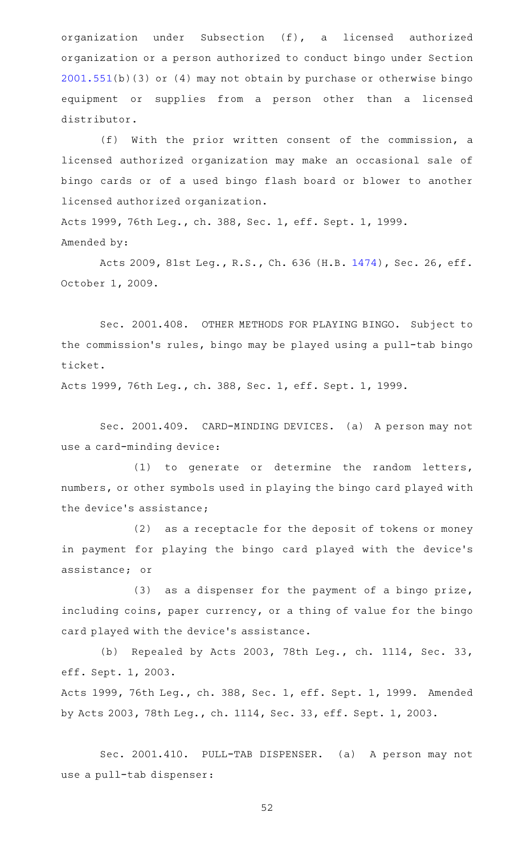organization under Subsection (f), a licensed authorized organization or a person authorized to conduct bingo under Section [2001.551](https://statutes.capitol.texas.gov/GetStatute.aspx?Code=OC&Value=2001.551)(b)(3) or (4) may not obtain by purchase or otherwise bingo equipment or supplies from a person other than a licensed distributor.

(f) With the prior written consent of the commission, a licensed authorized organization may make an occasional sale of bingo cards or of a used bingo flash board or blower to another licensed authorized organization.

Acts 1999, 76th Leg., ch. 388, Sec. 1, eff. Sept. 1, 1999. Amended by:

Acts 2009, 81st Leg., R.S., Ch. 636 (H.B. [1474\)](http://www.legis.state.tx.us/tlodocs/81R/billtext/html/HB01474F.HTM), Sec. 26, eff. October 1, 2009.

Sec. 2001.408. OTHER METHODS FOR PLAYING BINGO. Subject to the commission 's rules, bingo may be played using a pull-tab bingo ticket.

Acts 1999, 76th Leg., ch. 388, Sec. 1, eff. Sept. 1, 1999.

Sec. 2001.409. CARD-MINDING DEVICES. (a) A person may not use a card-minding device:

(1) to generate or determine the random letters, numbers, or other symbols used in playing the bingo card played with the device 's assistance;

(2) as a receptacle for the deposit of tokens or money in payment for playing the bingo card played with the device's assistance; or

 $(3)$  as a dispenser for the payment of a bingo prize, including coins, paper currency, or a thing of value for the bingo card played with the device 's assistance.

(b) Repealed by Acts 2003, 78th Leg., ch. 1114, Sec. 33, eff. Sept. 1, 2003.

Acts 1999, 76th Leg., ch. 388, Sec. 1, eff. Sept. 1, 1999. Amended by Acts 2003, 78th Leg., ch. 1114, Sec. 33, eff. Sept. 1, 2003.

Sec. 2001.410. PULL-TAB DISPENSER. (a) A person may not use a pull-tab dispenser: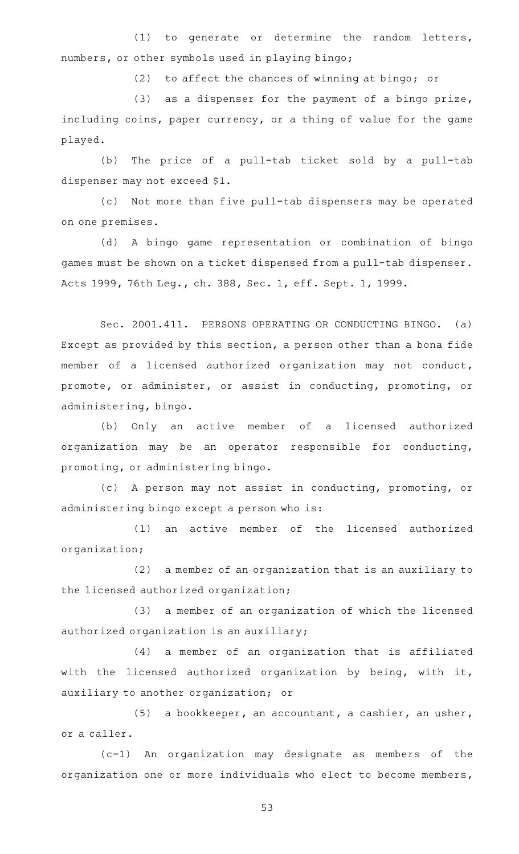$(1)$  to generate or determine the random letters, numbers, or other symbols used in playing bingo;

(2) to affect the chances of winning at bingo; or

 $(3)$  as a dispenser for the payment of a bingo prize, including coins, paper currency, or a thing of value for the game played.

(b) The price of a pull-tab ticket sold by a pull-tab dispenser may not exceed \$1.

(c) Not more than five pull-tab dispensers may be operated on one premises.

(d)AAA bingo game representation or combination of bingo games must be shown on a ticket dispensed from a pull-tab dispenser. Acts 1999, 76th Leg., ch. 388, Sec. 1, eff. Sept. 1, 1999.

Sec. 2001.411. PERSONS OPERATING OR CONDUCTING BINGO. (a) Except as provided by this section, a person other than a bona fide member of a licensed authorized organization may not conduct, promote, or administer, or assist in conducting, promoting, or administering, bingo.

(b) Only an active member of a licensed authorized organization may be an operator responsible for conducting, promoting, or administering bingo.

(c)AAA person may not assist in conducting, promoting, or administering bingo except a person who is:

(1) an active member of the licensed authorized organization;

 $(2)$  a member of an organization that is an auxiliary to the licensed authorized organization;

(3) a member of an organization of which the licensed authorized organization is an auxiliary;

(4) a member of an organization that is affiliated with the licensed authorized organization by being, with it, auxiliary to another organization; or

(5) a bookkeeper, an accountant, a cashier, an usher, or a caller.

 $(c-1)$  An organization may designate as members of the organization one or more individuals who elect to become members,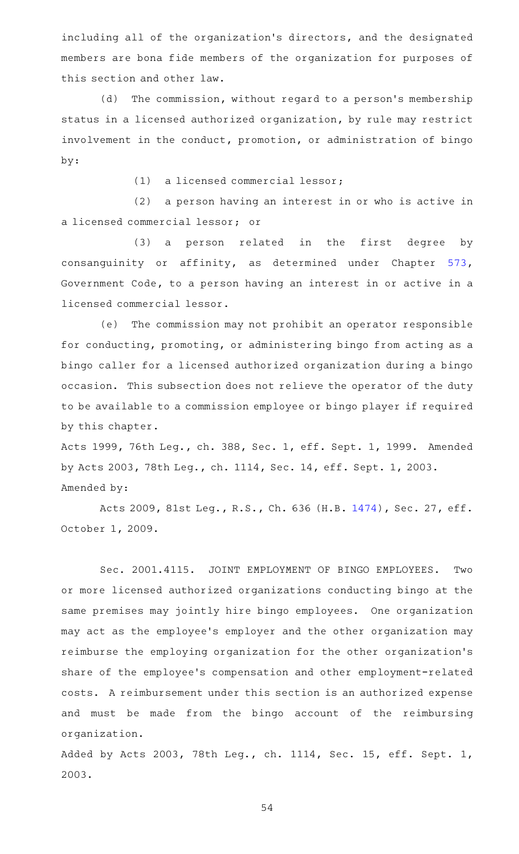including all of the organization 's directors, and the designated members are bona fide members of the organization for purposes of this section and other law.

(d) The commission, without regard to a person's membership status in a licensed authorized organization, by rule may restrict involvement in the conduct, promotion, or administration of bingo by:

 $(1)$  a licensed commercial lessor;

(2) a person having an interest in or who is active in a licensed commercial lessor; or

(3) a person related in the first degree by consanguinity or affinity, as determined under Chapter [573](https://statutes.capitol.texas.gov/GetStatute.aspx?Code=GV&Value=573), Government Code, to a person having an interest in or active in a licensed commercial lessor.

(e) The commission may not prohibit an operator responsible for conducting, promoting, or administering bingo from acting as a bingo caller for a licensed authorized organization during a bingo occasion. This subsection does not relieve the operator of the duty to be available to a commission employee or bingo player if required by this chapter.

Acts 1999, 76th Leg., ch. 388, Sec. 1, eff. Sept. 1, 1999. Amended by Acts 2003, 78th Leg., ch. 1114, Sec. 14, eff. Sept. 1, 2003. Amended by:

Acts 2009, 81st Leg., R.S., Ch. 636 (H.B. [1474\)](http://www.legis.state.tx.us/tlodocs/81R/billtext/html/HB01474F.HTM), Sec. 27, eff. October 1, 2009.

Sec. 2001.4115. JOINT EMPLOYMENT OF BINGO EMPLOYEES. Two or more licensed authorized organizations conducting bingo at the same premises may jointly hire bingo employees. One organization may act as the employee 's employer and the other organization may reimburse the employing organization for the other organization 's share of the employee 's compensation and other employment-related costs. A reimbursement under this section is an authorized expense and must be made from the bingo account of the reimbursing organization.

Added by Acts 2003, 78th Leg., ch. 1114, Sec. 15, eff. Sept. 1, 2003.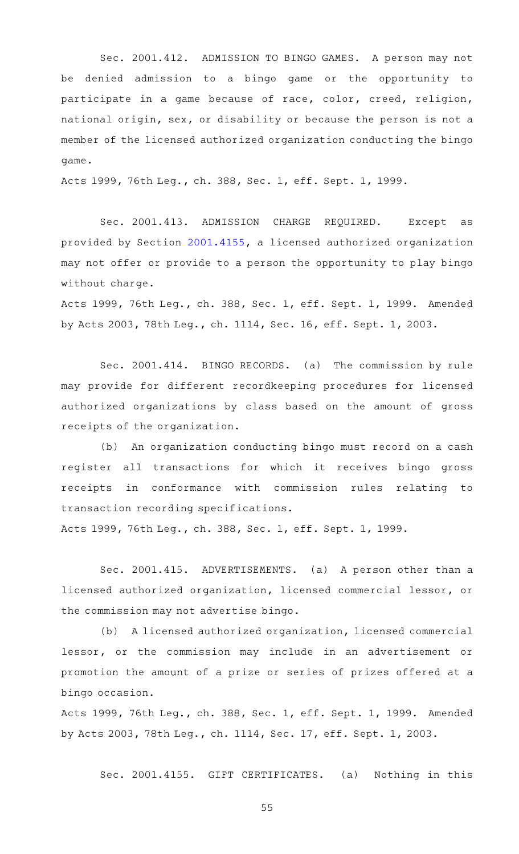Sec. 2001.412. ADMISSION TO BINGO GAMES. A person may not be denied admission to a bingo game or the opportunity to participate in a game because of race, color, creed, religion, national origin, sex, or disability or because the person is not a member of the licensed authorized organization conducting the bingo game.

Acts 1999, 76th Leg., ch. 388, Sec. 1, eff. Sept. 1, 1999.

Sec. 2001.413. ADMISSION CHARGE REQUIRED. Except as provided by Section [2001.4155,](https://statutes.capitol.texas.gov/GetStatute.aspx?Code=OC&Value=2001.4155) a licensed authorized organization may not offer or provide to a person the opportunity to play bingo without charge.

Acts 1999, 76th Leg., ch. 388, Sec. 1, eff. Sept. 1, 1999. Amended by Acts 2003, 78th Leg., ch. 1114, Sec. 16, eff. Sept. 1, 2003.

Sec. 2001.414. BINGO RECORDS. (a) The commission by rule may provide for different recordkeeping procedures for licensed authorized organizations by class based on the amount of gross receipts of the organization.

(b) An organization conducting bingo must record on a cash register all transactions for which it receives bingo gross receipts in conformance with commission rules relating to transaction recording specifications.

Acts 1999, 76th Leg., ch. 388, Sec. 1, eff. Sept. 1, 1999.

Sec. 2001.415. ADVERTISEMENTS. (a) A person other than a licensed authorized organization, licensed commercial lessor, or the commission may not advertise bingo.

(b) A licensed authorized organization, licensed commercial lessor, or the commission may include in an advertisement or promotion the amount of a prize or series of prizes offered at a bingo occasion.

Acts 1999, 76th Leg., ch. 388, Sec. 1, eff. Sept. 1, 1999. Amended by Acts 2003, 78th Leg., ch. 1114, Sec. 17, eff. Sept. 1, 2003.

Sec. 2001.4155. GIFT CERTIFICATES. (a) Nothing in this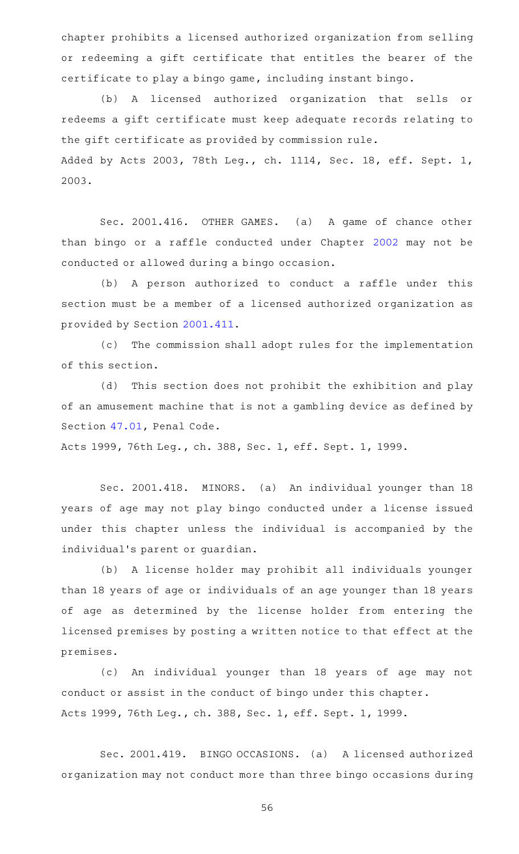chapter prohibits a licensed authorized organization from selling or redeeming a gift certificate that entitles the bearer of the certificate to play a bingo game, including instant bingo.

(b) A licensed authorized organization that sells or redeems a gift certificate must keep adequate records relating to the gift certificate as provided by commission rule. Added by Acts 2003, 78th Leg., ch. 1114, Sec. 18, eff. Sept. 1, 2003.

Sec. 2001.416. OTHER GAMES. (a) A game of chance other than bingo or a raffle conducted under Chapter [2002](https://statutes.capitol.texas.gov/GetStatute.aspx?Code=OC&Value=2002) may not be conducted or allowed during a bingo occasion.

(b) A person authorized to conduct a raffle under this section must be a member of a licensed authorized organization as provided by Section [2001.411.](https://statutes.capitol.texas.gov/GetStatute.aspx?Code=OC&Value=2001.411)

(c) The commission shall adopt rules for the implementation of this section.

(d) This section does not prohibit the exhibition and play of an amusement machine that is not a gambling device as defined by Section [47.01,](https://statutes.capitol.texas.gov/GetStatute.aspx?Code=PE&Value=47.01) Penal Code.

Acts 1999, 76th Leg., ch. 388, Sec. 1, eff. Sept. 1, 1999.

Sec. 2001.418. MINORS. (a) An individual younger than 18 years of age may not play bingo conducted under a license issued under this chapter unless the individual is accompanied by the individual 's parent or guardian.

(b) A license holder may prohibit all individuals younger than 18 years of age or individuals of an age younger than 18 years of age as determined by the license holder from entering the licensed premises by posting a written notice to that effect at the premises.

(c) An individual younger than 18 years of age may not conduct or assist in the conduct of bingo under this chapter. Acts 1999, 76th Leg., ch. 388, Sec. 1, eff. Sept. 1, 1999.

Sec. 2001.419. BINGO OCCASIONS. (a) A licensed authorized organization may not conduct more than three bingo occasions during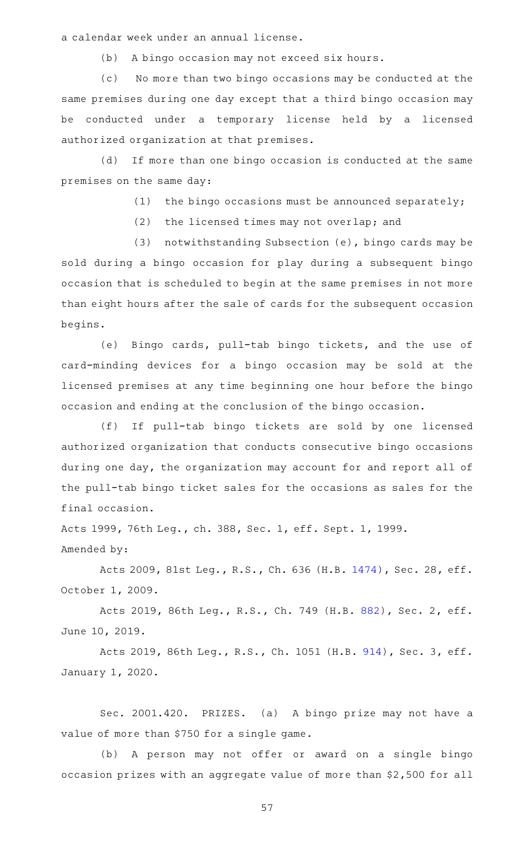a calendar week under an annual license.

(b) A bingo occasion may not exceed six hours.

(c) No more than two bingo occasions may be conducted at the same premises during one day except that a third bingo occasion may be conducted under a temporary license held by a licensed authorized organization at that premises.

(d) If more than one bingo occasion is conducted at the same premises on the same day:

(1) the bingo occasions must be announced separately;

(2) the licensed times may not overlap; and

(3) notwithstanding Subsection (e), bingo cards may be sold during a bingo occasion for play during a subsequent bingo occasion that is scheduled to begin at the same premises in not more than eight hours after the sale of cards for the subsequent occasion begins.

(e) Bingo cards, pull-tab bingo tickets, and the use of card-minding devices for a bingo occasion may be sold at the licensed premises at any time beginning one hour before the bingo occasion and ending at the conclusion of the bingo occasion.

(f) If pull-tab bingo tickets are sold by one licensed authorized organization that conducts consecutive bingo occasions during one day, the organization may account for and report all of the pull-tab bingo ticket sales for the occasions as sales for the final occasion.

Acts 1999, 76th Leg., ch. 388, Sec. 1, eff. Sept. 1, 1999. Amended by:

Acts 2009, 81st Leg., R.S., Ch. 636 (H.B. [1474\)](http://www.legis.state.tx.us/tlodocs/81R/billtext/html/HB01474F.HTM), Sec. 28, eff. October 1, 2009.

Acts 2019, 86th Leg., R.S., Ch. 749 (H.B. [882](http://www.legis.state.tx.us/tlodocs/86R/billtext/html/HB00882F.HTM)), Sec. 2, eff. June 10, 2019.

Acts 2019, 86th Leg., R.S., Ch. 1051 (H.B. [914](http://www.legis.state.tx.us/tlodocs/86R/billtext/html/HB00914F.HTM)), Sec. 3, eff. January 1, 2020.

Sec. 2001.420. PRIZES. (a) A bingo prize may not have a value of more than \$750 for a single game.

(b) A person may not offer or award on a single bingo occasion prizes with an aggregate value of more than \$2,500 for all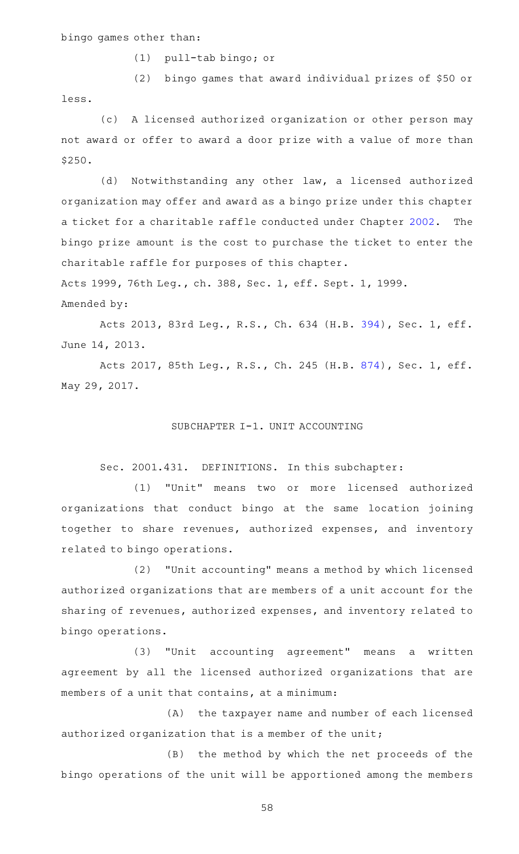bingo games other than:

(1) pull-tab bingo; or

(2) bingo games that award individual prizes of \$50 or less.

(c) A licensed authorized organization or other person may not award or offer to award a door prize with a value of more than \$250.

(d) Notwithstanding any other law, a licensed authorized organization may offer and award as a bingo prize under this chapter a ticket for a charitable raffle conducted under Chapter [2002.](https://statutes.capitol.texas.gov/GetStatute.aspx?Code=OC&Value=2002) The bingo prize amount is the cost to purchase the ticket to enter the charitable raffle for purposes of this chapter.

Acts 1999, 76th Leg., ch. 388, Sec. 1, eff. Sept. 1, 1999.

Amended by:

Acts 2013, 83rd Leg., R.S., Ch. 634 (H.B. [394](http://www.legis.state.tx.us/tlodocs/83R/billtext/html/HB00394F.HTM)), Sec. 1, eff. June 14, 2013.

Acts 2017, 85th Leg., R.S., Ch. 245 (H.B. [874](http://www.legis.state.tx.us/tlodocs/85R/billtext/html/HB00874F.HTM)), Sec. 1, eff. May 29, 2017.

#### SUBCHAPTER I-1. UNIT ACCOUNTING

Sec. 2001.431. DEFINITIONS. In this subchapter:

(1) "Unit" means two or more licensed authorized organizations that conduct bingo at the same location joining together to share revenues, authorized expenses, and inventory related to bingo operations.

(2) "Unit accounting" means a method by which licensed authorized organizations that are members of a unit account for the sharing of revenues, authorized expenses, and inventory related to bingo operations.

(3) "Unit accounting agreement" means a written agreement by all the licensed authorized organizations that are members of a unit that contains, at a minimum:

(A) the taxpayer name and number of each licensed authorized organization that is a member of the unit;

(B) the method by which the net proceeds of the bingo operations of the unit will be apportioned among the members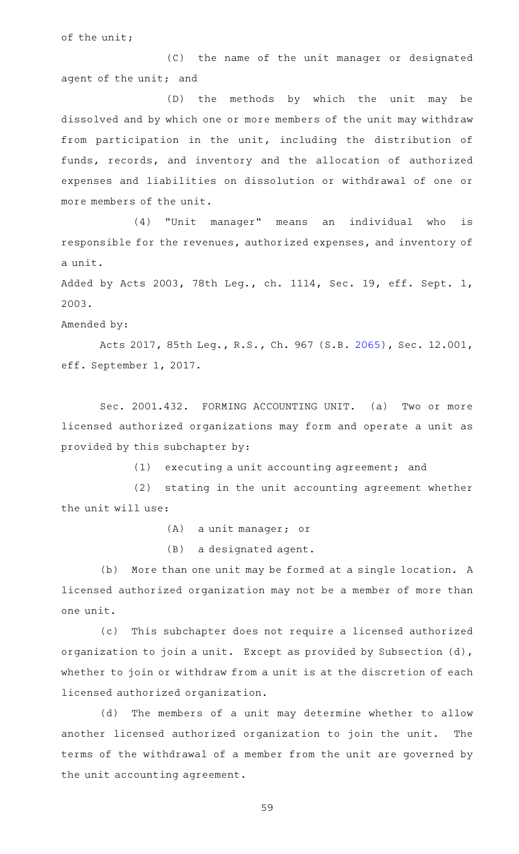of the unit;

(C) the name of the unit manager or designated agent of the unit; and

(D) the methods by which the unit may be dissolved and by which one or more members of the unit may withdraw from participation in the unit, including the distribution of funds, records, and inventory and the allocation of authorized expenses and liabilities on dissolution or withdrawal of one or more members of the unit.

(4) "Unit manager" means an individual who is responsible for the revenues, authorized expenses, and inventory of a unit.

Added by Acts 2003, 78th Leg., ch. 1114, Sec. 19, eff. Sept. 1, 2003.

Amended by:

Acts 2017, 85th Leg., R.S., Ch. 967 (S.B. [2065\)](http://www.legis.state.tx.us/tlodocs/85R/billtext/html/SB02065F.HTM), Sec. 12.001, eff. September 1, 2017.

Sec. 2001.432. FORMING ACCOUNTING UNIT. (a) Two or more licensed authorized organizations may form and operate a unit as provided by this subchapter by:

 $(1)$  executing a unit accounting agreement; and

(2) stating in the unit accounting agreement whether the unit will use:

(A) a unit manager; or

(B) a designated agent.

(b) More than one unit may be formed at a single location. A licensed authorized organization may not be a member of more than one unit.

(c) This subchapter does not require a licensed authorized organization to join a unit. Except as provided by Subsection (d), whether to join or withdraw from a unit is at the discretion of each licensed authorized organization.

(d) The members of a unit may determine whether to allow another licensed authorized organization to join the unit. The terms of the withdrawal of a member from the unit are governed by the unit accounting agreement.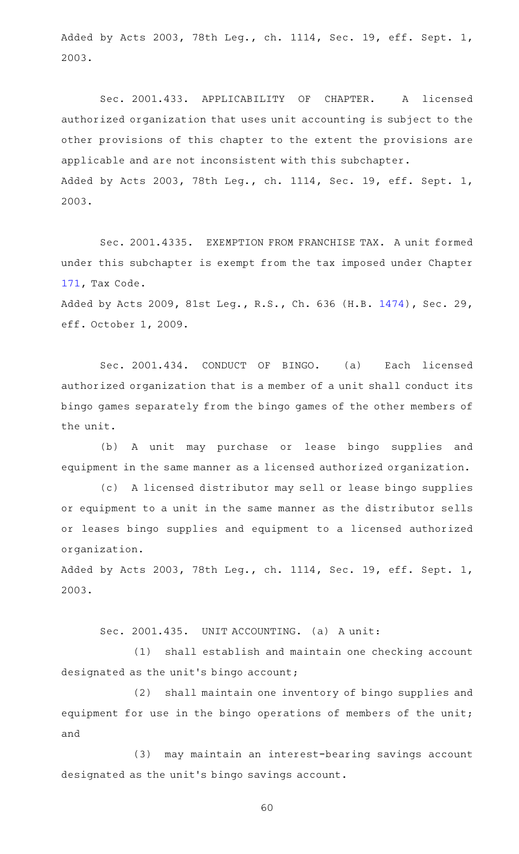Added by Acts 2003, 78th Leg., ch. 1114, Sec. 19, eff. Sept. 1, 2003.

Sec. 2001.433. APPLICABILITY OF CHAPTER. A licensed authorized organization that uses unit accounting is subject to the other provisions of this chapter to the extent the provisions are applicable and are not inconsistent with this subchapter. Added by Acts 2003, 78th Leg., ch. 1114, Sec. 19, eff. Sept. 1, 2003.

Sec. 2001.4335. EXEMPTION FROM FRANCHISE TAX. A unit formed under this subchapter is exempt from the tax imposed under Chapter [171,](https://statutes.capitol.texas.gov/GetStatute.aspx?Code=TX&Value=171) Tax Code.

Added by Acts 2009, 81st Leg., R.S., Ch. 636 (H.B. [1474\)](http://www.legis.state.tx.us/tlodocs/81R/billtext/html/HB01474F.HTM), Sec. 29, eff. October 1, 2009.

Sec. 2001.434. CONDUCT OF BINGO. (a) Each licensed authorized organization that is a member of a unit shall conduct its bingo games separately from the bingo games of the other members of the unit.

(b) A unit may purchase or lease bingo supplies and equipment in the same manner as a licensed authorized organization.

(c) A licensed distributor may sell or lease bingo supplies or equipment to a unit in the same manner as the distributor sells or leases bingo supplies and equipment to a licensed authorized organization.

Added by Acts 2003, 78th Leg., ch. 1114, Sec. 19, eff. Sept. 1, 2003.

Sec. 2001.435. UNIT ACCOUNTING. (a) A unit:

(1) shall establish and maintain one checking account designated as the unit's bingo account;

(2) shall maintain one inventory of bingo supplies and equipment for use in the bingo operations of members of the unit; and

(3) may maintain an interest-bearing savings account designated as the unit 's bingo savings account.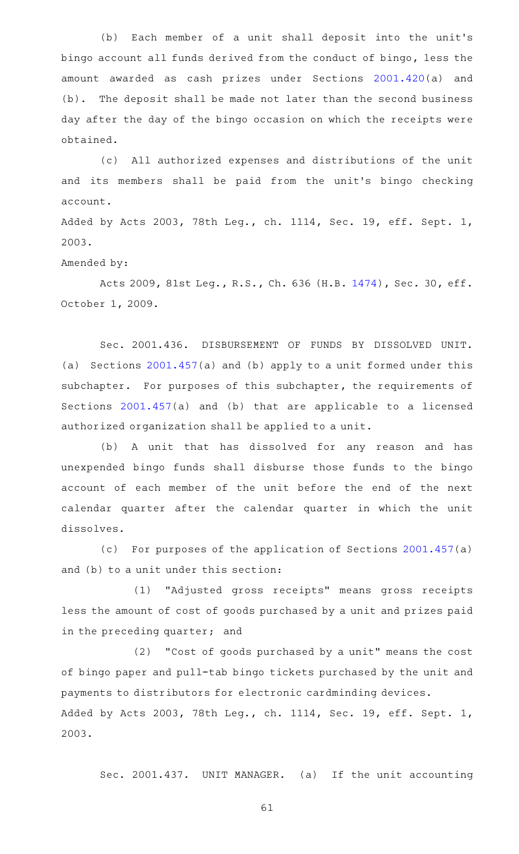(b) Each member of a unit shall deposit into the unit's bingo account all funds derived from the conduct of bingo, less the amount awarded as cash prizes under Sections [2001.420\(](https://statutes.capitol.texas.gov/GetStatute.aspx?Code=OC&Value=2001.420)a) and (b). The deposit shall be made not later than the second business day after the day of the bingo occasion on which the receipts were obtained.

(c) All authorized expenses and distributions of the unit and its members shall be paid from the unit 's bingo checking account.

Added by Acts 2003, 78th Leg., ch. 1114, Sec. 19, eff. Sept. 1, 2003.

Amended by:

Acts 2009, 81st Leg., R.S., Ch. 636 (H.B. [1474\)](http://www.legis.state.tx.us/tlodocs/81R/billtext/html/HB01474F.HTM), Sec. 30, eff. October 1, 2009.

Sec. 2001.436. DISBURSEMENT OF FUNDS BY DISSOLVED UNIT. (a) Sections [2001.457](https://statutes.capitol.texas.gov/GetStatute.aspx?Code=OC&Value=2001.457)(a) and (b) apply to a unit formed under this subchapter. For purposes of this subchapter, the requirements of Sections [2001.457](https://statutes.capitol.texas.gov/GetStatute.aspx?Code=OC&Value=2001.457)(a) and (b) that are applicable to a licensed authorized organization shall be applied to a unit.

(b) A unit that has dissolved for any reason and has unexpended bingo funds shall disburse those funds to the bingo account of each member of the unit before the end of the next calendar quarter after the calendar quarter in which the unit dissolves.

(c) For purposes of the application of Sections  $2001.457(a)$  $2001.457(a)$ and (b) to a unit under this section:

(1) "Adjusted gross receipts" means gross receipts less the amount of cost of goods purchased by a unit and prizes paid in the preceding quarter; and

 $(2)$  "Cost of goods purchased by a unit" means the cost of bingo paper and pull-tab bingo tickets purchased by the unit and payments to distributors for electronic cardminding devices. Added by Acts 2003, 78th Leg., ch. 1114, Sec. 19, eff. Sept. 1, 2003.

Sec. 2001.437. UNIT MANAGER. (a) If the unit accounting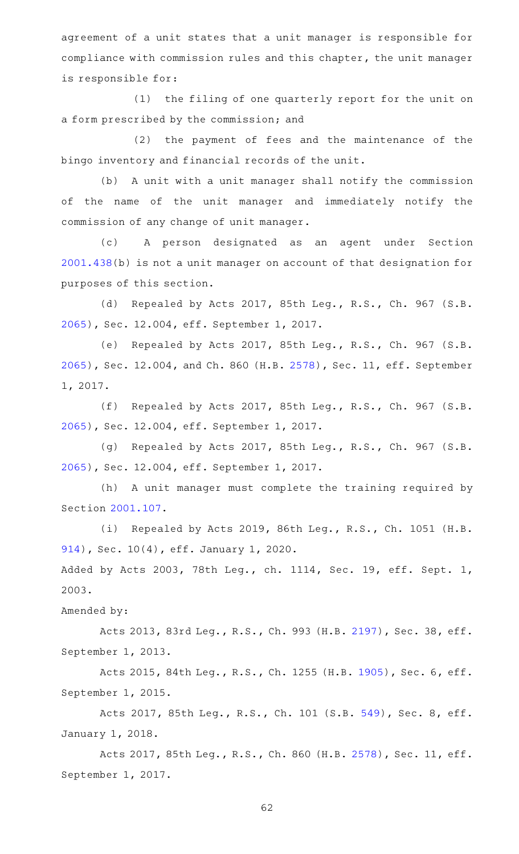agreement of a unit states that a unit manager is responsible for compliance with commission rules and this chapter, the unit manager is responsible for:

(1) the filing of one quarterly report for the unit on a form prescribed by the commission; and

(2) the payment of fees and the maintenance of the bingo inventory and financial records of the unit.

(b) A unit with a unit manager shall notify the commission of the name of the unit manager and immediately notify the commission of any change of unit manager.

(c)AA A person designated as an agent under Section [2001.438](https://statutes.capitol.texas.gov/GetStatute.aspx?Code=OC&Value=2001.438)(b) is not a unit manager on account of that designation for purposes of this section.

(d) Repealed by Acts 2017, 85th Leg., R.S., Ch. 967 (S.B. [2065](http://www.legis.state.tx.us/tlodocs/85R/billtext/html/SB02065F.HTM)), Sec. 12.004, eff. September 1, 2017.

(e) Repealed by Acts 2017, 85th Leg., R.S., Ch. 967 (S.B. [2065](http://www.legis.state.tx.us/tlodocs/85R/billtext/html/SB02065F.HTM)), Sec. 12.004, and Ch. 860 (H.B. [2578\)](http://www.legis.state.tx.us/tlodocs/85R/billtext/html/HB02578F.HTM), Sec. 11, eff. September 1, 2017.

(f) Repealed by Acts 2017, 85th Leg., R.S., Ch. 967 (S.B. [2065](http://www.legis.state.tx.us/tlodocs/85R/billtext/html/SB02065F.HTM)), Sec. 12.004, eff. September 1, 2017.

(g) Repealed by Acts 2017, 85th Leg., R.S., Ch. 967 (S.B. [2065](http://www.legis.state.tx.us/tlodocs/85R/billtext/html/SB02065F.HTM)), Sec. 12.004, eff. September 1, 2017.

(h) A unit manager must complete the training required by Section [2001.107](https://statutes.capitol.texas.gov/GetStatute.aspx?Code=OC&Value=2001.107).

(i) Repealed by Acts 2019, 86th Leg., R.S., Ch. 1051 (H.B. [914\)](http://www.legis.state.tx.us/tlodocs/86R/billtext/html/HB00914F.HTM), Sec. 10(4), eff. January 1, 2020.

Added by Acts 2003, 78th Leg., ch. 1114, Sec. 19, eff. Sept. 1, 2003.

Amended by:

Acts 2013, 83rd Leg., R.S., Ch. 993 (H.B. [2197\)](http://www.legis.state.tx.us/tlodocs/83R/billtext/html/HB02197F.HTM), Sec. 38, eff. September 1, 2013.

Acts 2015, 84th Leg., R.S., Ch. 1255 (H.B. [1905](http://www.legis.state.tx.us/tlodocs/84R/billtext/html/HB01905F.HTM)), Sec. 6, eff. September 1, 2015.

Acts 2017, 85th Leg., R.S., Ch. 101 (S.B. [549](http://www.legis.state.tx.us/tlodocs/85R/billtext/html/SB00549F.HTM)), Sec. 8, eff. January 1, 2018.

Acts 2017, 85th Leg., R.S., Ch. 860 (H.B. [2578\)](http://www.legis.state.tx.us/tlodocs/85R/billtext/html/HB02578F.HTM), Sec. 11, eff. September 1, 2017.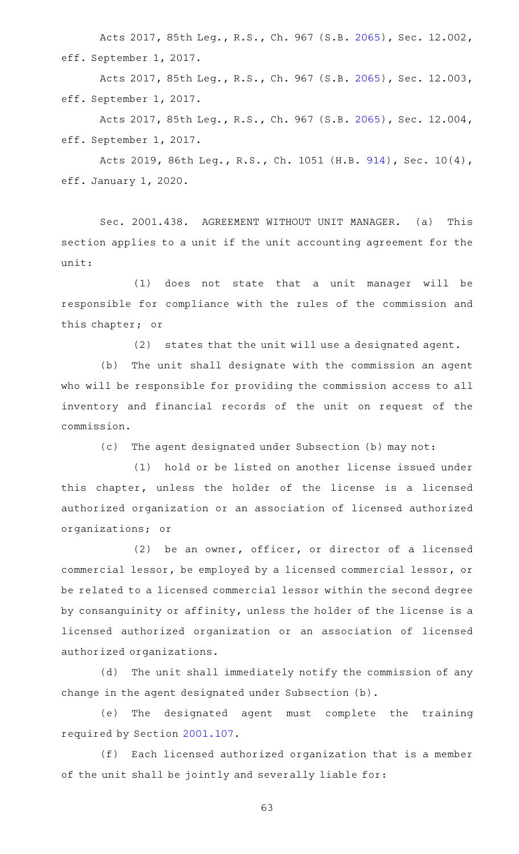Acts 2017, 85th Leg., R.S., Ch. 967 (S.B. [2065\)](http://www.legis.state.tx.us/tlodocs/85R/billtext/html/SB02065F.HTM), Sec. 12.002, eff. September 1, 2017.

Acts 2017, 85th Leg., R.S., Ch. 967 (S.B. [2065\)](http://www.legis.state.tx.us/tlodocs/85R/billtext/html/SB02065F.HTM), Sec. 12.003, eff. September 1, 2017.

Acts 2017, 85th Leg., R.S., Ch. 967 (S.B. [2065\)](http://www.legis.state.tx.us/tlodocs/85R/billtext/html/SB02065F.HTM), Sec. 12.004, eff. September 1, 2017.

Acts 2019, 86th Leg., R.S., Ch. 1051 (H.B. [914\)](http://www.legis.state.tx.us/tlodocs/86R/billtext/html/HB00914F.HTM), Sec. 10(4), eff. January 1, 2020.

Sec. 2001.438. AGREEMENT WITHOUT UNIT MANAGER. (a) This section applies to a unit if the unit accounting agreement for the unit:

(1) does not state that a unit manager will be responsible for compliance with the rules of the commission and this chapter; or

(2) states that the unit will use a designated agent.

(b) The unit shall designate with the commission an agent who will be responsible for providing the commission access to all inventory and financial records of the unit on request of the commission.

(c) The agent designated under Subsection (b) may not:

(1) hold or be listed on another license issued under this chapter, unless the holder of the license is a licensed authorized organization or an association of licensed authorized organizations; or

 $(2)$  be an owner, officer, or director of a licensed commercial lessor, be employed by a licensed commercial lessor, or be related to a licensed commercial lessor within the second degree by consanguinity or affinity, unless the holder of the license is a licensed authorized organization or an association of licensed authorized organizations.

(d) The unit shall immediately notify the commission of any change in the agent designated under Subsection (b).

(e) The designated agent must complete the training required by Section [2001.107.](https://statutes.capitol.texas.gov/GetStatute.aspx?Code=OC&Value=2001.107)

(f) Each licensed authorized organization that is a member of the unit shall be jointly and severally liable for: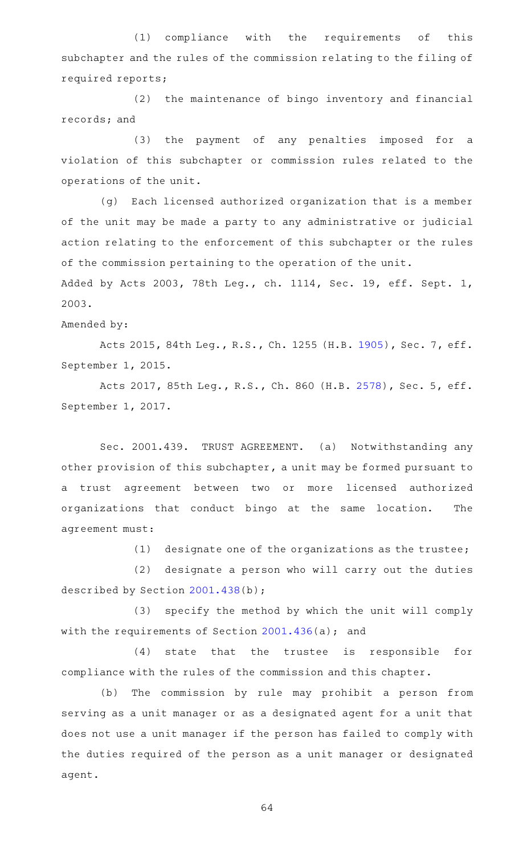(1) compliance with the requirements of this subchapter and the rules of the commission relating to the filing of required reports;

 $(2)$  the maintenance of bingo inventory and financial records; and

(3) the payment of any penalties imposed for a violation of this subchapter or commission rules related to the operations of the unit.

(g) Each licensed authorized organization that is a member of the unit may be made a party to any administrative or judicial action relating to the enforcement of this subchapter or the rules of the commission pertaining to the operation of the unit.

Added by Acts 2003, 78th Leg., ch. 1114, Sec. 19, eff. Sept. 1, 2003.

Amended by:

Acts 2015, 84th Leg., R.S., Ch. 1255 (H.B. [1905](http://www.legis.state.tx.us/tlodocs/84R/billtext/html/HB01905F.HTM)), Sec. 7, eff. September 1, 2015.

Acts 2017, 85th Leg., R.S., Ch. 860 (H.B. [2578](http://www.legis.state.tx.us/tlodocs/85R/billtext/html/HB02578F.HTM)), Sec. 5, eff. September 1, 2017.

Sec. 2001.439. TRUST AGREEMENT. (a) Notwithstanding any other provision of this subchapter, a unit may be formed pursuant to a trust agreement between two or more licensed authorized organizations that conduct bingo at the same location. The agreement must:

 $(1)$  designate one of the organizations as the trustee;

(2) designate a person who will carry out the duties described by Section [2001.438](https://statutes.capitol.texas.gov/GetStatute.aspx?Code=OC&Value=2001.438)(b);

(3) specify the method by which the unit will comply with the requirements of Section [2001.436\(](https://statutes.capitol.texas.gov/GetStatute.aspx?Code=OC&Value=2001.436)a); and

 $(4)$  state that the trustee is responsible for compliance with the rules of the commission and this chapter.

(b) The commission by rule may prohibit a person from serving as a unit manager or as a designated agent for a unit that does not use a unit manager if the person has failed to comply with the duties required of the person as a unit manager or designated agent.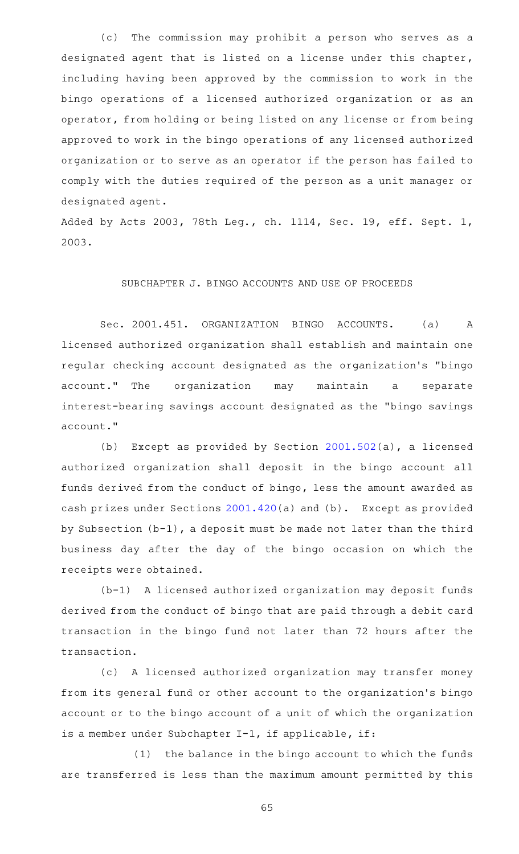(c) The commission may prohibit a person who serves as a designated agent that is listed on a license under this chapter, including having been approved by the commission to work in the bingo operations of a licensed authorized organization or as an operator, from holding or being listed on any license or from being approved to work in the bingo operations of any licensed authorized organization or to serve as an operator if the person has failed to comply with the duties required of the person as a unit manager or designated agent.

Added by Acts 2003, 78th Leg., ch. 1114, Sec. 19, eff. Sept. 1, 2003.

# SUBCHAPTER J. BINGO ACCOUNTS AND USE OF PROCEEDS

Sec. 2001.451. ORGANIZATION BINGO ACCOUNTS. (a) A licensed authorized organization shall establish and maintain one regular checking account designated as the organization 's "bingo account." The organization may maintain a separate interest-bearing savings account designated as the "bingo savings account."

(b) Except as provided by Section  $2001.502(a)$  $2001.502(a)$ , a licensed authorized organization shall deposit in the bingo account all funds derived from the conduct of bingo, less the amount awarded as cash prizes under Sections  $2001.420(a)$  $2001.420(a)$  and  $(b)$ . Except as provided by Subsection (b-1), a deposit must be made not later than the third business day after the day of the bingo occasion on which the receipts were obtained.

(b-1) A licensed authorized organization may deposit funds derived from the conduct of bingo that are paid through a debit card transaction in the bingo fund not later than 72 hours after the transaction.

(c) A licensed authorized organization may transfer money from its general fund or other account to the organization 's bingo account or to the bingo account of a unit of which the organization is a member under Subchapter I-1, if applicable, if:

(1) the balance in the bingo account to which the funds are transferred is less than the maximum amount permitted by this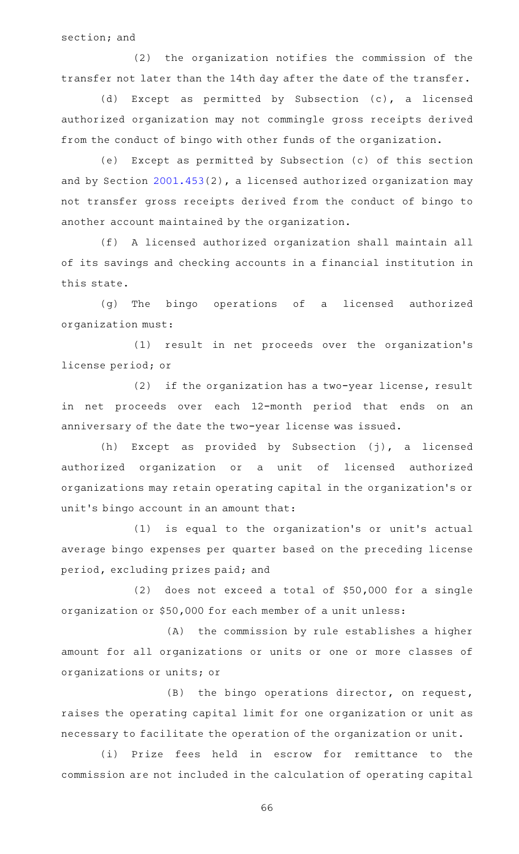section; and

 $(2)$  the organization notifies the commission of the transfer not later than the 14th day after the date of the transfer.

(d) Except as permitted by Subsection (c), a licensed authorized organization may not commingle gross receipts derived from the conduct of bingo with other funds of the organization.

(e) Except as permitted by Subsection (c) of this section and by Section [2001.453\(](https://statutes.capitol.texas.gov/GetStatute.aspx?Code=OC&Value=2001.453)2), a licensed authorized organization may not transfer gross receipts derived from the conduct of bingo to another account maintained by the organization.

(f) A licensed authorized organization shall maintain all of its savings and checking accounts in a financial institution in this state.

(g) The bingo operations of a licensed authorized organization must:

(1) result in net proceeds over the organization's license period; or

(2) if the organization has a two-year license, result in net proceeds over each 12-month period that ends on an anniversary of the date the two-year license was issued.

(h) Except as provided by Subsection (j), a licensed authorized organization or a unit of licensed authorized organizations may retain operating capital in the organization 's or unit 's bingo account in an amount that:

(1) is equal to the organization's or unit's actual average bingo expenses per quarter based on the preceding license period, excluding prizes paid; and

 $(2)$  does not exceed a total of \$50,000 for a single organization or \$50,000 for each member of a unit unless:

(A) the commission by rule establishes a higher amount for all organizations or units or one or more classes of organizations or units; or

 $(B)$  the bingo operations director, on request, raises the operating capital limit for one organization or unit as necessary to facilitate the operation of the organization or unit.

(i) Prize fees held in escrow for remittance to the commission are not included in the calculation of operating capital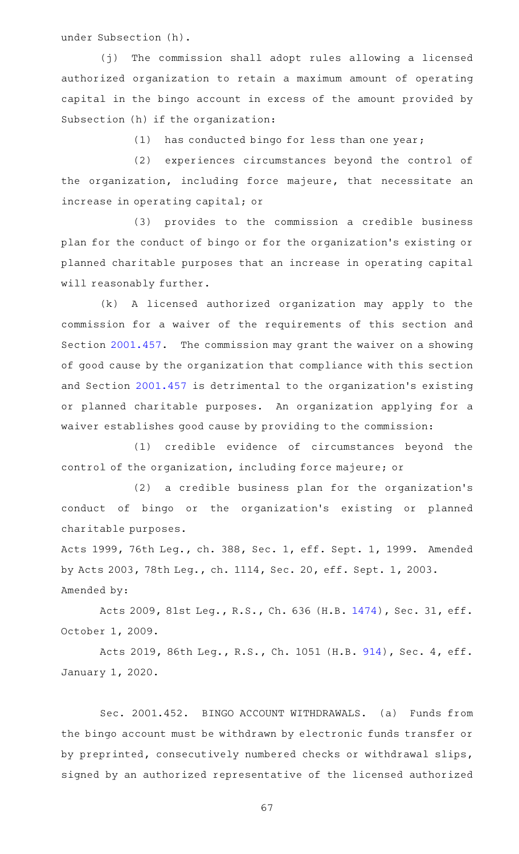under Subsection (h).

(j) The commission shall adopt rules allowing a licensed authorized organization to retain a maximum amount of operating capital in the bingo account in excess of the amount provided by Subsection (h) if the organization:

 $(1)$  has conducted bingo for less than one year;

(2) experiences circumstances beyond the control of the organization, including force majeure, that necessitate an increase in operating capital; or

(3) provides to the commission a credible business plan for the conduct of bingo or for the organization 's existing or planned charitable purposes that an increase in operating capital will reasonably further.

(k) A licensed authorized organization may apply to the commission for a waiver of the requirements of this section and Section [2001.457.](https://statutes.capitol.texas.gov/GetStatute.aspx?Code=OC&Value=2001.457) The commission may grant the waiver on a showing of good cause by the organization that compliance with this section and Section [2001.457](https://statutes.capitol.texas.gov/GetStatute.aspx?Code=OC&Value=2001.457) is detrimental to the organization 's existing or planned charitable purposes. An organization applying for a waiver establishes good cause by providing to the commission:

(1) credible evidence of circumstances beyond the control of the organization, including force majeure; or

(2) a credible business plan for the organization's conduct of bingo or the organization's existing or planned charitable purposes.

Acts 1999, 76th Leg., ch. 388, Sec. 1, eff. Sept. 1, 1999. Amended by Acts 2003, 78th Leg., ch. 1114, Sec. 20, eff. Sept. 1, 2003. Amended by:

Acts 2009, 81st Leg., R.S., Ch. 636 (H.B. [1474\)](http://www.legis.state.tx.us/tlodocs/81R/billtext/html/HB01474F.HTM), Sec. 31, eff. October 1, 2009.

Acts 2019, 86th Leg., R.S., Ch. 1051 (H.B. [914](http://www.legis.state.tx.us/tlodocs/86R/billtext/html/HB00914F.HTM)), Sec. 4, eff. January 1, 2020.

Sec. 2001.452. BINGO ACCOUNT WITHDRAWALS. (a) Funds from the bingo account must be withdrawn by electronic funds transfer or by preprinted, consecutively numbered checks or withdrawal slips, signed by an authorized representative of the licensed authorized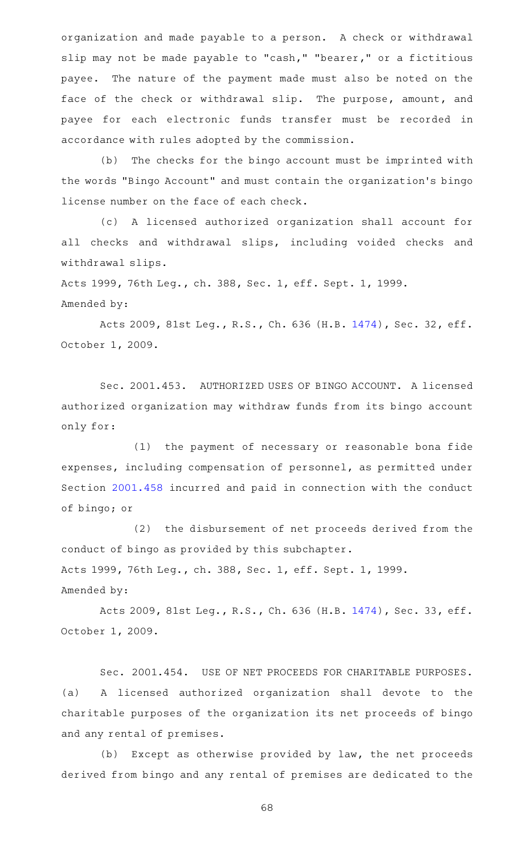organization and made payable to a person. A check or withdrawal slip may not be made payable to "cash," "bearer," or a fictitious payee. The nature of the payment made must also be noted on the face of the check or withdrawal slip. The purpose, amount, and payee for each electronic funds transfer must be recorded in accordance with rules adopted by the commission.

(b) The checks for the bingo account must be imprinted with the words "Bingo Account" and must contain the organization 's bingo license number on the face of each check.

(c)AAA licensed authorized organization shall account for all checks and withdrawal slips, including voided checks and withdrawal slips.

Acts 1999, 76th Leg., ch. 388, Sec. 1, eff. Sept. 1, 1999. Amended by:

Acts 2009, 81st Leg., R.S., Ch. 636 (H.B. [1474\)](http://www.legis.state.tx.us/tlodocs/81R/billtext/html/HB01474F.HTM), Sec. 32, eff. October 1, 2009.

Sec. 2001.453. AUTHORIZED USES OF BINGO ACCOUNT. A licensed authorized organization may withdraw funds from its bingo account only for:

(1) the payment of necessary or reasonable bona fide expenses, including compensation of personnel, as permitted under Section [2001.458](https://statutes.capitol.texas.gov/GetStatute.aspx?Code=OC&Value=2001.458) incurred and paid in connection with the conduct of bingo; or

(2) the disbursement of net proceeds derived from the conduct of bingo as provided by this subchapter. Acts 1999, 76th Leg., ch. 388, Sec. 1, eff. Sept. 1, 1999. Amended by:

Acts 2009, 81st Leg., R.S., Ch. 636 (H.B. [1474\)](http://www.legis.state.tx.us/tlodocs/81R/billtext/html/HB01474F.HTM), Sec. 33, eff. October 1, 2009.

Sec. 2001.454. USE OF NET PROCEEDS FOR CHARITABLE PURPOSES. (a) A licensed authorized organization shall devote to the charitable purposes of the organization its net proceeds of bingo and any rental of premises.

(b) Except as otherwise provided by law, the net proceeds derived from bingo and any rental of premises are dedicated to the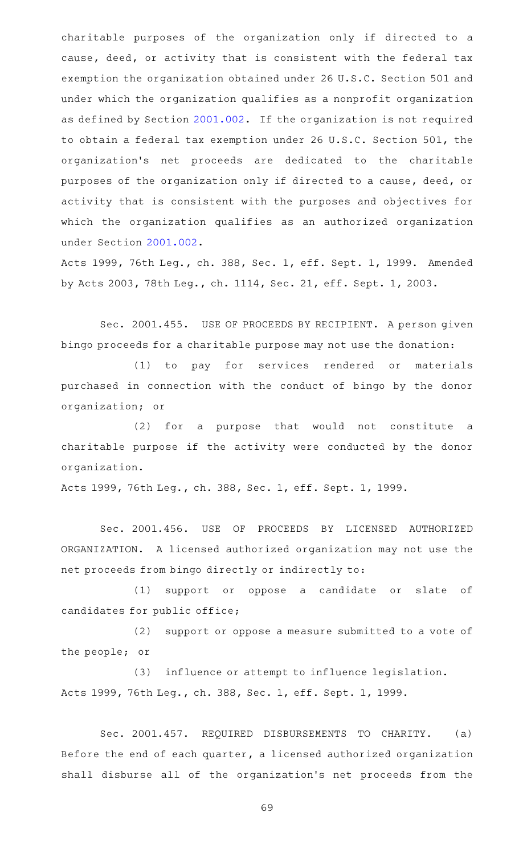charitable purposes of the organization only if directed to a cause, deed, or activity that is consistent with the federal tax exemption the organization obtained under 26 U.S.C. Section 501 and under which the organization qualifies as a nonprofit organization as defined by Section [2001.002.](https://statutes.capitol.texas.gov/GetStatute.aspx?Code=OC&Value=2001.002) If the organization is not required to obtain a federal tax exemption under 26 U.S.C. Section 501, the organization 's net proceeds are dedicated to the charitable purposes of the organization only if directed to a cause, deed, or activity that is consistent with the purposes and objectives for which the organization qualifies as an authorized organization under Section [2001.002](https://statutes.capitol.texas.gov/GetStatute.aspx?Code=OC&Value=2001.002).

Acts 1999, 76th Leg., ch. 388, Sec. 1, eff. Sept. 1, 1999. Amended by Acts 2003, 78th Leg., ch. 1114, Sec. 21, eff. Sept. 1, 2003.

Sec. 2001.455. USE OF PROCEEDS BY RECIPIENT. A person given bingo proceeds for a charitable purpose may not use the donation:

(1) to pay for services rendered or materials purchased in connection with the conduct of bingo by the donor organization; or

(2) for a purpose that would not constitute a charitable purpose if the activity were conducted by the donor organization.

Acts 1999, 76th Leg., ch. 388, Sec. 1, eff. Sept. 1, 1999.

Sec. 2001.456. USE OF PROCEEDS BY LICENSED AUTHORIZED ORGANIZATION. A licensed authorized organization may not use the net proceeds from bingo directly or indirectly to:

(1) support or oppose a candidate or slate of candidates for public office;

(2) support or oppose a measure submitted to a vote of the people; or

(3) influence or attempt to influence legislation. Acts 1999, 76th Leg., ch. 388, Sec. 1, eff. Sept. 1, 1999.

Sec. 2001.457. REQUIRED DISBURSEMENTS TO CHARITY. (a) Before the end of each quarter, a licensed authorized organization shall disburse all of the organization's net proceeds from the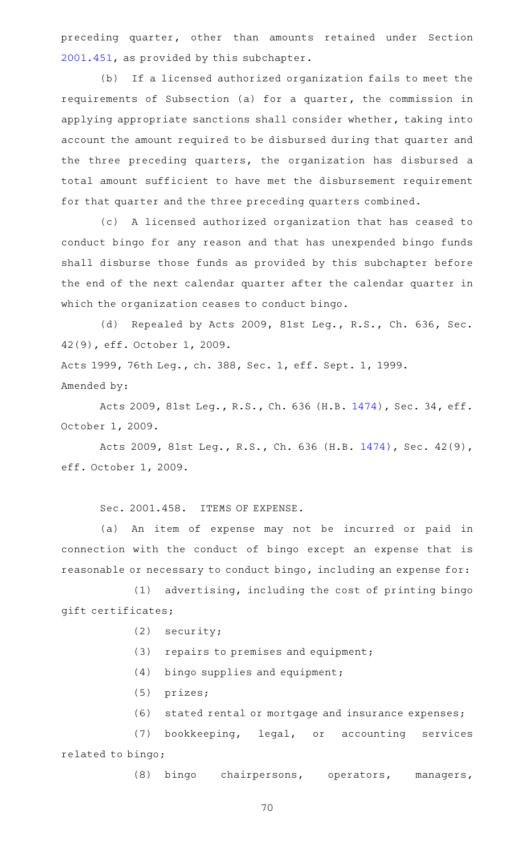preceding quarter, other than amounts retained under Section [2001.451](https://statutes.capitol.texas.gov/GetStatute.aspx?Code=OC&Value=2001.451), as provided by this subchapter.

(b) If a licensed authorized organization fails to meet the requirements of Subsection (a) for a quarter, the commission in applying appropriate sanctions shall consider whether, taking into account the amount required to be disbursed during that quarter and the three preceding quarters, the organization has disbursed a total amount sufficient to have met the disbursement requirement for that quarter and the three preceding quarters combined.

(c)AAA licensed authorized organization that has ceased to conduct bingo for any reason and that has unexpended bingo funds shall disburse those funds as provided by this subchapter before the end of the next calendar quarter after the calendar quarter in which the organization ceases to conduct bingo.

(d) Repealed by Acts 2009, 81st Leg., R.S., Ch. 636, Sec. 42(9), eff. October 1, 2009.

Acts 1999, 76th Leg., ch. 388, Sec. 1, eff. Sept. 1, 1999. Amended by:

Acts 2009, 81st Leg., R.S., Ch. 636 (H.B. [1474\)](http://www.legis.state.tx.us/tlodocs/81R/billtext/html/HB01474F.HTM), Sec. 34, eff. October 1, 2009.

Acts 2009, 81st Leg., R.S., Ch. 636 (H.B. [1474\)](http://www.legis.state.tx.us/tlodocs/81R/billtext/html/HB01474F.HTM), Sec. 42(9), eff. October 1, 2009.

Sec. 2001.458. ITEMS OF EXPENSE.

(a) An item of expense may not be incurred or paid in connection with the conduct of bingo except an expense that is reasonable or necessary to conduct bingo, including an expense for:

(1) advertising, including the cost of printing bingo gift certificates;

- $(2)$  security;
- $(3)$  repairs to premises and equipment;
- $(4)$  bingo supplies and equipment;
- (5) prizes;
- (6) stated rental or mortgage and insurance expenses;

(7) bookkeeping, legal, or accounting services related to bingo;

(8) bingo chairpersons, operators, managers,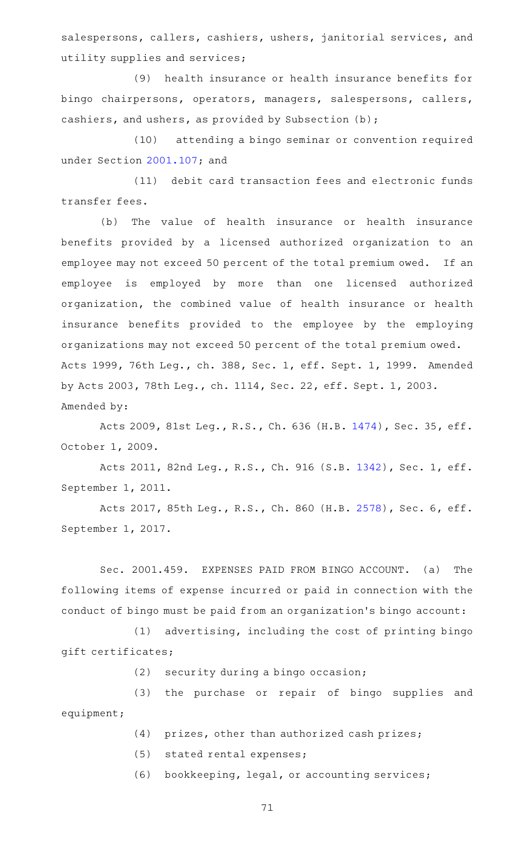salespersons, callers, cashiers, ushers, janitorial services, and utility supplies and services;

(9) health insurance or health insurance benefits for bingo chairpersons, operators, managers, salespersons, callers, cashiers, and ushers, as provided by Subsection (b);

(10) attending a bingo seminar or convention required under Section [2001.107](https://statutes.capitol.texas.gov/GetStatute.aspx?Code=OC&Value=2001.107); and

(11) debit card transaction fees and electronic funds transfer fees.

(b) The value of health insurance or health insurance benefits provided by a licensed authorized organization to an employee may not exceed 50 percent of the total premium owed. If an employee is employed by more than one licensed authorized organization, the combined value of health insurance or health insurance benefits provided to the employee by the employing organizations may not exceed 50 percent of the total premium owed. Acts 1999, 76th Leg., ch. 388, Sec. 1, eff. Sept. 1, 1999. Amended by Acts 2003, 78th Leg., ch. 1114, Sec. 22, eff. Sept. 1, 2003. Amended by:

Acts 2009, 81st Leg., R.S., Ch. 636 (H.B. [1474\)](http://www.legis.state.tx.us/tlodocs/81R/billtext/html/HB01474F.HTM), Sec. 35, eff. October 1, 2009.

Acts 2011, 82nd Leg., R.S., Ch. 916 (S.B. [1342](http://www.legis.state.tx.us/tlodocs/82R/billtext/html/SB01342F.HTM)), Sec. 1, eff. September 1, 2011.

Acts 2017, 85th Leg., R.S., Ch. 860 (H.B. [2578](http://www.legis.state.tx.us/tlodocs/85R/billtext/html/HB02578F.HTM)), Sec. 6, eff. September 1, 2017.

Sec. 2001.459. EXPENSES PAID FROM BINGO ACCOUNT. (a) The following items of expense incurred or paid in connection with the conduct of bingo must be paid from an organization 's bingo account:

 $(1)$  advertising, including the cost of printing bingo gift certificates;

 $(2)$  security during a bingo occasion;

(3) the purchase or repair of bingo supplies and equipment;

- $(4)$  prizes, other than authorized cash prizes;
- (5) stated rental expenses;

(6) bookkeeping, legal, or accounting services;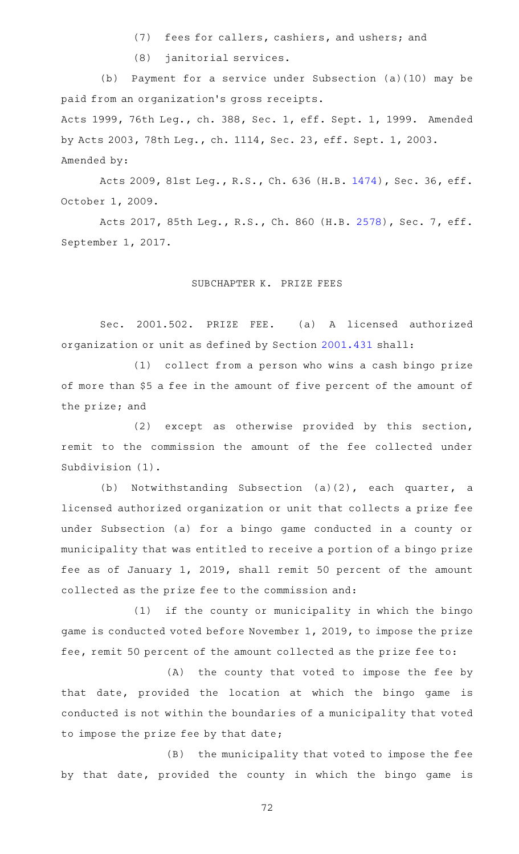- (7) fees for callers, cashiers, and ushers; and
- (8) janitorial services.

(b) Payment for a service under Subsection (a)(10) may be paid from an organization 's gross receipts. Acts 1999, 76th Leg., ch. 388, Sec. 1, eff. Sept. 1, 1999. Amended by Acts 2003, 78th Leg., ch. 1114, Sec. 23, eff. Sept. 1, 2003. Amended by:

Acts 2009, 81st Leg., R.S., Ch. 636 (H.B. [1474\)](http://www.legis.state.tx.us/tlodocs/81R/billtext/html/HB01474F.HTM), Sec. 36, eff. October 1, 2009.

Acts 2017, 85th Leg., R.S., Ch. 860 (H.B. [2578](http://www.legis.state.tx.us/tlodocs/85R/billtext/html/HB02578F.HTM)), Sec. 7, eff. September 1, 2017.

# SUBCHAPTER K. PRIZE FEES

Sec. 2001.502. PRIZE FEE. (a) A licensed authorized organization or unit as defined by Section [2001.431](https://statutes.capitol.texas.gov/GetStatute.aspx?Code=OC&Value=2001.431) shall:

(1) collect from a person who wins a cash bingo prize of more than \$5 a fee in the amount of five percent of the amount of the prize; and

 $(2)$  except as otherwise provided by this section, remit to the commission the amount of the fee collected under Subdivision (1).

(b) Notwithstanding Subsection  $(a)(2)$ , each quarter, a licensed authorized organization or unit that collects a prize fee under Subsection (a) for a bingo game conducted in a county or municipality that was entitled to receive a portion of a bingo prize fee as of January 1, 2019, shall remit 50 percent of the amount collected as the prize fee to the commission and:

(1) if the county or municipality in which the bingo game is conducted voted before November 1, 2019, to impose the prize fee, remit 50 percent of the amount collected as the prize fee to:

(A) the county that voted to impose the fee by that date, provided the location at which the bingo game is conducted is not within the boundaries of a municipality that voted to impose the prize fee by that date;

(B) the municipality that voted to impose the fee by that date, provided the county in which the bingo game is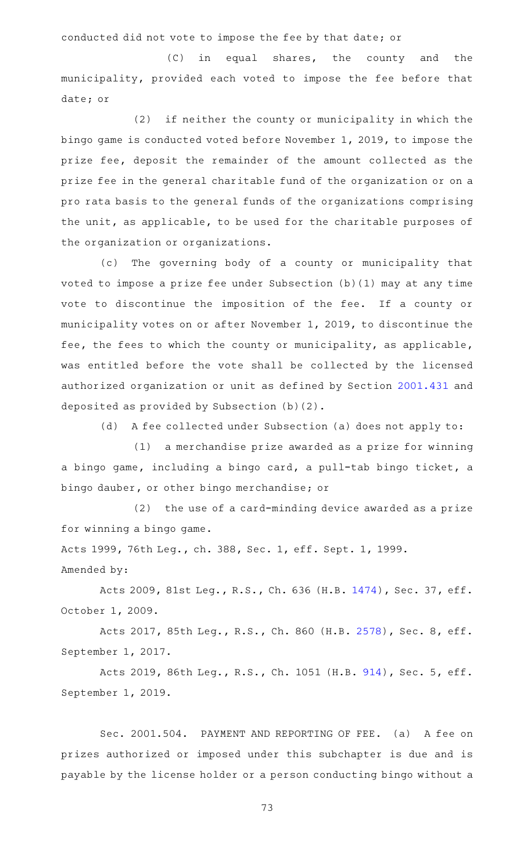conducted did not vote to impose the fee by that date; or

 $(C)$  in equal shares, the county and the municipality, provided each voted to impose the fee before that date; or

(2) if neither the county or municipality in which the bingo game is conducted voted before November 1, 2019, to impose the prize fee, deposit the remainder of the amount collected as the prize fee in the general charitable fund of the organization or on a pro rata basis to the general funds of the organizations comprising the unit, as applicable, to be used for the charitable purposes of the organization or organizations.

(c) The governing body of a county or municipality that voted to impose a prize fee under Subsection (b)(1) may at any time vote to discontinue the imposition of the fee. If a county or municipality votes on or after November 1, 2019, to discontinue the fee, the fees to which the county or municipality, as applicable, was entitled before the vote shall be collected by the licensed authorized organization or unit as defined by Section [2001.431](https://statutes.capitol.texas.gov/GetStatute.aspx?Code=OC&Value=2001.431) and deposited as provided by Subsection (b)(2).

(d) A fee collected under Subsection (a) does not apply to:

 $(1)$  a merchandise prize awarded as a prize for winning a bingo game, including a bingo card, a pull-tab bingo ticket, a bingo dauber, or other bingo merchandise; or

 $(2)$  the use of a card-minding device awarded as a prize for winning a bingo game.

Acts 1999, 76th Leg., ch. 388, Sec. 1, eff. Sept. 1, 1999. Amended by:

Acts 2009, 81st Leg., R.S., Ch. 636 (H.B. [1474\)](http://www.legis.state.tx.us/tlodocs/81R/billtext/html/HB01474F.HTM), Sec. 37, eff. October 1, 2009.

Acts 2017, 85th Leg., R.S., Ch. 860 (H.B. [2578](http://www.legis.state.tx.us/tlodocs/85R/billtext/html/HB02578F.HTM)), Sec. 8, eff. September 1, 2017.

Acts 2019, 86th Leg., R.S., Ch. 1051 (H.B. [914](http://www.legis.state.tx.us/tlodocs/86R/billtext/html/HB00914F.HTM)), Sec. 5, eff. September 1, 2019.

Sec. 2001.504. PAYMENT AND REPORTING OF FEE. (a) A fee on prizes authorized or imposed under this subchapter is due and is payable by the license holder or a person conducting bingo without a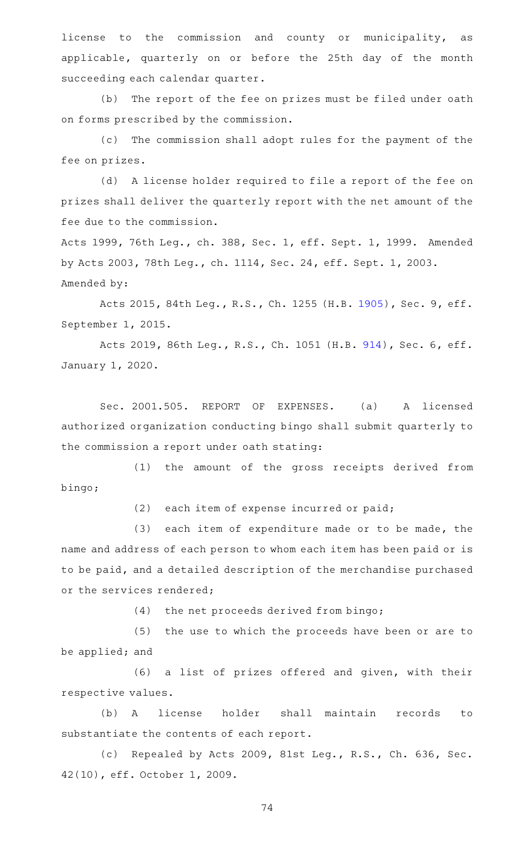license to the commission and county or municipality, as applicable, quarterly on or before the 25th day of the month succeeding each calendar quarter.

(b) The report of the fee on prizes must be filed under oath on forms prescribed by the commission.

(c) The commission shall adopt rules for the payment of the fee on prizes.

(d) A license holder required to file a report of the fee on prizes shall deliver the quarterly report with the net amount of the fee due to the commission.

Acts 1999, 76th Leg., ch. 388, Sec. 1, eff. Sept. 1, 1999. Amended by Acts 2003, 78th Leg., ch. 1114, Sec. 24, eff. Sept. 1, 2003. Amended by:

Acts 2015, 84th Leg., R.S., Ch. 1255 (H.B. [1905](http://www.legis.state.tx.us/tlodocs/84R/billtext/html/HB01905F.HTM)), Sec. 9, eff. September 1, 2015.

Acts 2019, 86th Leg., R.S., Ch. 1051 (H.B. [914](http://www.legis.state.tx.us/tlodocs/86R/billtext/html/HB00914F.HTM)), Sec. 6, eff. January 1, 2020.

Sec. 2001.505. REPORT OF EXPENSES. (a) A licensed authorized organization conducting bingo shall submit quarterly to the commission a report under oath stating:

(1) the amount of the gross receipts derived from bingo;

 $(2)$  each item of expense incurred or paid;

 $(3)$  each item of expenditure made or to be made, the name and address of each person to whom each item has been paid or is to be paid, and a detailed description of the merchandise purchased or the services rendered;

(4) the net proceeds derived from bingo;

(5) the use to which the proceeds have been or are to be applied; and

(6) a list of prizes offered and given, with their respective values.

(b) A license holder shall maintain records to substantiate the contents of each report.

(c) Repealed by Acts 2009, 81st Leg., R.S., Ch. 636, Sec. 42(10), eff. October 1, 2009.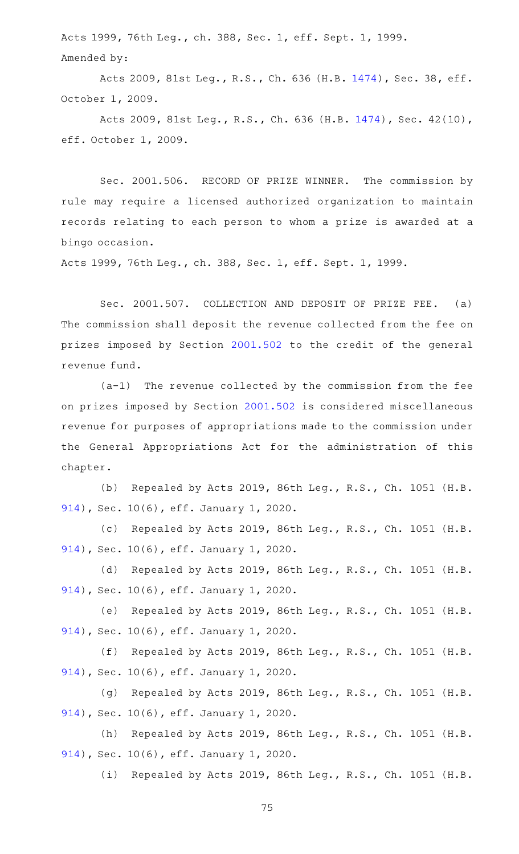Acts 1999, 76th Leg., ch. 388, Sec. 1, eff. Sept. 1, 1999. Amended by:

Acts 2009, 81st Leg., R.S., Ch. 636 (H.B. [1474\)](http://www.legis.state.tx.us/tlodocs/81R/billtext/html/HB01474F.HTM), Sec. 38, eff. October 1, 2009.

Acts 2009, 81st Leg., R.S., Ch. 636 (H.B. [1474\)](http://www.legis.state.tx.us/tlodocs/81R/billtext/html/HB01474F.HTM), Sec. 42(10), eff. October 1, 2009.

Sec. 2001.506. RECORD OF PRIZE WINNER. The commission by rule may require a licensed authorized organization to maintain records relating to each person to whom a prize is awarded at a bingo occasion.

Acts 1999, 76th Leg., ch. 388, Sec. 1, eff. Sept. 1, 1999.

Sec. 2001.507. COLLECTION AND DEPOSIT OF PRIZE FEE. (a) The commission shall deposit the revenue collected from the fee on prizes imposed by Section [2001.502](https://statutes.capitol.texas.gov/GetStatute.aspx?Code=OC&Value=2001.502) to the credit of the general revenue fund.

 $(a-1)$  The revenue collected by the commission from the fee on prizes imposed by Section [2001.502](https://statutes.capitol.texas.gov/GetStatute.aspx?Code=OC&Value=2001.502) is considered miscellaneous revenue for purposes of appropriations made to the commission under the General Appropriations Act for the administration of this chapter.

(b) Repealed by Acts 2019, 86th Leg., R.S., Ch. 1051 (H.B. [914\)](http://www.legis.state.tx.us/tlodocs/86R/billtext/html/HB00914F.HTM), Sec. 10(6), eff. January 1, 2020.

(c) Repealed by Acts 2019, 86th Leg., R.S., Ch. 1051 (H.B. [914\)](http://www.legis.state.tx.us/tlodocs/86R/billtext/html/HB00914F.HTM), Sec. 10(6), eff. January 1, 2020.

(d) Repealed by Acts 2019, 86th Leg., R.S., Ch. 1051 (H.B. [914\)](http://www.legis.state.tx.us/tlodocs/86R/billtext/html/HB00914F.HTM), Sec. 10(6), eff. January 1, 2020.

(e) Repealed by Acts 2019, 86th Leg., R.S., Ch. 1051 (H.B. [914\)](http://www.legis.state.tx.us/tlodocs/86R/billtext/html/HB00914F.HTM), Sec. 10(6), eff. January 1, 2020.

(f) Repealed by Acts 2019, 86th Leg., R.S., Ch. 1051 (H.B. [914\)](http://www.legis.state.tx.us/tlodocs/86R/billtext/html/HB00914F.HTM), Sec. 10(6), eff. January 1, 2020.

(g) Repealed by Acts 2019, 86th Leg., R.S., Ch. 1051 (H.B. [914\)](http://www.legis.state.tx.us/tlodocs/86R/billtext/html/HB00914F.HTM), Sec. 10(6), eff. January 1, 2020.

(h) Repealed by Acts 2019, 86th Leg., R.S., Ch. 1051 (H.B. [914\)](http://www.legis.state.tx.us/tlodocs/86R/billtext/html/HB00914F.HTM), Sec. 10(6), eff. January 1, 2020.

(i) Repealed by Acts 2019, 86th Leg., R.S., Ch. 1051 (H.B.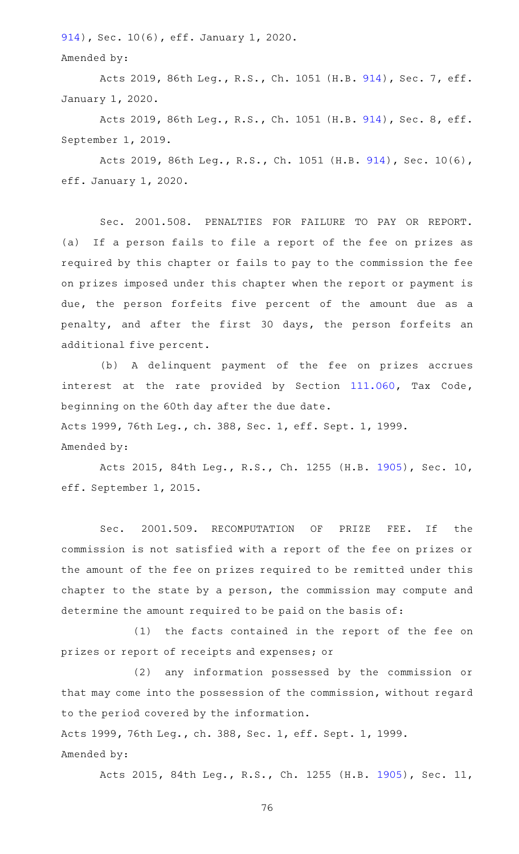[914\)](http://www.legis.state.tx.us/tlodocs/86R/billtext/html/HB00914F.HTM), Sec. 10(6), eff. January 1, 2020.

Amended by:

Acts 2019, 86th Leg., R.S., Ch. 1051 (H.B. [914](http://www.legis.state.tx.us/tlodocs/86R/billtext/html/HB00914F.HTM)), Sec. 7, eff. January 1, 2020.

Acts 2019, 86th Leg., R.S., Ch. 1051 (H.B. [914](http://www.legis.state.tx.us/tlodocs/86R/billtext/html/HB00914F.HTM)), Sec. 8, eff. September 1, 2019.

Acts 2019, 86th Leg., R.S., Ch. 1051 (H.B. [914\)](http://www.legis.state.tx.us/tlodocs/86R/billtext/html/HB00914F.HTM), Sec. 10(6), eff. January 1, 2020.

Sec. 2001.508. PENALTIES FOR FAILURE TO PAY OR REPORT. (a) If a person fails to file a report of the fee on prizes as required by this chapter or fails to pay to the commission the fee on prizes imposed under this chapter when the report or payment is due, the person forfeits five percent of the amount due as a penalty, and after the first 30 days, the person forfeits an additional five percent.

(b) A delinquent payment of the fee on prizes accrues interest at the rate provided by Section [111.060,](https://statutes.capitol.texas.gov/GetStatute.aspx?Code=TX&Value=111.060) Tax Code, beginning on the 60th day after the due date.

Acts 1999, 76th Leg., ch. 388, Sec. 1, eff. Sept. 1, 1999.

Amended by:

Acts 2015, 84th Leg., R.S., Ch. 1255 (H.B. [1905](http://www.legis.state.tx.us/tlodocs/84R/billtext/html/HB01905F.HTM)), Sec. 10, eff. September 1, 2015.

Sec. 2001.509. RECOMPUTATION OF PRIZE FEE. If the commission is not satisfied with a report of the fee on prizes or the amount of the fee on prizes required to be remitted under this chapter to the state by a person, the commission may compute and determine the amount required to be paid on the basis of:

(1) the facts contained in the report of the fee on prizes or report of receipts and expenses; or

(2) any information possessed by the commission or that may come into the possession of the commission, without regard to the period covered by the information.

Acts 1999, 76th Leg., ch. 388, Sec. 1, eff. Sept. 1, 1999. Amended by:

Acts 2015, 84th Leg., R.S., Ch. 1255 (H.B. [1905](http://www.legis.state.tx.us/tlodocs/84R/billtext/html/HB01905F.HTM)), Sec. 11,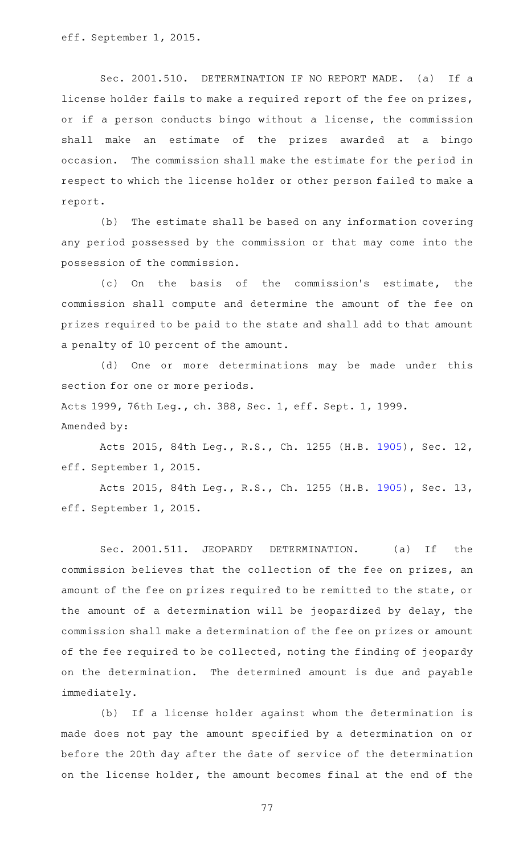eff. September 1, 2015.

Amended by:

Sec. 2001.510. DETERMINATION IF NO REPORT MADE. (a) If a license holder fails to make a required report of the fee on prizes, or if a person conducts bingo without a license, the commission shall make an estimate of the prizes awarded at a bingo occasion. The commission shall make the estimate for the period in respect to which the license holder or other person failed to make a report.

(b) The estimate shall be based on any information covering any period possessed by the commission or that may come into the possession of the commission.

(c) On the basis of the commission's estimate, the commission shall compute and determine the amount of the fee on prizes required to be paid to the state and shall add to that amount a penalty of 10 percent of the amount.

(d) One or more determinations may be made under this section for one or more periods. Acts 1999, 76th Leg., ch. 388, Sec. 1, eff. Sept. 1, 1999.

Acts 2015, 84th Leg., R.S., Ch. 1255 (H.B. [1905](http://www.legis.state.tx.us/tlodocs/84R/billtext/html/HB01905F.HTM)), Sec. 12, eff. September 1, 2015.

Acts 2015, 84th Leg., R.S., Ch. 1255 (H.B. [1905](http://www.legis.state.tx.us/tlodocs/84R/billtext/html/HB01905F.HTM)), Sec. 13, eff. September 1, 2015.

Sec. 2001.511. JEOPARDY DETERMINATION. (a) If the commission believes that the collection of the fee on prizes, an amount of the fee on prizes required to be remitted to the state, or the amount of a determination will be jeopardized by delay, the commission shall make a determination of the fee on prizes or amount of the fee required to be collected, noting the finding of jeopardy on the determination. The determined amount is due and payable immediately.

(b) If a license holder against whom the determination is made does not pay the amount specified by a determination on or before the 20th day after the date of service of the determination on the license holder, the amount becomes final at the end of the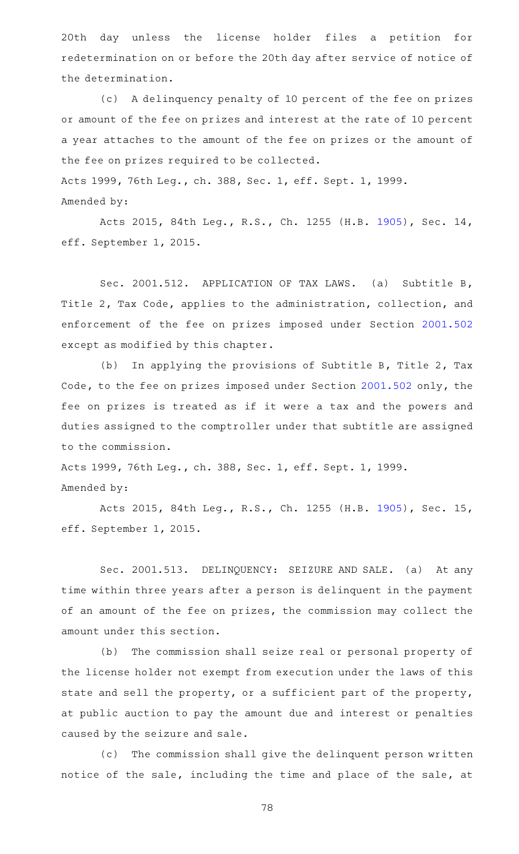20th day unless the license holder files a petition for redetermination on or before the 20th day after service of notice of the determination.

(c)AAA delinquency penalty of 10 percent of the fee on prizes or amount of the fee on prizes and interest at the rate of 10 percent a year attaches to the amount of the fee on prizes or the amount of the fee on prizes required to be collected.

Acts 1999, 76th Leg., ch. 388, Sec. 1, eff. Sept. 1, 1999. Amended by:

Acts 2015, 84th Leg., R.S., Ch. 1255 (H.B. [1905](http://www.legis.state.tx.us/tlodocs/84R/billtext/html/HB01905F.HTM)), Sec. 14, eff. September 1, 2015.

Sec. 2001.512. APPLICATION OF TAX LAWS. (a) Subtitle B, Title 2, Tax Code, applies to the administration, collection, and enforcement of the fee on prizes imposed under Section [2001.502](https://statutes.capitol.texas.gov/GetStatute.aspx?Code=OC&Value=2001.502) except as modified by this chapter.

(b) In applying the provisions of Subtitle B, Title 2, Tax Code, to the fee on prizes imposed under Section [2001.502](https://statutes.capitol.texas.gov/GetStatute.aspx?Code=OC&Value=2001.502) only, the fee on prizes is treated as if it were a tax and the powers and duties assigned to the comptroller under that subtitle are assigned to the commission.

Acts 1999, 76th Leg., ch. 388, Sec. 1, eff. Sept. 1, 1999. Amended by:

Acts 2015, 84th Leg., R.S., Ch. 1255 (H.B. [1905](http://www.legis.state.tx.us/tlodocs/84R/billtext/html/HB01905F.HTM)), Sec. 15, eff. September 1, 2015.

Sec. 2001.513. DELINQUENCY: SEIZURE AND SALE. (a) At any time within three years after a person is delinquent in the payment of an amount of the fee on prizes, the commission may collect the amount under this section.

(b) The commission shall seize real or personal property of the license holder not exempt from execution under the laws of this state and sell the property, or a sufficient part of the property, at public auction to pay the amount due and interest or penalties caused by the seizure and sale.

(c) The commission shall give the delinquent person written notice of the sale, including the time and place of the sale, at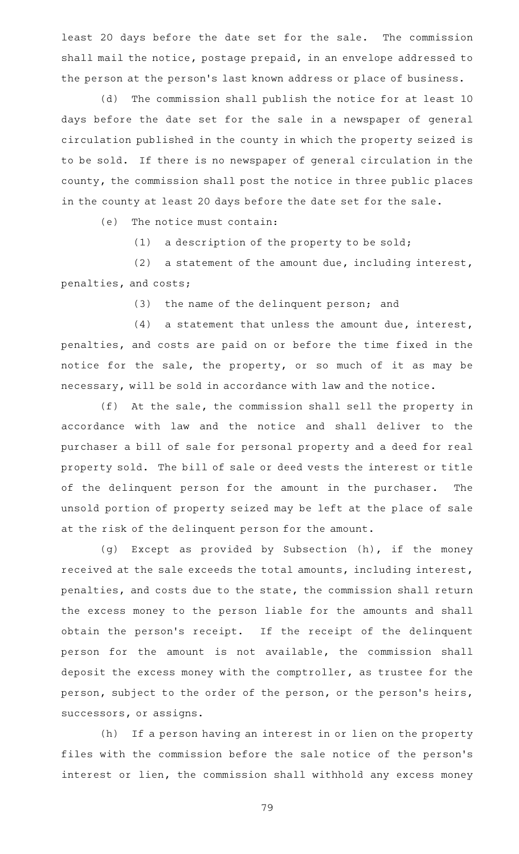least 20 days before the date set for the sale. The commission shall mail the notice, postage prepaid, in an envelope addressed to the person at the person 's last known address or place of business.

(d) The commission shall publish the notice for at least 10 days before the date set for the sale in a newspaper of general circulation published in the county in which the property seized is to be sold. If there is no newspaper of general circulation in the county, the commission shall post the notice in three public places in the county at least 20 days before the date set for the sale.

 $(e)$  The notice must contain:

 $(1)$  a description of the property to be sold;

(2) a statement of the amount due, including interest, penalties, and costs;

(3) the name of the delinquent person; and

 $(4)$  a statement that unless the amount due, interest, penalties, and costs are paid on or before the time fixed in the notice for the sale, the property, or so much of it as may be necessary, will be sold in accordance with law and the notice.

 $(f)$  At the sale, the commission shall sell the property in accordance with law and the notice and shall deliver to the purchaser a bill of sale for personal property and a deed for real property sold. The bill of sale or deed vests the interest or title of the delinquent person for the amount in the purchaser. The unsold portion of property seized may be left at the place of sale at the risk of the delinquent person for the amount.

(g) Except as provided by Subsection (h), if the money received at the sale exceeds the total amounts, including interest, penalties, and costs due to the state, the commission shall return the excess money to the person liable for the amounts and shall obtain the person's receipt. If the receipt of the delinquent person for the amount is not available, the commission shall deposit the excess money with the comptroller, as trustee for the person, subject to the order of the person, or the person's heirs, successors, or assigns.

(h) If a person having an interest in or lien on the property files with the commission before the sale notice of the person 's interest or lien, the commission shall withhold any excess money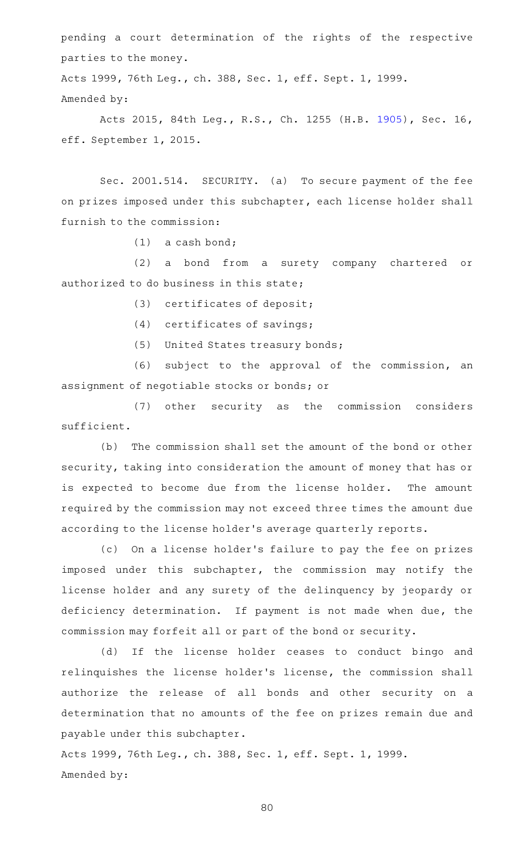pending a court determination of the rights of the respective parties to the money.

Acts 1999, 76th Leg., ch. 388, Sec. 1, eff. Sept. 1, 1999. Amended by:

Acts 2015, 84th Leg., R.S., Ch. 1255 (H.B. [1905](http://www.legis.state.tx.us/tlodocs/84R/billtext/html/HB01905F.HTM)), Sec. 16, eff. September 1, 2015.

Sec. 2001.514. SECURITY. (a) To secure payment of the fee on prizes imposed under this subchapter, each license holder shall furnish to the commission:

 $(1)$  a cash bond;

(2) a bond from a surety company chartered or authorized to do business in this state;

(3) certificates of deposit;

 $(4)$  certificates of savings;

(5) United States treasury bonds;

(6) subject to the approval of the commission, an assignment of negotiable stocks or bonds; or

(7) other security as the commission considers sufficient.

(b) The commission shall set the amount of the bond or other security, taking into consideration the amount of money that has or is expected to become due from the license holder. The amount required by the commission may not exceed three times the amount due according to the license holder 's average quarterly reports.

(c) On a license holder's failure to pay the fee on prizes imposed under this subchapter, the commission may notify the license holder and any surety of the delinquency by jeopardy or deficiency determination. If payment is not made when due, the commission may forfeit all or part of the bond or security.

(d) If the license holder ceases to conduct bingo and relinquishes the license holder 's license, the commission shall authorize the release of all bonds and other security on a determination that no amounts of the fee on prizes remain due and payable under this subchapter.

Acts 1999, 76th Leg., ch. 388, Sec. 1, eff. Sept. 1, 1999. Amended by: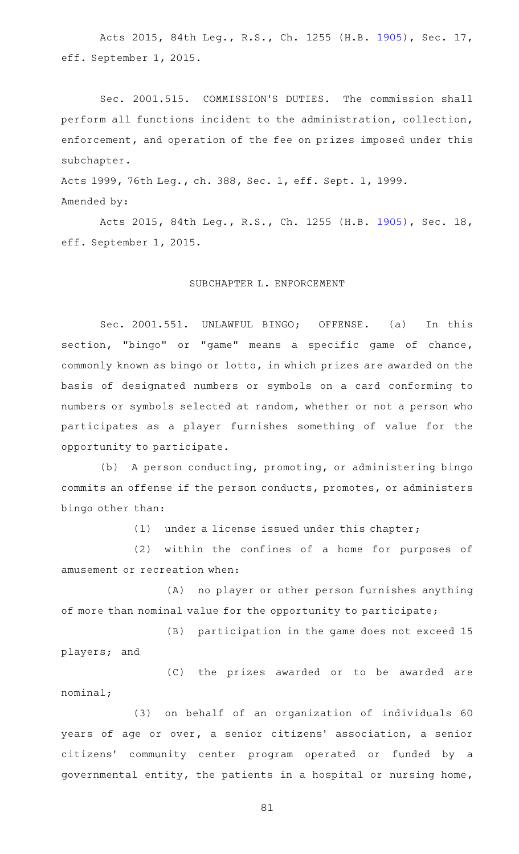Acts 2015, 84th Leg., R.S., Ch. 1255 (H.B. [1905](http://www.legis.state.tx.us/tlodocs/84R/billtext/html/HB01905F.HTM)), Sec. 17, eff. September 1, 2015.

Sec. 2001.515. COMMISSION'S DUTIES. The commission shall perform all functions incident to the administration, collection, enforcement, and operation of the fee on prizes imposed under this subchapter.

Acts 1999, 76th Leg., ch. 388, Sec. 1, eff. Sept. 1, 1999.

Amended by:

Acts 2015, 84th Leg., R.S., Ch. 1255 (H.B. [1905](http://www.legis.state.tx.us/tlodocs/84R/billtext/html/HB01905F.HTM)), Sec. 18, eff. September 1, 2015.

## SUBCHAPTER L. ENFORCEMENT

Sec. 2001.551. UNLAWFUL BINGO; OFFENSE. (a) In this section, "bingo" or "game" means a specific game of chance, commonly known as bingo or lotto, in which prizes are awarded on the basis of designated numbers or symbols on a card conforming to numbers or symbols selected at random, whether or not a person who participates as a player furnishes something of value for the opportunity to participate.

(b) A person conducting, promoting, or administering bingo commits an offense if the person conducts, promotes, or administers bingo other than:

 $(1)$  under a license issued under this chapter;

(2) within the confines of a home for purposes of amusement or recreation when:

(A) no player or other person furnishes anything of more than nominal value for the opportunity to participate;

(B) participation in the game does not exceed 15 players; and

(C) the prizes awarded or to be awarded are nominal;

(3) on behalf of an organization of individuals 60 years of age or over, a senior citizens' association, a senior citizens' community center program operated or funded by a governmental entity, the patients in a hospital or nursing home,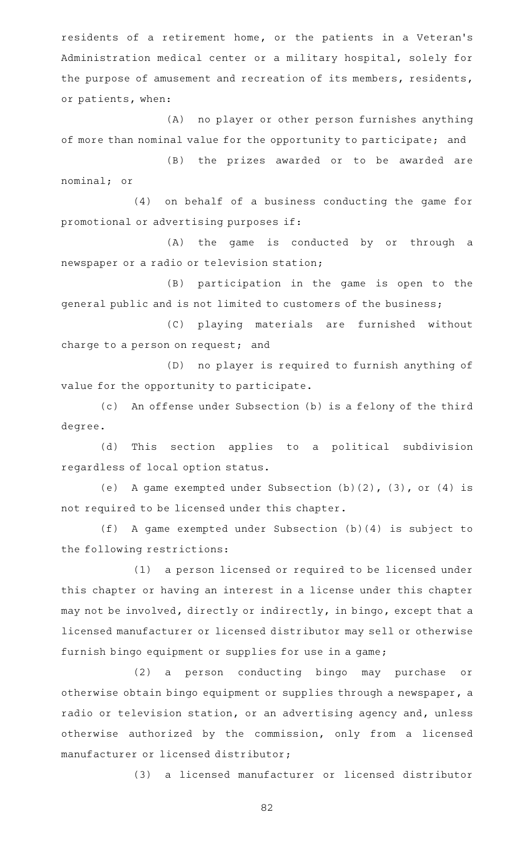residents of a retirement home, or the patients in a Veteran 's Administration medical center or a military hospital, solely for the purpose of amusement and recreation of its members, residents, or patients, when:

(A) no player or other person furnishes anything of more than nominal value for the opportunity to participate; and

(B) the prizes awarded or to be awarded are nominal; or

(4) on behalf of a business conducting the game for promotional or advertising purposes if:

 $(A)$  the game is conducted by or through a newspaper or a radio or television station;

(B) participation in the game is open to the general public and is not limited to customers of the business;

(C) playing materials are furnished without charge to a person on request; and

(D) no player is required to furnish anything of value for the opportunity to participate.

(c) An offense under Subsection (b) is a felony of the third degree.

(d) This section applies to a political subdivision regardless of local option status.

(e) A game exempted under Subsection  $(b)$  (2), (3), or (4) is not required to be licensed under this chapter.

 $(f)$  A game exempted under Subsection (b)(4) is subject to the following restrictions:

(1) a person licensed or required to be licensed under this chapter or having an interest in a license under this chapter may not be involved, directly or indirectly, in bingo, except that a licensed manufacturer or licensed distributor may sell or otherwise furnish bingo equipment or supplies for use in a game;

(2) a person conducting bingo may purchase or otherwise obtain bingo equipment or supplies through a newspaper, a radio or television station, or an advertising agency and, unless otherwise authorized by the commission, only from a licensed manufacturer or licensed distributor;

(3) a licensed manufacturer or licensed distributor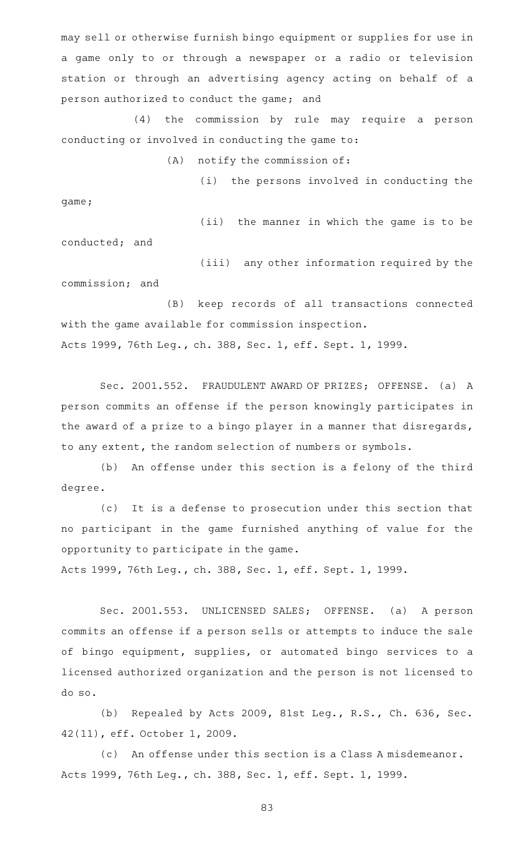may sell or otherwise furnish bingo equipment or supplies for use in a game only to or through a newspaper or a radio or television station or through an advertising agency acting on behalf of a person authorized to conduct the game; and

(4) the commission by rule may require a person conducting or involved in conducting the game to:

 $(A)$  notify the commission of:

(i) the persons involved in conducting the game;

conducted; and

(ii) the manner in which the game is to be

(iii) any other information required by the commission; and

(B) keep records of all transactions connected with the game available for commission inspection. Acts 1999, 76th Leg., ch. 388, Sec. 1, eff. Sept. 1, 1999.

Sec. 2001.552. FRAUDULENT AWARD OF PRIZES; OFFENSE. (a) A person commits an offense if the person knowingly participates in the award of a prize to a bingo player in a manner that disregards, to any extent, the random selection of numbers or symbols.

(b) An offense under this section is a felony of the third degree.

(c) It is a defense to prosecution under this section that no participant in the game furnished anything of value for the opportunity to participate in the game.

Acts 1999, 76th Leg., ch. 388, Sec. 1, eff. Sept. 1, 1999.

Sec. 2001.553. UNLICENSED SALES; OFFENSE. (a) A person commits an offense if a person sells or attempts to induce the sale of bingo equipment, supplies, or automated bingo services to a licensed authorized organization and the person is not licensed to do so.

(b) Repealed by Acts 2009, 81st Leg., R.S., Ch. 636, Sec. 42(11), eff. October 1, 2009.

(c) An offense under this section is a Class A misdemeanor. Acts 1999, 76th Leg., ch. 388, Sec. 1, eff. Sept. 1, 1999.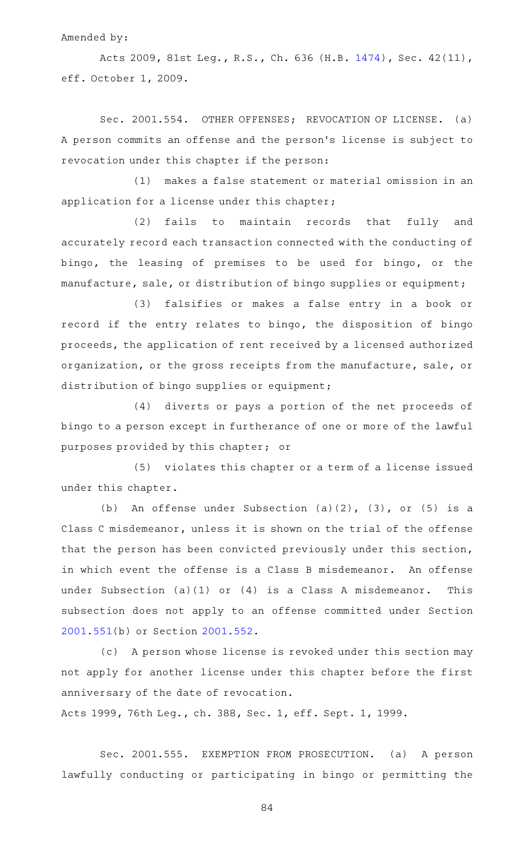Amended by:

Acts 2009, 81st Leg., R.S., Ch. 636 (H.B. [1474\)](http://www.legis.state.tx.us/tlodocs/81R/billtext/html/HB01474F.HTM), Sec. 42(11), eff. October 1, 2009.

Sec. 2001.554. OTHER OFFENSES; REVOCATION OF LICENSE. (a) A person commits an offense and the person 's license is subject to revocation under this chapter if the person:

(1) makes a false statement or material omission in an application for a license under this chapter;

(2) fails to maintain records that fully and accurately record each transaction connected with the conducting of bingo, the leasing of premises to be used for bingo, or the manufacture, sale, or distribution of bingo supplies or equipment;

(3) falsifies or makes a false entry in a book or record if the entry relates to bingo, the disposition of bingo proceeds, the application of rent received by a licensed authorized organization, or the gross receipts from the manufacture, sale, or distribution of bingo supplies or equipment;

(4) diverts or pays a portion of the net proceeds of bingo to a person except in furtherance of one or more of the lawful purposes provided by this chapter; or

(5) violates this chapter or a term of a license issued under this chapter.

(b) An offense under Subsection  $(a)(2)$ ,  $(3)$ , or  $(5)$  is a Class C misdemeanor, unless it is shown on the trial of the offense that the person has been convicted previously under this section, in which event the offense is a Class B misdemeanor. An offense under Subsection (a)(1) or (4) is a Class A misdemeanor. This subsection does not apply to an offense committed under Section [2001.551](https://statutes.capitol.texas.gov/GetStatute.aspx?Code=OC&Value=2001.551)(b) or Section [2001.552](https://statutes.capitol.texas.gov/GetStatute.aspx?Code=OC&Value=2001.552).

(c) A person whose license is revoked under this section may not apply for another license under this chapter before the first anniversary of the date of revocation.

Acts 1999, 76th Leg., ch. 388, Sec. 1, eff. Sept. 1, 1999.

Sec. 2001.555. EXEMPTION FROM PROSECUTION. (a) A person lawfully conducting or participating in bingo or permitting the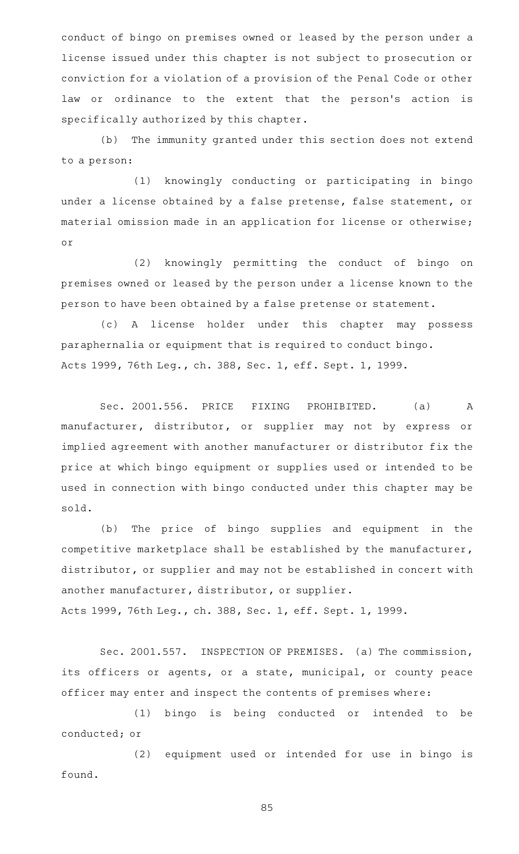conduct of bingo on premises owned or leased by the person under a license issued under this chapter is not subject to prosecution or conviction for a violation of a provision of the Penal Code or other law or ordinance to the extent that the person's action is specifically authorized by this chapter.

(b) The immunity granted under this section does not extend to a person:

(1) knowingly conducting or participating in bingo under a license obtained by a false pretense, false statement, or material omission made in an application for license or otherwise; or

(2) knowingly permitting the conduct of bingo on premises owned or leased by the person under a license known to the person to have been obtained by a false pretense or statement.

(c)AAA license holder under this chapter may possess paraphernalia or equipment that is required to conduct bingo. Acts 1999, 76th Leg., ch. 388, Sec. 1, eff. Sept. 1, 1999.

Sec. 2001.556. PRICE FIXING PROHIBITED. (a) A manufacturer, distributor, or supplier may not by express or implied agreement with another manufacturer or distributor fix the price at which bingo equipment or supplies used or intended to be used in connection with bingo conducted under this chapter may be sold.

(b) The price of bingo supplies and equipment in the competitive marketplace shall be established by the manufacturer, distributor, or supplier and may not be established in concert with another manufacturer, distributor, or supplier. Acts 1999, 76th Leg., ch. 388, Sec. 1, eff. Sept. 1, 1999.

Sec. 2001.557. INSPECTION OF PREMISES. (a) The commission, its officers or agents, or a state, municipal, or county peace officer may enter and inspect the contents of premises where:

(1) bingo is being conducted or intended to be conducted; or

(2) equipment used or intended for use in bingo is found.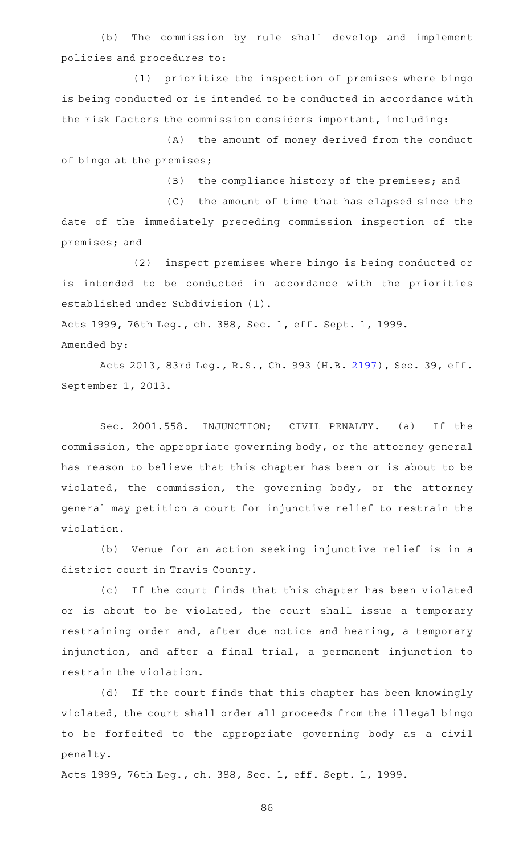(b) The commission by rule shall develop and implement policies and procedures to:

(1) prioritize the inspection of premises where bingo is being conducted or is intended to be conducted in accordance with the risk factors the commission considers important, including:

(A) the amount of money derived from the conduct of bingo at the premises;

(B) the compliance history of the premises; and

(C) the amount of time that has elapsed since the date of the immediately preceding commission inspection of the premises; and

(2) inspect premises where bingo is being conducted or is intended to be conducted in accordance with the priorities established under Subdivision (1).

Acts 1999, 76th Leg., ch. 388, Sec. 1, eff. Sept. 1, 1999.

Amended by:

Acts 2013, 83rd Leg., R.S., Ch. 993 (H.B. [2197\)](http://www.legis.state.tx.us/tlodocs/83R/billtext/html/HB02197F.HTM), Sec. 39, eff. September 1, 2013.

Sec. 2001.558. INJUNCTION; CIVIL PENALTY. (a) If the commission, the appropriate governing body, or the attorney general has reason to believe that this chapter has been or is about to be violated, the commission, the governing body, or the attorney general may petition a court for injunctive relief to restrain the violation.

(b) Venue for an action seeking injunctive relief is in a district court in Travis County.

(c) If the court finds that this chapter has been violated or is about to be violated, the court shall issue a temporary restraining order and, after due notice and hearing, a temporary injunction, and after a final trial, a permanent injunction to restrain the violation.

(d) If the court finds that this chapter has been knowingly violated, the court shall order all proceeds from the illegal bingo to be forfeited to the appropriate governing body as a civil penalty.

Acts 1999, 76th Leg., ch. 388, Sec. 1, eff. Sept. 1, 1999.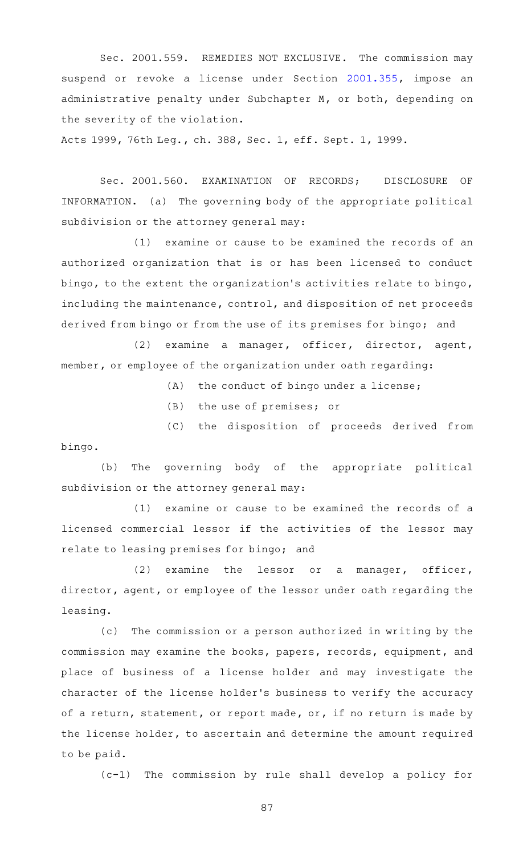Sec. 2001.559. REMEDIES NOT EXCLUSIVE. The commission may suspend or revoke a license under Section [2001.355](https://statutes.capitol.texas.gov/GetStatute.aspx?Code=OC&Value=2001.355), impose an administrative penalty under Subchapter M, or both, depending on the severity of the violation.

Acts 1999, 76th Leg., ch. 388, Sec. 1, eff. Sept. 1, 1999.

Sec. 2001.560. EXAMINATION OF RECORDS; DISCLOSURE OF INFORMATION. (a) The governing body of the appropriate political subdivision or the attorney general may:

(1) examine or cause to be examined the records of an authorized organization that is or has been licensed to conduct bingo, to the extent the organization 's activities relate to bingo, including the maintenance, control, and disposition of net proceeds derived from bingo or from the use of its premises for bingo; and

(2) examine a manager, officer, director, agent, member, or employee of the organization under oath regarding:

 $(A)$  the conduct of bingo under a license;

(B) the use of premises; or

(C) the disposition of proceeds derived from bingo.

(b) The governing body of the appropriate political subdivision or the attorney general may:

 $(1)$  examine or cause to be examined the records of a licensed commercial lessor if the activities of the lessor may relate to leasing premises for bingo; and

 $(2)$  examine the lessor or a manager, officer, director, agent, or employee of the lessor under oath regarding the leasing.

(c) The commission or a person authorized in writing by the commission may examine the books, papers, records, equipment, and place of business of a license holder and may investigate the character of the license holder 's business to verify the accuracy of a return, statement, or report made, or, if no return is made by the license holder, to ascertain and determine the amount required to be paid.

(c-1) The commission by rule shall develop a policy for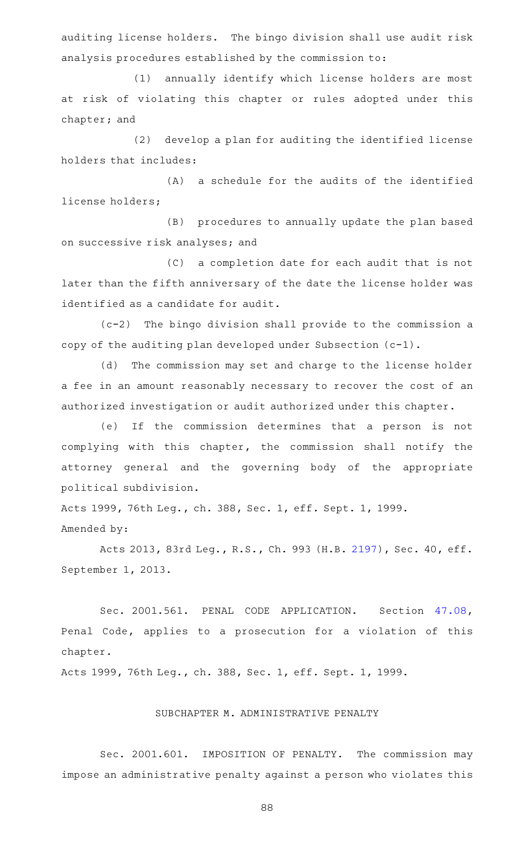auditing license holders. The bingo division shall use audit risk analysis procedures established by the commission to:

(1) annually identify which license holders are most at risk of violating this chapter or rules adopted under this chapter; and

(2) develop a plan for auditing the identified license holders that includes:

(A) a schedule for the audits of the identified license holders;

(B) procedures to annually update the plan based on successive risk analyses; and

(C) a completion date for each audit that is not later than the fifth anniversary of the date the license holder was identified as a candidate for audit.

 $(c-2)$  The bingo division shall provide to the commission a copy of the auditing plan developed under Subsection (c-1).

(d) The commission may set and charge to the license holder a fee in an amount reasonably necessary to recover the cost of an authorized investigation or audit authorized under this chapter.

(e) If the commission determines that a person is not complying with this chapter, the commission shall notify the attorney general and the governing body of the appropriate political subdivision.

Acts 1999, 76th Leg., ch. 388, Sec. 1, eff. Sept. 1, 1999.

Amended by:

Acts 2013, 83rd Leg., R.S., Ch. 993 (H.B. [2197\)](http://www.legis.state.tx.us/tlodocs/83R/billtext/html/HB02197F.HTM), Sec. 40, eff. September 1, 2013.

Sec. 2001.561. PENAL CODE APPLICATION. Section [47.08](https://statutes.capitol.texas.gov/GetStatute.aspx?Code=PE&Value=47.08), Penal Code, applies to a prosecution for a violation of this chapter.

Acts 1999, 76th Leg., ch. 388, Sec. 1, eff. Sept. 1, 1999.

## SUBCHAPTER M. ADMINISTRATIVE PENALTY

Sec. 2001.601. IMPOSITION OF PENALTY. The commission may impose an administrative penalty against a person who violates this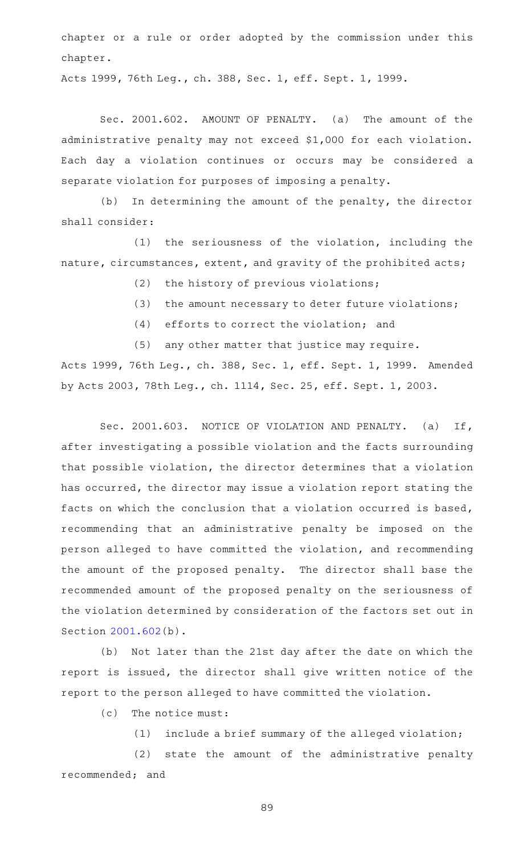chapter or a rule or order adopted by the commission under this chapter.

Acts 1999, 76th Leg., ch. 388, Sec. 1, eff. Sept. 1, 1999.

Sec. 2001.602. AMOUNT OF PENALTY. (a) The amount of the administrative penalty may not exceed \$1,000 for each violation. Each day a violation continues or occurs may be considered a separate violation for purposes of imposing a penalty.

(b) In determining the amount of the penalty, the director shall consider:

 $(1)$  the seriousness of the violation, including the nature, circumstances, extent, and gravity of the prohibited acts;

 $(2)$  the history of previous violations;

- (3) the amount necessary to deter future violations;
- $(4)$  efforts to correct the violation; and
- $(5)$  any other matter that justice may require.

Acts 1999, 76th Leg., ch. 388, Sec. 1, eff. Sept. 1, 1999. Amended by Acts 2003, 78th Leg., ch. 1114, Sec. 25, eff. Sept. 1, 2003.

Sec. 2001.603. NOTICE OF VIOLATION AND PENALTY. (a) If, after investigating a possible violation and the facts surrounding that possible violation, the director determines that a violation has occurred, the director may issue a violation report stating the facts on which the conclusion that a violation occurred is based, recommending that an administrative penalty be imposed on the person alleged to have committed the violation, and recommending the amount of the proposed penalty. The director shall base the recommended amount of the proposed penalty on the seriousness of the violation determined by consideration of the factors set out in Section [2001.602](https://statutes.capitol.texas.gov/GetStatute.aspx?Code=OC&Value=2001.602)(b).

(b) Not later than the 21st day after the date on which the report is issued, the director shall give written notice of the report to the person alleged to have committed the violation.

 $(c)$  The notice must:

 $(1)$  include a brief summary of the alleged violation;

(2) state the amount of the administrative penalty recommended; and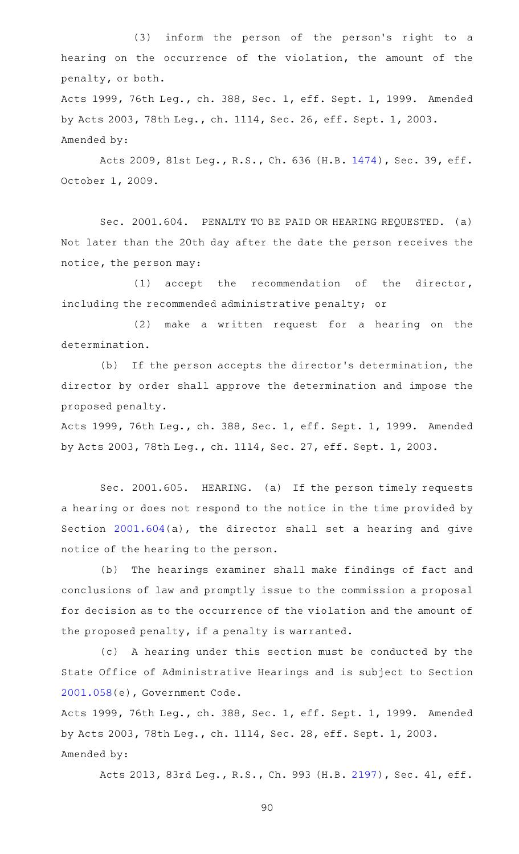(3) inform the person of the person's right to a hearing on the occurrence of the violation, the amount of the penalty, or both. Acts 1999, 76th Leg., ch. 388, Sec. 1, eff. Sept. 1, 1999. Amended by Acts 2003, 78th Leg., ch. 1114, Sec. 26, eff. Sept. 1, 2003. Amended by:

Acts 2009, 81st Leg., R.S., Ch. 636 (H.B. [1474\)](http://www.legis.state.tx.us/tlodocs/81R/billtext/html/HB01474F.HTM), Sec. 39, eff. October 1, 2009.

Sec. 2001.604. PENALTY TO BE PAID OR HEARING REQUESTED. (a) Not later than the 20th day after the date the person receives the notice, the person may:

 $(1)$  accept the recommendation of the director, including the recommended administrative penalty; or

(2) make a written request for a hearing on the determination.

(b) If the person accepts the director's determination, the director by order shall approve the determination and impose the proposed penalty.

Acts 1999, 76th Leg., ch. 388, Sec. 1, eff. Sept. 1, 1999. Amended by Acts 2003, 78th Leg., ch. 1114, Sec. 27, eff. Sept. 1, 2003.

Sec. 2001.605. HEARING. (a) If the person timely requests a hearing or does not respond to the notice in the time provided by Section [2001.604\(](https://statutes.capitol.texas.gov/GetStatute.aspx?Code=OC&Value=2001.604)a), the director shall set a hearing and give notice of the hearing to the person.

(b) The hearings examiner shall make findings of fact and conclusions of law and promptly issue to the commission a proposal for decision as to the occurrence of the violation and the amount of the proposed penalty, if a penalty is warranted.

(c)AAA hearing under this section must be conducted by the State Office of Administrative Hearings and is subject to Section [2001.058](https://statutes.capitol.texas.gov/GetStatute.aspx?Code=GV&Value=2001.058)(e), Government Code.

Acts 1999, 76th Leg., ch. 388, Sec. 1, eff. Sept. 1, 1999. Amended by Acts 2003, 78th Leg., ch. 1114, Sec. 28, eff. Sept. 1, 2003. Amended by:

Acts 2013, 83rd Leg., R.S., Ch. 993 (H.B. [2197\)](http://www.legis.state.tx.us/tlodocs/83R/billtext/html/HB02197F.HTM), Sec. 41, eff.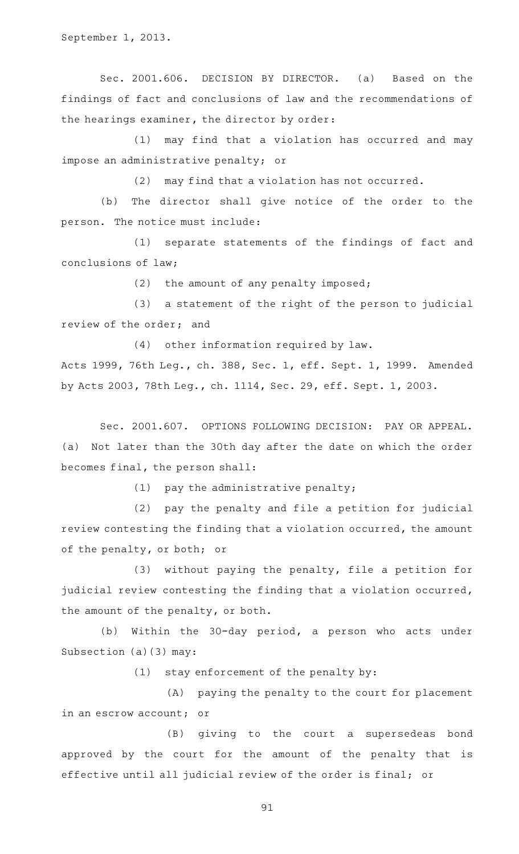September 1, 2013.

Sec. 2001.606. DECISION BY DIRECTOR. (a) Based on the findings of fact and conclusions of law and the recommendations of the hearings examiner, the director by order:

(1) may find that a violation has occurred and may impose an administrative penalty; or

 $(2)$  may find that a violation has not occurred.

(b) The director shall give notice of the order to the person. The notice must include:

(1) separate statements of the findings of fact and conclusions of law;

 $(2)$  the amount of any penalty imposed;

(3) a statement of the right of the person to judicial review of the order; and

 $(4)$  other information required by law. Acts 1999, 76th Leg., ch. 388, Sec. 1, eff. Sept. 1, 1999. Amended by Acts 2003, 78th Leg., ch. 1114, Sec. 29, eff. Sept. 1, 2003.

Sec. 2001.607. OPTIONS FOLLOWING DECISION: PAY OR APPEAL. (a) Not later than the 30th day after the date on which the order becomes final, the person shall:

 $(1)$  pay the administrative penalty;

(2) pay the penalty and file a petition for judicial review contesting the finding that a violation occurred, the amount of the penalty, or both; or

 $(3)$  without paying the penalty, file a petition for judicial review contesting the finding that a violation occurred, the amount of the penalty, or both.

(b) Within the 30-day period, a person who acts under Subsection (a)(3) may:

 $(1)$  stay enforcement of the penalty by:

(A) paying the penalty to the court for placement in an escrow account; or

(B) giving to the court a supersedeas bond approved by the court for the amount of the penalty that is effective until all judicial review of the order is final; or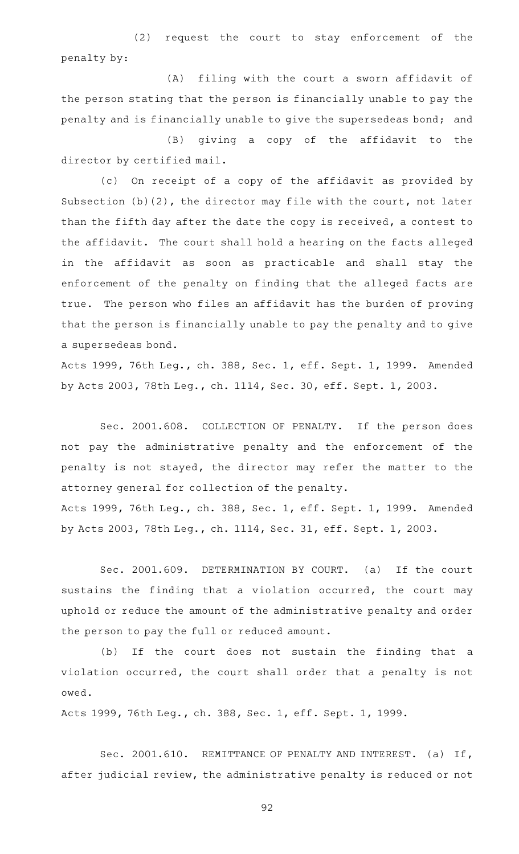(2) request the court to stay enforcement of the penalty by:

(A) filing with the court a sworn affidavit of the person stating that the person is financially unable to pay the penalty and is financially unable to give the supersedeas bond; and

(B) giving a copy of the affidavit to the director by certified mail.

(c) On receipt of a copy of the affidavit as provided by Subsection (b)(2), the director may file with the court, not later than the fifth day after the date the copy is received, a contest to the affidavit. The court shall hold a hearing on the facts alleged in the affidavit as soon as practicable and shall stay the enforcement of the penalty on finding that the alleged facts are true. The person who files an affidavit has the burden of proving that the person is financially unable to pay the penalty and to give a supersedeas bond.

Acts 1999, 76th Leg., ch. 388, Sec. 1, eff. Sept. 1, 1999. Amended by Acts 2003, 78th Leg., ch. 1114, Sec. 30, eff. Sept. 1, 2003.

Sec. 2001.608. COLLECTION OF PENALTY. If the person does not pay the administrative penalty and the enforcement of the penalty is not stayed, the director may refer the matter to the attorney general for collection of the penalty. Acts 1999, 76th Leg., ch. 388, Sec. 1, eff. Sept. 1, 1999. Amended by Acts 2003, 78th Leg., ch. 1114, Sec. 31, eff. Sept. 1, 2003.

Sec. 2001.609. DETERMINATION BY COURT. (a) If the court sustains the finding that a violation occurred, the court may uphold or reduce the amount of the administrative penalty and order the person to pay the full or reduced amount.

(b) If the court does not sustain the finding that a violation occurred, the court shall order that a penalty is not owed.

Acts 1999, 76th Leg., ch. 388, Sec. 1, eff. Sept. 1, 1999.

Sec. 2001.610. REMITTANCE OF PENALTY AND INTEREST. (a) If, after judicial review, the administrative penalty is reduced or not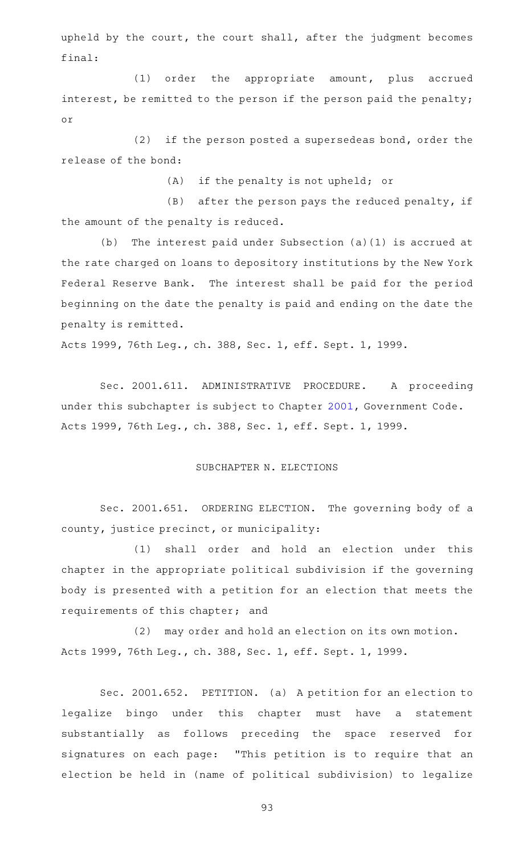upheld by the court, the court shall, after the judgment becomes final:

(1) order the appropriate amount, plus accrued interest, be remitted to the person if the person paid the penalty; or

 $(2)$  if the person posted a supersedeas bond, order the release of the bond:

(A) if the penalty is not upheld; or

 $(B)$  after the person pays the reduced penalty, if the amount of the penalty is reduced.

(b) The interest paid under Subsection (a)(1) is accrued at the rate charged on loans to depository institutions by the New York Federal Reserve Bank. The interest shall be paid for the period beginning on the date the penalty is paid and ending on the date the penalty is remitted.

Acts 1999, 76th Leg., ch. 388, Sec. 1, eff. Sept. 1, 1999.

Sec. 2001.611. ADMINISTRATIVE PROCEDURE. A proceeding under this subchapter is subject to Chapter [2001,](https://statutes.capitol.texas.gov/GetStatute.aspx?Code=GV&Value=2001) Government Code. Acts 1999, 76th Leg., ch. 388, Sec. 1, eff. Sept. 1, 1999.

## SUBCHAPTER N. ELECTIONS

Sec. 2001.651. ORDERING ELECTION. The governing body of a county, justice precinct, or municipality:

(1) shall order and hold an election under this chapter in the appropriate political subdivision if the governing body is presented with a petition for an election that meets the requirements of this chapter; and

(2) may order and hold an election on its own motion. Acts 1999, 76th Leg., ch. 388, Sec. 1, eff. Sept. 1, 1999.

Sec. 2001.652. PETITION. (a) A petition for an election to legalize bingo under this chapter must have a statement substantially as follows preceding the space reserved for signatures on each page: "This petition is to require that an election be held in (name of political subdivision) to legalize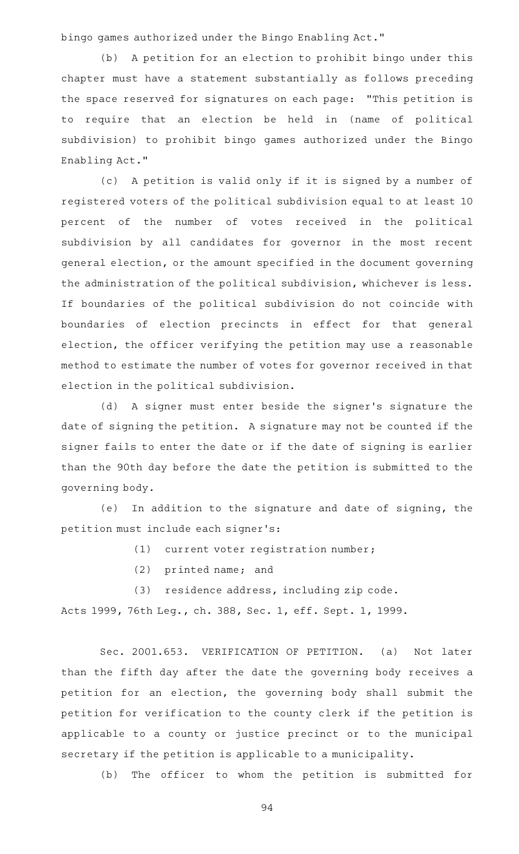bingo games authorized under the Bingo Enabling Act."

(b) A petition for an election to prohibit bingo under this chapter must have a statement substantially as follows preceding the space reserved for signatures on each page: "This petition is to require that an election be held in (name of political subdivision) to prohibit bingo games authorized under the Bingo Enabling Act."

(c) A petition is valid only if it is signed by a number of registered voters of the political subdivision equal to at least 10 percent of the number of votes received in the political subdivision by all candidates for governor in the most recent general election, or the amount specified in the document governing the administration of the political subdivision, whichever is less. If boundaries of the political subdivision do not coincide with boundaries of election precincts in effect for that general election, the officer verifying the petition may use a reasonable method to estimate the number of votes for governor received in that election in the political subdivision.

(d) A signer must enter beside the signer's signature the date of signing the petition. A signature may not be counted if the signer fails to enter the date or if the date of signing is earlier than the 90th day before the date the petition is submitted to the governing body.

(e) In addition to the signature and date of signing, the petition must include each signer 's:

(1) current voter registration number;

 $(2)$  printed name; and

(3) residence address, including zip code.

Acts 1999, 76th Leg., ch. 388, Sec. 1, eff. Sept. 1, 1999.

Sec. 2001.653. VERIFICATION OF PETITION. (a) Not later than the fifth day after the date the governing body receives a petition for an election, the governing body shall submit the petition for verification to the county clerk if the petition is applicable to a county or justice precinct or to the municipal secretary if the petition is applicable to a municipality.

(b) The officer to whom the petition is submitted for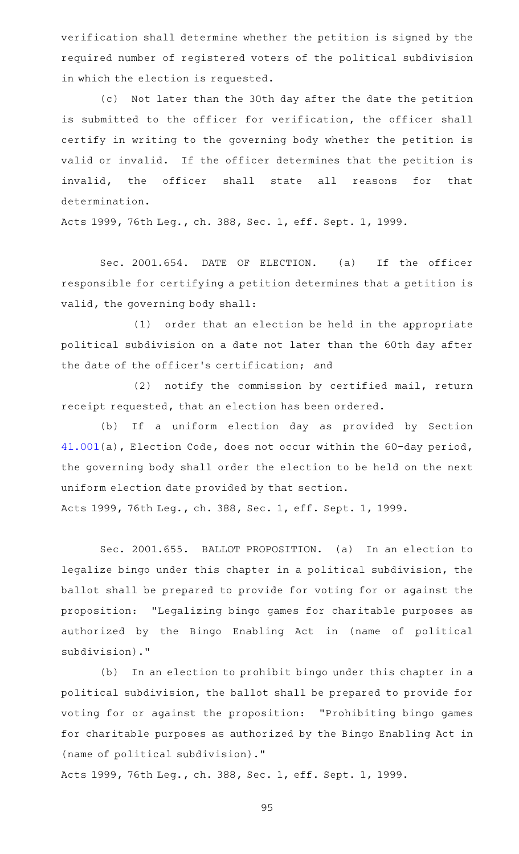verification shall determine whether the petition is signed by the required number of registered voters of the political subdivision in which the election is requested.

(c) Not later than the 30th day after the date the petition is submitted to the officer for verification, the officer shall certify in writing to the governing body whether the petition is valid or invalid. If the officer determines that the petition is invalid, the officer shall state all reasons for that determination.

Acts 1999, 76th Leg., ch. 388, Sec. 1, eff. Sept. 1, 1999.

Sec. 2001.654. DATE OF ELECTION. (a) If the officer responsible for certifying a petition determines that a petition is valid, the governing body shall:

(1) order that an election be held in the appropriate political subdivision on a date not later than the 60th day after the date of the officer 's certification; and

(2) notify the commission by certified mail, return receipt requested, that an election has been ordered.

(b) If a uniform election day as provided by Section [41.001](https://statutes.capitol.texas.gov/GetStatute.aspx?Code=EL&Value=41.001)(a), Election Code, does not occur within the 60-day period, the governing body shall order the election to be held on the next uniform election date provided by that section.

Acts 1999, 76th Leg., ch. 388, Sec. 1, eff. Sept. 1, 1999.

Sec. 2001.655. BALLOT PROPOSITION. (a) In an election to legalize bingo under this chapter in a political subdivision, the ballot shall be prepared to provide for voting for or against the proposition: "Legalizing bingo games for charitable purposes as authorized by the Bingo Enabling Act in (name of political subdivision)."

(b) In an election to prohibit bingo under this chapter in a political subdivision, the ballot shall be prepared to provide for voting for or against the proposition: "Prohibiting bingo games for charitable purposes as authorized by the Bingo Enabling Act in (name of political subdivision)."

Acts 1999, 76th Leg., ch. 388, Sec. 1, eff. Sept. 1, 1999.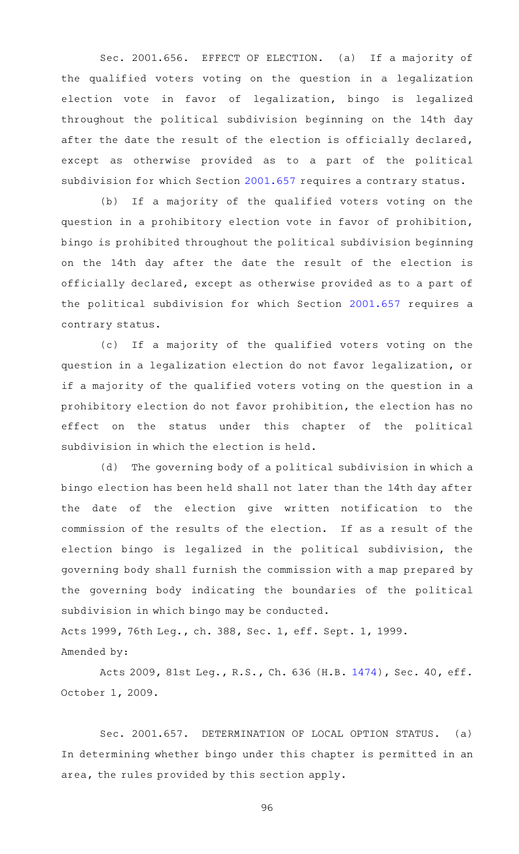Sec. 2001.656. EFFECT OF ELECTION. (a) If a majority of the qualified voters voting on the question in a legalization election vote in favor of legalization, bingo is legalized throughout the political subdivision beginning on the 14th day after the date the result of the election is officially declared, except as otherwise provided as to a part of the political subdivision for which Section [2001.657](https://statutes.capitol.texas.gov/GetStatute.aspx?Code=OC&Value=2001.657) requires a contrary status.

(b) If a majority of the qualified voters voting on the question in a prohibitory election vote in favor of prohibition, bingo is prohibited throughout the political subdivision beginning on the 14th day after the date the result of the election is officially declared, except as otherwise provided as to a part of the political subdivision for which Section [2001.657](https://statutes.capitol.texas.gov/GetStatute.aspx?Code=OC&Value=2001.657) requires a contrary status.

(c) If a majority of the qualified voters voting on the question in a legalization election do not favor legalization, or if a majority of the qualified voters voting on the question in a prohibitory election do not favor prohibition, the election has no effect on the status under this chapter of the political subdivision in which the election is held.

(d) The governing body of a political subdivision in which a bingo election has been held shall not later than the 14th day after the date of the election give written notification to the commission of the results of the election. If as a result of the election bingo is legalized in the political subdivision, the governing body shall furnish the commission with a map prepared by the governing body indicating the boundaries of the political subdivision in which bingo may be conducted.

Acts 1999, 76th Leg., ch. 388, Sec. 1, eff. Sept. 1, 1999. Amended by:

Acts 2009, 81st Leg., R.S., Ch. 636 (H.B. [1474\)](http://www.legis.state.tx.us/tlodocs/81R/billtext/html/HB01474F.HTM), Sec. 40, eff. October 1, 2009.

Sec. 2001.657. DETERMINATION OF LOCAL OPTION STATUS. (a) In determining whether bingo under this chapter is permitted in an area, the rules provided by this section apply.